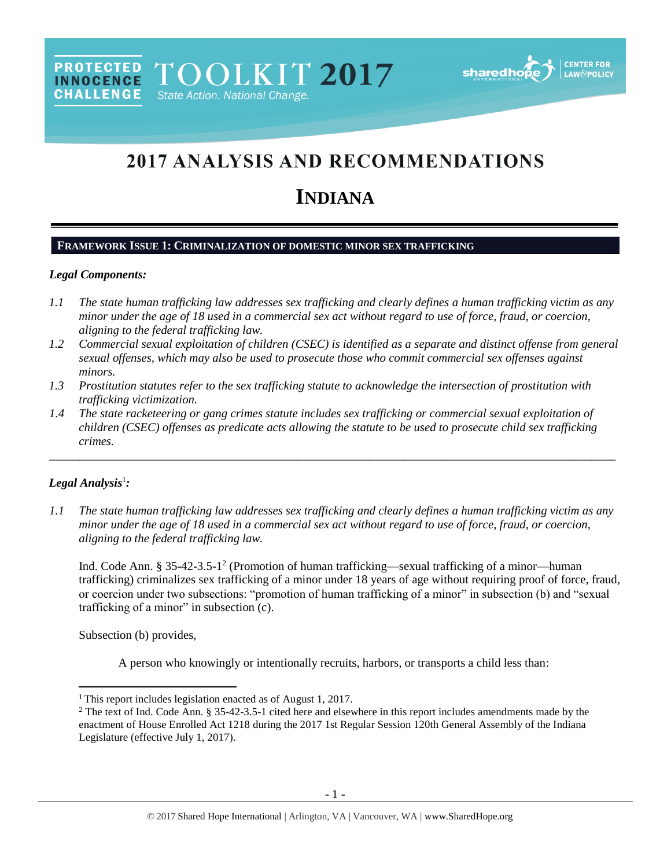

# 2017 ANALYSIS AND RECOMMENDATIONS

# **INDIANA**

#### **FRAMEWORK ISSUE 1: CRIMINALIZATION OF DOMESTIC MINOR SEX TRAFFICKING**

#### *Legal Components:*

**CHALLENGE** 

- *1.1 The state human trafficking law addresses sex trafficking and clearly defines a human trafficking victim as any minor under the age of 18 used in a commercial sex act without regard to use of force, fraud, or coercion, aligning to the federal trafficking law.*
- *1.2 Commercial sexual exploitation of children (CSEC) is identified as a separate and distinct offense from general sexual offenses, which may also be used to prosecute those who commit commercial sex offenses against minors.*
- *1.3 Prostitution statutes refer to the sex trafficking statute to acknowledge the intersection of prostitution with trafficking victimization.*
- *1.4 The state racketeering or gang crimes statute includes sex trafficking or commercial sexual exploitation of children (CSEC) offenses as predicate acts allowing the statute to be used to prosecute child sex trafficking crimes.*

## *Legal Analysis*<sup>1</sup> *:*

 $\overline{a}$ 

*1.1 The state human trafficking law addresses sex trafficking and clearly defines a human trafficking victim as any minor under the age of 18 used in a commercial sex act without regard to use of force, fraud, or coercion, aligning to the federal trafficking law.*

\_\_\_\_\_\_\_\_\_\_\_\_\_\_\_\_\_\_\_\_\_\_\_\_\_\_\_\_\_\_\_\_\_\_\_\_\_\_\_\_\_\_\_\_\_\_\_\_\_\_\_\_\_\_\_\_\_\_\_\_\_\_\_\_\_\_\_\_\_\_\_\_\_\_\_\_\_\_\_\_\_\_\_\_\_\_\_\_\_\_\_\_\_\_

<span id="page-0-0"></span>Ind. Code Ann. § 35-42-3.5-1<sup>2</sup> (Promotion of human trafficking—sexual trafficking of a minor—human trafficking) criminalizes sex trafficking of a minor under 18 years of age without requiring proof of force, fraud, or coercion under two subsections: "promotion of human trafficking of a minor" in subsection (b) and "sexual trafficking of a minor" in subsection (c).

Subsection (b) provides,

A person who knowingly or intentionally recruits, harbors, or transports a child less than:

<sup>&</sup>lt;sup>1</sup> This report includes legislation enacted as of August 1, 2017.

<sup>&</sup>lt;sup>2</sup> The text of Ind. Code Ann. § 35-42-3.5-1 cited here and elsewhere in this report includes amendments made by the enactment of House Enrolled Act 1218 during the 2017 1st Regular Session 120th General Assembly of the Indiana Legislature (effective July 1, 2017).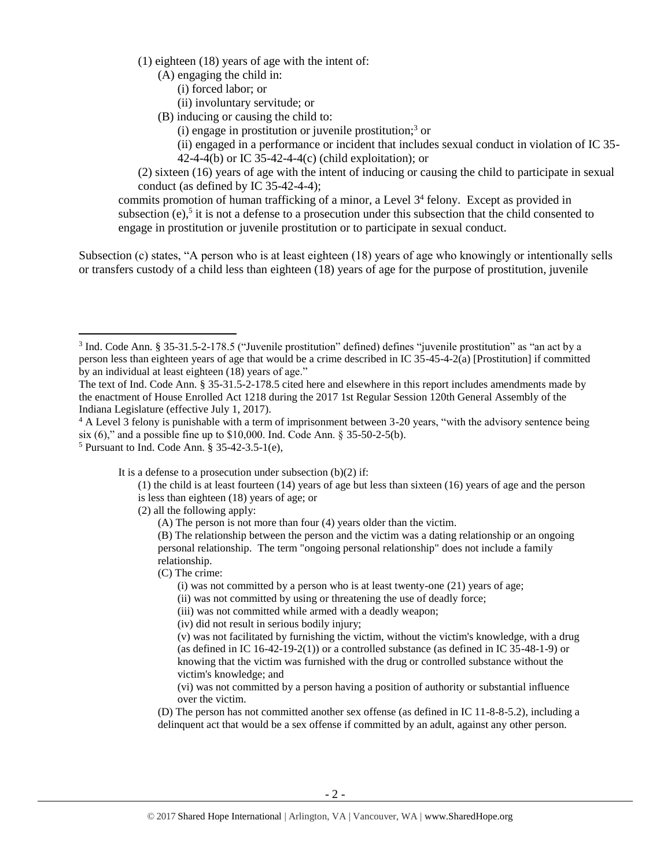(1) eighteen (18) years of age with the intent of:

(A) engaging the child in:

(i) forced labor; or

(ii) involuntary servitude; or

(B) inducing or causing the child to:

<span id="page-1-1"></span><span id="page-1-0"></span>(i) engage in prostitution or juvenile prostitution; <sup>3</sup> or

(ii) engaged in a performance or incident that includes sexual conduct in violation of IC 35- 42-4-4(b) or IC 35-42-4-4(c) (child exploitation); or

(2) sixteen (16) years of age with the intent of inducing or causing the child to participate in sexual conduct (as defined by IC 35-42-4-4);

commits promotion of human trafficking of a minor, a Level 3<sup>4</sup> felony. Except as provided in subsection  $(e)$ ,<sup>5</sup> it is not a defense to a prosecution under this subsection that the child consented to engage in prostitution or juvenile prostitution or to participate in sexual conduct.

Subsection (c) states, "A person who is at least eighteen (18) years of age who knowingly or intentionally sells or transfers custody of a child less than eighteen (18) years of age for the purpose of prostitution, juvenile

l

It is a defense to a prosecution under subsection  $(b)(2)$  if:

(2) all the following apply:

(A) The person is not more than four (4) years older than the victim.

(B) The relationship between the person and the victim was a dating relationship or an ongoing personal relationship. The term "ongoing personal relationship" does not include a family relationship.

(C) The crime:

- (i) was not committed by a person who is at least twenty-one (21) years of age;
- (ii) was not committed by using or threatening the use of deadly force;
- (iii) was not committed while armed with a deadly weapon;
- (iv) did not result in serious bodily injury;

(v) was not facilitated by furnishing the victim, without the victim's knowledge, with a drug (as defined in IC 16-42-19-2(1)) or a controlled substance (as defined in IC  $35-48-1-9$ ) or knowing that the victim was furnished with the drug or controlled substance without the victim's knowledge; and

(vi) was not committed by a person having a position of authority or substantial influence over the victim.

(D) The person has not committed another sex offense (as defined in IC 11-8-8-5.2), including a delinquent act that would be a sex offense if committed by an adult, against any other person.

<sup>&</sup>lt;sup>3</sup> Ind. Code Ann. § 35-31.5-2-178.5 ("Juvenile prostitution" defined) defines "juvenile prostitution" as "an act by a person less than eighteen years of age that would be a crime described in IC 35-45-4-2(a) [Prostitution] if committed by an individual at least eighteen (18) years of age."

The text of Ind. Code Ann. § 35-31.5-2-178.5 cited here and elsewhere in this report includes amendments made by the enactment of House Enrolled Act 1218 during the 2017 1st Regular Session 120th General Assembly of the Indiana Legislature (effective July 1, 2017).

<sup>&</sup>lt;sup>4</sup> A Level 3 felony is punishable with a term of imprisonment between 3-20 years, "with the advisory sentence being six (6)," and a possible fine up to \$10,000. Ind. Code Ann. § 35-50-2-5(b).

<sup>5</sup> Pursuant to Ind. Code Ann. § 35-42-3.5-1(e),

<sup>(1)</sup> the child is at least fourteen (14) years of age but less than sixteen (16) years of age and the person is less than eighteen (18) years of age; or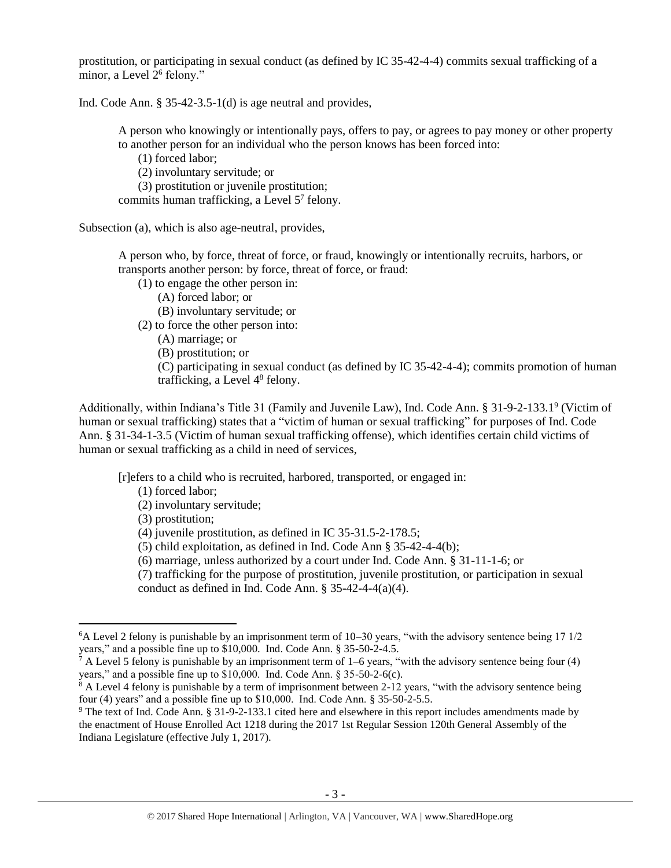prostitution, or participating in sexual conduct (as defined by IC 35-42-4-4) commits sexual trafficking of a minor, a Level 2<sup>6</sup> felony."

Ind. Code Ann. § 35-42-3.5-1(d) is age neutral and provides,

<span id="page-2-2"></span>A person who knowingly or intentionally pays, offers to pay, or agrees to pay money or other property to another person for an individual who the person knows has been forced into:

<span id="page-2-0"></span>(1) forced labor;

(2) involuntary servitude; or

(3) prostitution or juvenile prostitution;

commits human trafficking, a Level 5<sup>7</sup> felony.

Subsection (a), which is also age-neutral, provides,

A person who, by force, threat of force, or fraud, knowingly or intentionally recruits, harbors, or transports another person: by force, threat of force, or fraud:

(1) to engage the other person in:

(A) forced labor; or

(B) involuntary servitude; or

(2) to force the other person into:

(A) marriage; or

(B) prostitution; or

<span id="page-2-3"></span><span id="page-2-1"></span>(C) participating in sexual conduct (as defined by IC 35-42-4-4); commits promotion of human trafficking, a Level 4<sup>8</sup> felony.

Additionally, within Indiana's Title 31 (Family and Juvenile Law), Ind. Code Ann. § 31-9-2-133.19 (Victim of human or sexual trafficking) states that a "victim of human or sexual trafficking" for purposes of Ind. Code Ann. § 31-34-1-3.5 (Victim of human sexual trafficking offense), which identifies certain child victims of human or sexual trafficking as a child in need of services,

[r]efers to a child who is recruited, harbored, transported, or engaged in:

(1) forced labor;

(2) involuntary servitude;

(3) prostitution;

 $\overline{\phantom{a}}$ 

(4) juvenile prostitution, as defined in IC 35-31.5-2-178.5;

(5) child exploitation, as defined in Ind. Code Ann § 35-42-4-4(b);

(6) marriage, unless authorized by a court under Ind. Code Ann. § 31-11-1-6; or

(7) trafficking for the purpose of prostitution, juvenile prostitution, or participation in sexual conduct as defined in Ind. Code Ann. § 35-42-4-4(a)(4).

<sup>6</sup>A Level 2 felony is punishable by an imprisonment term of 10–30 years, "with the advisory sentence being 17 1/2 years," and a possible fine up to \$10,000. Ind. Code Ann. § 35-50-2-4.5.

 $^7$  A Level 5 felony is punishable by an imprisonment term of 1–6 years, "with the advisory sentence being four (4) years," and a possible fine up to \$10,000. Ind. Code Ann. § 35-50-2-6(c).

 $8$  A Level 4 felony is punishable by a term of imprisonment between 2-12 years, "with the advisory sentence being four (4) years" and a possible fine up to \$10,000. Ind. Code Ann. § 35-50-2-5.5.

<sup>9</sup> The text of Ind. Code Ann. § 31-9-2-133.1 cited here and elsewhere in this report includes amendments made by the enactment of House Enrolled Act 1218 during the 2017 1st Regular Session 120th General Assembly of the Indiana Legislature (effective July 1, 2017).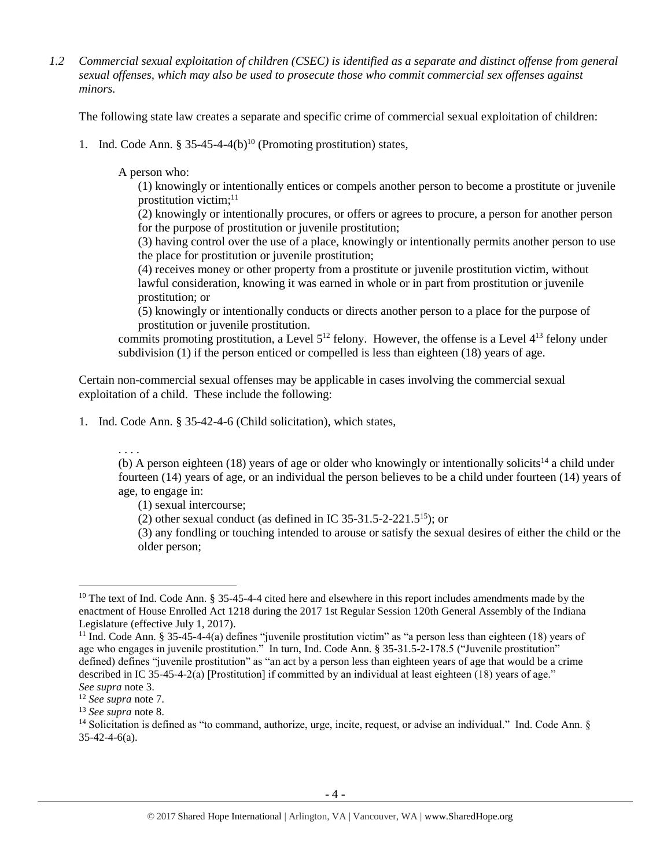*1.2 Commercial sexual exploitation of children (CSEC) is identified as a separate and distinct offense from general sexual offenses, which may also be used to prosecute those who commit commercial sex offenses against minors.*

The following state law creates a separate and specific crime of commercial sexual exploitation of children:

1. Ind. Code Ann. § 35-45-4-4(b)<sup>10</sup> (Promoting prostitution) states,

A person who:

<span id="page-3-1"></span><span id="page-3-0"></span>(1) knowingly or intentionally entices or compels another person to become a prostitute or juvenile prostitution victim; 11

(2) knowingly or intentionally procures, or offers or agrees to procure, a person for another person for the purpose of prostitution or juvenile prostitution;

(3) having control over the use of a place, knowingly or intentionally permits another person to use the place for prostitution or juvenile prostitution;

(4) receives money or other property from a prostitute or juvenile prostitution victim, without lawful consideration, knowing it was earned in whole or in part from prostitution or juvenile prostitution; or

(5) knowingly or intentionally conducts or directs another person to a place for the purpose of prostitution or juvenile prostitution.

commits promoting prostitution, a Level  $5^{12}$  felony. However, the offense is a Level  $4^{13}$  felony under subdivision (1) if the person enticed or compelled is less than eighteen (18) years of age.

Certain non-commercial sexual offenses may be applicable in cases involving the commercial sexual exploitation of a child. These include the following:

1. Ind. Code Ann. § 35-42-4-6 (Child solicitation), which states,

. . . .

(b) A person eighteen (18) years of age or older who knowingly or intentionally solicits<sup>14</sup> a child under fourteen (14) years of age, or an individual the person believes to be a child under fourteen (14) years of age, to engage in:

<span id="page-3-2"></span>(1) sexual intercourse;

(2) other sexual conduct (as defined in IC 35-31.5-2-221.5<sup>15</sup>); or

(3) any fondling or touching intended to arouse or satisfy the sexual desires of either the child or the older person;

 $10$  The text of Ind. Code Ann. § 35-45-4-4 cited here and elsewhere in this report includes amendments made by the enactment of House Enrolled Act 1218 during the 2017 1st Regular Session 120th General Assembly of the Indiana Legislature (effective July 1, 2017).

<sup>&</sup>lt;sup>11</sup> Ind. Code Ann. § 35-45-4-4(a) defines "juvenile prostitution victim" as "a person less than eighteen (18) years of age who engages in juvenile prostitution." In turn, Ind. Code Ann. § 35-31.5-2-178.5 ("Juvenile prostitution" defined) defines "juvenile prostitution" as "an act by a person less than eighteen years of age that would be a crime described in IC 35-45-4-2(a) [Prostitution] if committed by an individual at least eighteen (18) years of age." *See supra* note [3.](#page-1-0)

<sup>12</sup> *See supra* note [7.](#page-2-0)

<sup>13</sup> *See supra* note [8.](#page-2-1)

<sup>&</sup>lt;sup>14</sup> Solicitation is defined as "to command, authorize, urge, incite, request, or advise an individual." Ind. Code Ann. §  $35-42-4-6(a)$ .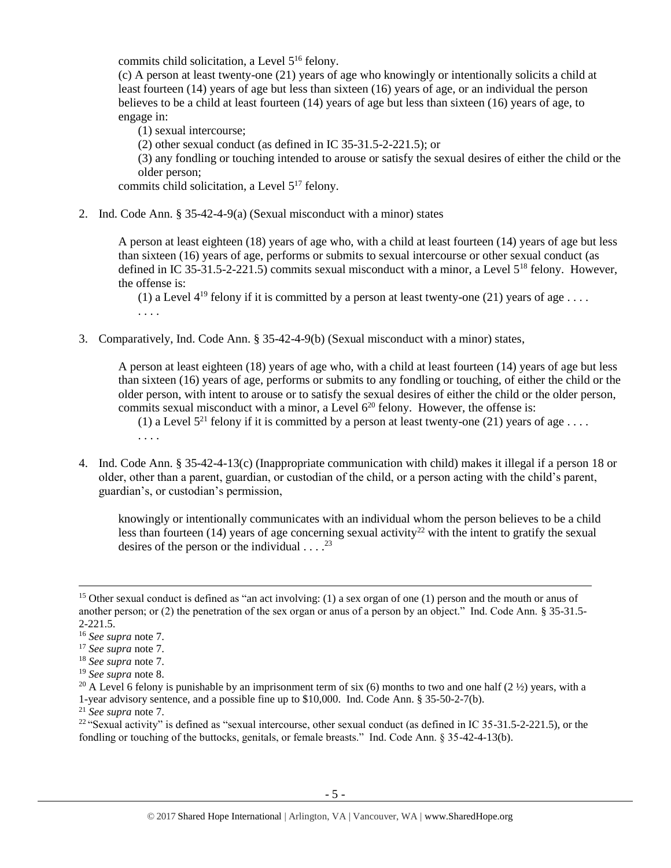commits child solicitation, a Level 5<sup>16</sup> felony.

(c) A person at least twenty-one (21) years of age who knowingly or intentionally solicits a child at least fourteen (14) years of age but less than sixteen (16) years of age, or an individual the person believes to be a child at least fourteen (14) years of age but less than sixteen (16) years of age, to engage in:

(1) sexual intercourse;

(2) other sexual conduct (as defined in IC 35-31.5-2-221.5); or

(3) any fondling or touching intended to arouse or satisfy the sexual desires of either the child or the older person;

commits child solicitation, a Level  $5^{17}$  felony.

2. Ind. Code Ann. § 35-42-4-9(a) (Sexual misconduct with a minor) states

A person at least eighteen (18) years of age who, with a child at least fourteen (14) years of age but less than sixteen (16) years of age, performs or submits to sexual intercourse or other sexual conduct (as defined in IC 35-31.5-2-221.5) commits sexual misconduct with a minor, a Level 5<sup>18</sup> felony. However, the offense is:

(1) a Level  $4^{19}$  felony if it is committed by a person at least twenty-one (21) years of age ... . . . .

3. Comparatively, Ind. Code Ann. § 35-42-4-9(b) (Sexual misconduct with a minor) states,

A person at least eighteen (18) years of age who, with a child at least fourteen (14) years of age but less than sixteen (16) years of age, performs or submits to any fondling or touching, of either the child or the older person, with intent to arouse or to satisfy the sexual desires of either the child or the older person, commits sexual misconduct with a minor, a Level  $6^{20}$  felony. However, the offense is:

<span id="page-4-0"></span>(1) a Level  $5^{21}$  felony if it is committed by a person at least twenty-one (21) years of age ... . . . .

4. Ind. Code Ann. § 35-42-4-13(c) (Inappropriate communication with child) makes it illegal if a person 18 or older, other than a parent, guardian, or custodian of the child, or a person acting with the child's parent, guardian's, or custodian's permission,

<span id="page-4-1"></span>knowingly or intentionally communicates with an individual whom the person believes to be a child less than fourteen (14) years of age concerning sexual activity<sup>22</sup> with the intent to gratify the sexual desires of the person or the individual  $\dots$ .<sup>23</sup>

<sup>&</sup>lt;sup>15</sup> Other sexual conduct is defined as "an act involving: (1) a sex organ of one (1) person and the mouth or anus of another person; or (2) the penetration of the sex organ or anus of a person by an object." Ind. Code Ann. § 35-31.5- 2-221.5.

<sup>16</sup> *See supra* note [7.](#page-2-0)

<sup>17</sup> *See supra* note [7.](#page-2-0)

<sup>18</sup> *See supra* note [7.](#page-2-0)

<sup>19</sup> *See supra* note [8.](#page-2-1)

<sup>&</sup>lt;sup>20</sup> A Level 6 felony is punishable by an imprisonment term of six (6) months to two and one half (2  $\frac{1}{2}$ ) years, with a 1-year advisory sentence, and a possible fine up to \$10,000. Ind. Code Ann. § 35-50-2-7(b).

<sup>21</sup> *See supra* note [7.](#page-2-0)

<sup>&</sup>lt;sup>22</sup> "Sexual activity" is defined as "sexual intercourse, other sexual conduct (as defined in IC 35-31.5-2-221.5), or the fondling or touching of the buttocks, genitals, or female breasts." Ind. Code Ann. § 35-42-4-13(b).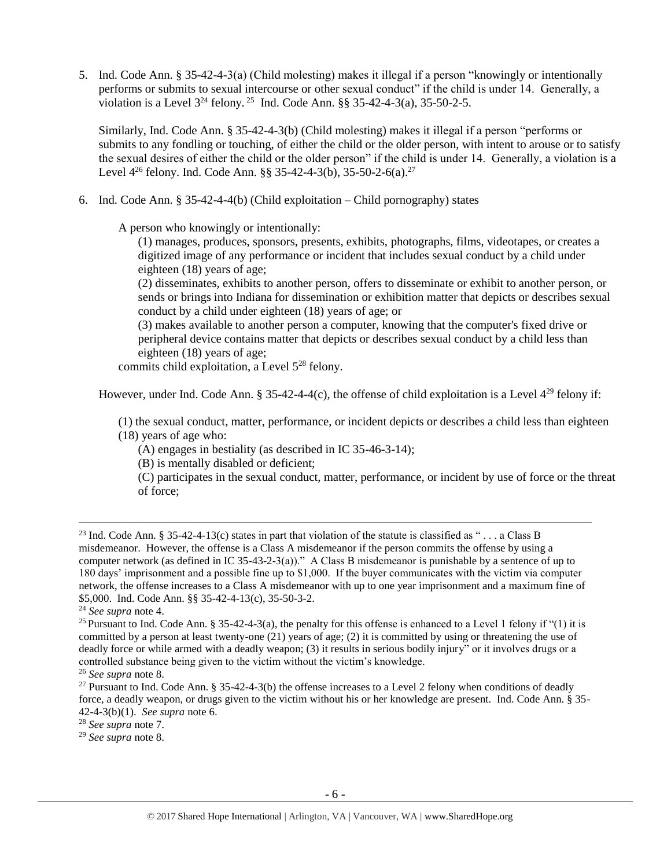5. Ind. Code Ann. § 35-42-4-3(a) (Child molesting) makes it illegal if a person "knowingly or intentionally performs or submits to sexual intercourse or other sexual conduct" if the child is under 14. Generally, a violation is a Level  $3^{24}$  felony. <sup>25</sup> Ind. Code Ann. §§ 35-42-4-3(a), 35-50-2-5.

Similarly, Ind. Code Ann. § 35-42-4-3(b) (Child molesting) makes it illegal if a person "performs or submits to any fondling or touching, of either the child or the older person, with intent to arouse or to satisfy the sexual desires of either the child or the older person" if the child is under 14. Generally, a violation is a Level  $4^{26}$  felony. Ind. Code Ann. §§ 35-42-4-3(b), 35-50-2-6(a).<sup>27</sup>

6. Ind. Code Ann. § 35-42-4-4(b) (Child exploitation – Child pornography) states

A person who knowingly or intentionally:

(1) manages, produces, sponsors, presents, exhibits, photographs, films, videotapes, or creates a digitized image of any performance or incident that includes sexual conduct by a child under eighteen (18) years of age;

(2) disseminates, exhibits to another person, offers to disseminate or exhibit to another person, or sends or brings into Indiana for dissemination or exhibition matter that depicts or describes sexual conduct by a child under eighteen (18) years of age; or

(3) makes available to another person a computer, knowing that the computer's fixed drive or peripheral device contains matter that depicts or describes sexual conduct by a child less than eighteen (18) years of age;

commits child exploitation, a Level 5<sup>28</sup> felony.

However, under Ind. Code Ann. § 35-42-4-4(c), the offense of child exploitation is a Level  $4^{29}$  felony if:

(1) the sexual conduct, matter, performance, or incident depicts or describes a child less than eighteen (18) years of age who:

(A) engages in bestiality (as described in IC 35-46-3-14);

(B) is mentally disabled or deficient;

(C) participates in the sexual conduct, matter, performance, or incident by use of force or the threat of force;

l

<sup>28</sup> *See supra* note [7.](#page-2-0)

<sup>29</sup> *See supra* note [8.](#page-2-1)

<sup>&</sup>lt;sup>23</sup> Ind. Code Ann. § 35-42-4-13(c) states in part that violation of the statute is classified as "... a Class B misdemeanor. However, the offense is a Class A misdemeanor if the person commits the offense by using a computer network (as defined in IC 35-43-2-3(a))." A Class B misdemeanor is punishable by a sentence of up to 180 days' imprisonment and a possible fine up to \$1,000. If the buyer communicates with the victim via computer network, the offense increases to a Class A misdemeanor with up to one year imprisonment and a maximum fine of \$5,000. Ind. Code Ann. §§ 35-42-4-13(c), 35-50-3-2.

<sup>24</sup> *See supra* note [4.](#page-1-1)

<sup>&</sup>lt;sup>25</sup> Pursuant to Ind. Code Ann. § 35-42-4-3(a), the penalty for this offense is enhanced to a Level 1 felony if "(1) it is committed by a person at least twenty-one (21) years of age; (2) it is committed by using or threatening the use of deadly force or while armed with a deadly weapon; (3) it results in serious bodily injury" or it involves drugs or a controlled substance being given to the victim without the victim's knowledge.

<sup>26</sup> *See supra* note [8.](#page-2-1)

<sup>&</sup>lt;sup>27</sup> Pursuant to Ind. Code Ann. § 35-42-4-3(b) the offense increases to a Level 2 felony when conditions of deadly force, a deadly weapon, or drugs given to the victim without his or her knowledge are present. Ind. Code Ann. § 35- 42-4-3(b)(1). *See supra* note [6.](#page-2-2)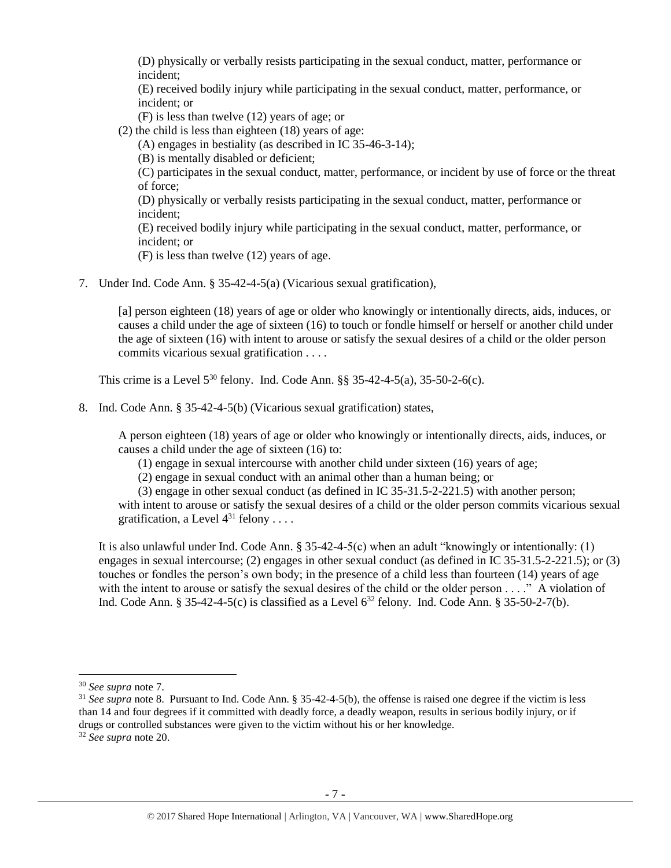(D) physically or verbally resists participating in the sexual conduct, matter, performance or incident;

(E) received bodily injury while participating in the sexual conduct, matter, performance, or incident; or

(F) is less than twelve (12) years of age; or

(2) the child is less than eighteen (18) years of age:

(A) engages in bestiality (as described in IC 35-46-3-14);

(B) is mentally disabled or deficient;

(C) participates in the sexual conduct, matter, performance, or incident by use of force or the threat of force;

(D) physically or verbally resists participating in the sexual conduct, matter, performance or incident;

(E) received bodily injury while participating in the sexual conduct, matter, performance, or incident; or

(F) is less than twelve (12) years of age.

7. Under Ind. Code Ann. § 35-42-4-5(a) (Vicarious sexual gratification),

[a] person eighteen (18) years of age or older who knowingly or intentionally directs, aids, induces, or causes a child under the age of sixteen (16) to touch or fondle himself or herself or another child under the age of sixteen (16) with intent to arouse or satisfy the sexual desires of a child or the older person commits vicarious sexual gratification . . . .

This crime is a Level  $5^{30}$  felony. Ind. Code Ann. §§ 35-42-4-5(a), 35-50-2-6(c).

8. Ind. Code Ann. § 35-42-4-5(b) (Vicarious sexual gratification) states,

A person eighteen (18) years of age or older who knowingly or intentionally directs, aids, induces, or causes a child under the age of sixteen (16) to:

(1) engage in sexual intercourse with another child under sixteen (16) years of age;

(2) engage in sexual conduct with an animal other than a human being; or

(3) engage in other sexual conduct (as defined in IC 35-31.5-2-221.5) with another person;

with intent to arouse or satisfy the sexual desires of a child or the older person commits vicarious sexual gratification, a Level  $4^{31}$  felony . . . .

It is also unlawful under Ind. Code Ann.  $\S 35-42-4-5(c)$  when an adult "knowingly or intentionally: (1) engages in sexual intercourse; (2) engages in other sexual conduct (as defined in IC 35-31.5-2-221.5); or (3) touches or fondles the person's own body; in the presence of a child less than fourteen (14) years of age with the intent to arouse or satisfy the sexual desires of the child or the older person . . . ." A violation of Ind. Code Ann. § 35-42-4-5(c) is classified as a Level  $6^{32}$  felony. Ind. Code Ann. § 35-50-2-7(b).

l

<sup>30</sup> *See supra* note [7.](#page-2-0)

<sup>&</sup>lt;sup>31</sup> *See supra* note [8.](#page-2-1) Pursuant to Ind. Code Ann. § 35-42-4-5(b), the offense is raised one degree if the victim is less than 14 and four degrees if it committed with deadly force, a deadly weapon, results in serious bodily injury, or if drugs or controlled substances were given to the victim without his or her knowledge. <sup>32</sup> *See supra* note [20.](#page-4-0)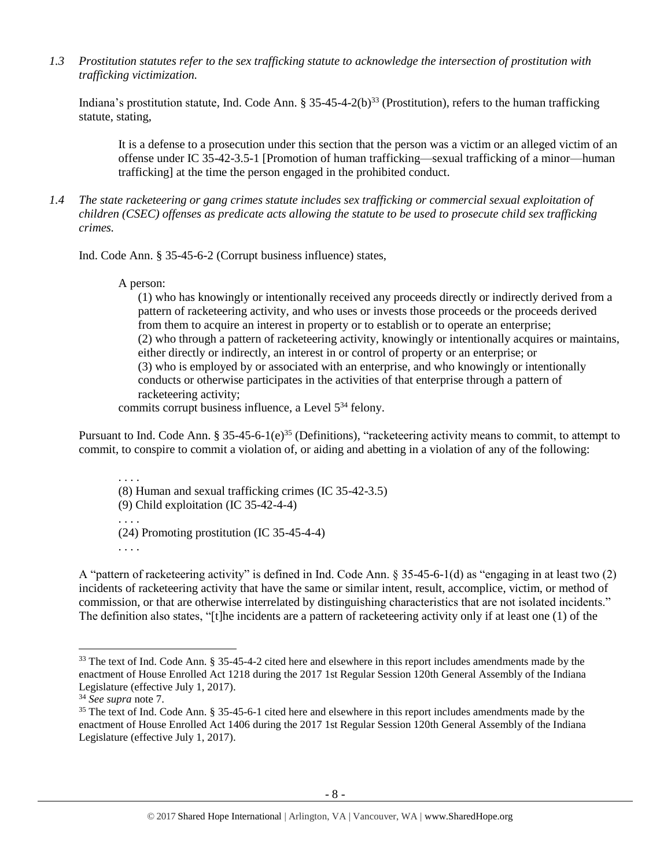*1.3 Prostitution statutes refer to the sex trafficking statute to acknowledge the intersection of prostitution with trafficking victimization.*

Indiana's prostitution statute, Ind. Code Ann.  $\S 35-45-4-2(b)^{33}$  (Prostitution), refers to the human trafficking statute, stating,

<span id="page-7-0"></span>It is a defense to a prosecution under this section that the person was a victim or an alleged victim of an offense under IC 35-42-3.5-1 [Promotion of human trafficking—sexual trafficking of a minor—human trafficking] at the time the person engaged in the prohibited conduct.

*1.4 The state racketeering or gang crimes statute includes sex trafficking or commercial sexual exploitation of children (CSEC) offenses as predicate acts allowing the statute to be used to prosecute child sex trafficking crimes.* 

Ind. Code Ann. § 35-45-6-2 (Corrupt business influence) states,

A person:

(1) who has knowingly or intentionally received any proceeds directly or indirectly derived from a pattern of racketeering activity, and who uses or invests those proceeds or the proceeds derived from them to acquire an interest in property or to establish or to operate an enterprise; (2) who through a pattern of racketeering activity, knowingly or intentionally acquires or maintains, either directly or indirectly, an interest in or control of property or an enterprise; or (3) who is employed by or associated with an enterprise, and who knowingly or intentionally conducts or otherwise participates in the activities of that enterprise through a pattern of racketeering activity;

commits corrupt business influence, a Level  $5^{34}$  felony.

Pursuant to Ind. Code Ann. § 35-45-6-1(e)<sup>35</sup> (Definitions), "racketeering activity means to commit, to attempt to commit, to conspire to commit a violation of, or aiding and abetting in a violation of any of the following:

. . . . (8) Human and sexual trafficking crimes (IC 35-42-3.5) (9) Child exploitation (IC 35-42-4-4) . . . . (24) Promoting prostitution (IC 35-45-4-4) . . . .

A "pattern of racketeering activity" is defined in Ind. Code Ann. § 35-45-6-1(d) as "engaging in at least two (2) incidents of racketeering activity that have the same or similar intent, result, accomplice, victim, or method of commission, or that are otherwise interrelated by distinguishing characteristics that are not isolated incidents." The definition also states, "[t]he incidents are a pattern of racketeering activity only if at least one (1) of the

<sup>&</sup>lt;sup>33</sup> The text of Ind. Code Ann. § 35-45-4-2 cited here and elsewhere in this report includes amendments made by the enactment of House Enrolled Act 1218 during the 2017 1st Regular Session 120th General Assembly of the Indiana Legislature (effective July 1, 2017).

<sup>34</sup> *See supra* note [7.](#page-2-0)

<sup>&</sup>lt;sup>35</sup> The text of Ind. Code Ann. § 35-45-6-1 cited here and elsewhere in this report includes amendments made by the enactment of House Enrolled Act 1406 during the 2017 1st Regular Session 120th General Assembly of the Indiana Legislature (effective July 1, 2017).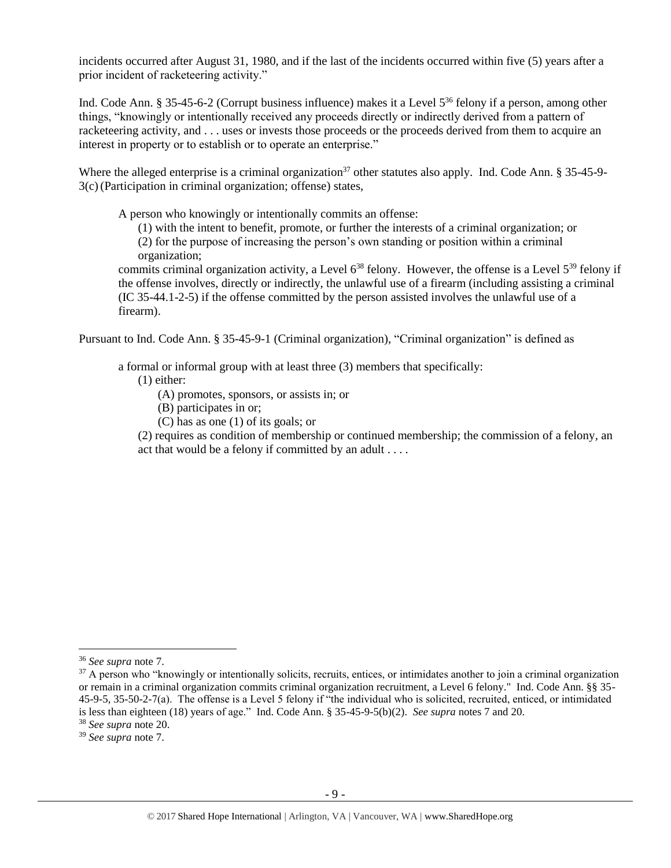incidents occurred after August 31, 1980, and if the last of the incidents occurred within five (5) years after a prior incident of racketeering activity."

Ind. Code Ann. § 35-45-6-2 (Corrupt business influence) makes it a Level 5<sup>36</sup> felony if a person, among other things, "knowingly or intentionally received any proceeds directly or indirectly derived from a pattern of racketeering activity, and . . . uses or invests those proceeds or the proceeds derived from them to acquire an interest in property or to establish or to operate an enterprise."

Where the alleged enterprise is a criminal organization<sup>37</sup> other statutes also apply. Ind. Code Ann.  $\S 35-45-9-$ 3(c)(Participation in criminal organization; offense) states,

A person who knowingly or intentionally commits an offense:

(1) with the intent to benefit, promote, or further the interests of a criminal organization; or

(2) for the purpose of increasing the person's own standing or position within a criminal organization;

commits criminal organization activity, a Level  $6^{38}$  felony. However, the offense is a Level  $5^{39}$  felony if the offense involves, directly or indirectly, the unlawful use of a firearm (including assisting a criminal (IC 35-44.1-2-5) if the offense committed by the person assisted involves the unlawful use of a firearm).

Pursuant to Ind. Code Ann. § 35-45-9-1 (Criminal organization), "Criminal organization" is defined as

a formal or informal group with at least three (3) members that specifically:

(1) either:

(A) promotes, sponsors, or assists in; or

(B) participates in or;

(C) has as one (1) of its goals; or

(2) requires as condition of membership or continued membership; the commission of a felony, an act that would be a felony if committed by an adult . . . .

<sup>36</sup> *See supra* note [7.](#page-2-0)

 $37$  A person who "knowingly or intentionally solicits, recruits, entices, or intimidates another to join a criminal organization or remain in a criminal organization commits criminal organization recruitment, a Level 6 felony." Ind. Code Ann. §§ 35- 45-9-5, 35-50-2-7(a). The offense is a Level 5 felony if "the individual who is solicited, recruited, enticed, or intimidated is less than eighteen (18) years of age." Ind. Code Ann. § 35-45-9-5(b)(2). *See supra* notes [7](#page-2-0) and [20.](#page-4-0)

<sup>38</sup> *See supra* note [20.](#page-4-0)

<sup>39</sup> *See supra* note [7.](#page-2-0)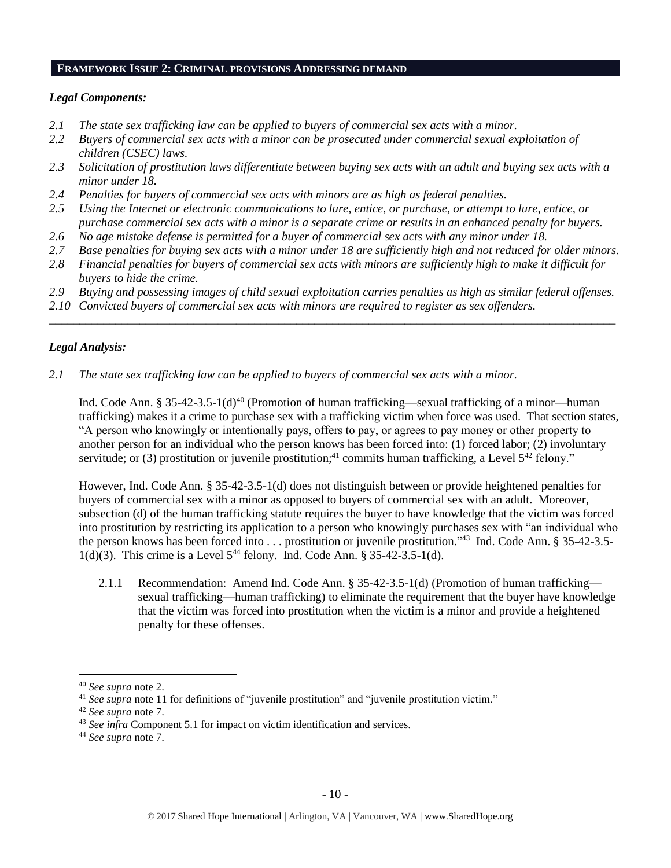#### **FRAMEWORK ISSUE 2: CRIMINAL PROVISIONS ADDRESSING DEMAND**

#### *Legal Components:*

- *2.1 The state sex trafficking law can be applied to buyers of commercial sex acts with a minor.*
- *2.2 Buyers of commercial sex acts with a minor can be prosecuted under commercial sexual exploitation of children (CSEC) laws.*
- *2.3 Solicitation of prostitution laws differentiate between buying sex acts with an adult and buying sex acts with a minor under 18.*
- *2.4 Penalties for buyers of commercial sex acts with minors are as high as federal penalties.*
- *2.5 Using the Internet or electronic communications to lure, entice, or purchase, or attempt to lure, entice, or purchase commercial sex acts with a minor is a separate crime or results in an enhanced penalty for buyers.*
- *2.6 No age mistake defense is permitted for a buyer of commercial sex acts with any minor under 18.*
- *2.7 Base penalties for buying sex acts with a minor under 18 are sufficiently high and not reduced for older minors.*
- *2.8 Financial penalties for buyers of commercial sex acts with minors are sufficiently high to make it difficult for buyers to hide the crime.*
- *2.9 Buying and possessing images of child sexual exploitation carries penalties as high as similar federal offenses.*

\_\_\_\_\_\_\_\_\_\_\_\_\_\_\_\_\_\_\_\_\_\_\_\_\_\_\_\_\_\_\_\_\_\_\_\_\_\_\_\_\_\_\_\_\_\_\_\_\_\_\_\_\_\_\_\_\_\_\_\_\_\_\_\_\_\_\_\_\_\_\_\_\_\_\_\_\_\_\_\_\_\_\_\_\_\_\_\_\_\_\_\_\_\_

*2.10 Convicted buyers of commercial sex acts with minors are required to register as sex offenders.*

## *Legal Analysis:*

*2.1 The state sex trafficking law can be applied to buyers of commercial sex acts with a minor.* 

Ind. Code Ann. § 35-42-3.5-1(d)<sup>40</sup> (Promotion of human trafficking—sexual trafficking of a minor—human trafficking) makes it a crime to purchase sex with a trafficking victim when force was used. That section states, "A person who knowingly or intentionally pays, offers to pay, or agrees to pay money or other property to another person for an individual who the person knows has been forced into: (1) forced labor; (2) involuntary servitude; or (3) prostitution or juvenile prostitution;<sup>41</sup> commits human trafficking, a Level  $5^{42}$  felony."

However, Ind. Code Ann. § 35-42-3.5-1(d) does not distinguish between or provide heightened penalties for buyers of commercial sex with a minor as opposed to buyers of commercial sex with an adult. Moreover, subsection (d) of the human trafficking statute requires the buyer to have knowledge that the victim was forced into prostitution by restricting its application to a person who knowingly purchases sex with "an individual who the person knows has been forced into . . . prostitution or juvenile prostitution."<sup>43</sup> Ind. Code Ann. § 35-42-3.5- $1(d)(3)$ . This crime is a Level  $5^{44}$  felony. Ind. Code Ann. § 35-42-3.5-1(d).

2.1.1 Recommendation: Amend Ind. Code Ann. § 35-42-3.5-1(d) (Promotion of human trafficking sexual trafficking—human trafficking) to eliminate the requirement that the buyer have knowledge that the victim was forced into prostitution when the victim is a minor and provide a heightened penalty for these offenses.

l

<sup>44</sup> *See supra* note [7.](#page-2-0)

<sup>40</sup> *See supra* note [2.](#page-0-0)

<sup>41</sup> *See supra* note [11](#page-3-0) for definitions of "juvenile prostitution" and "juvenile prostitution victim."

<sup>42</sup> *See supra* note [7.](#page-2-0)

<sup>&</sup>lt;sup>43</sup> *See infra* Component 5.1 for impact on victim identification and services.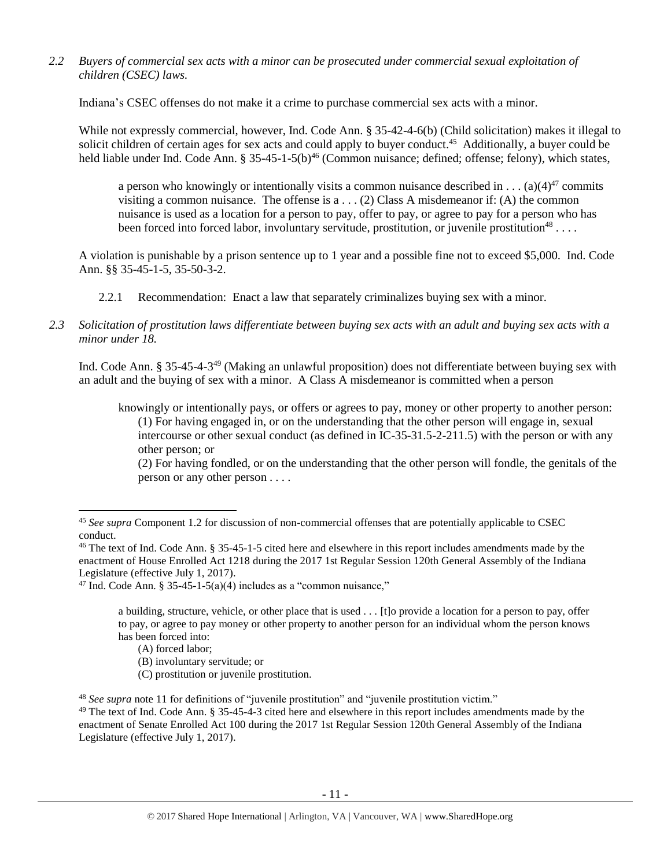*2.2 Buyers of commercial sex acts with a minor can be prosecuted under commercial sexual exploitation of children (CSEC) laws.*

Indiana's CSEC offenses do not make it a crime to purchase commercial sex acts with a minor.

While not expressly commercial, however, Ind. Code Ann. § 35-42-4-6(b) (Child solicitation) makes it illegal to solicit children of certain ages for sex acts and could apply to buyer conduct.<sup>45</sup> Additionally, a buyer could be held liable under Ind. Code Ann. § 35-45-1-5(b)<sup>46</sup> (Common nuisance; defined; offense; felony), which states,

<span id="page-10-0"></span>a person who knowingly or intentionally visits a common nuisance described in . . . (a)(4)<sup>47</sup> commits visiting a common nuisance. The offense is  $a \dots (2)$  Class A misdemeanor if: (A) the common nuisance is used as a location for a person to pay, offer to pay, or agree to pay for a person who has been forced into forced labor, involuntary servitude, prostitution, or juvenile prostitution<sup>48</sup>...

A violation is punishable by a prison sentence up to 1 year and a possible fine not to exceed \$5,000. Ind. Code Ann. §§ 35-45-1-5, 35-50-3-2.

- 2.2.1 Recommendation: Enact a law that separately criminalizes buying sex with a minor.
- *2.3 Solicitation of prostitution laws differentiate between buying sex acts with an adult and buying sex acts with a minor under 18.*

Ind. Code Ann. § 35-45-4-3<sup>49</sup> (Making an unlawful proposition) does not differentiate between buying sex with an adult and the buying of sex with a minor. A Class A misdemeanor is committed when a person

<span id="page-10-1"></span>knowingly or intentionally pays, or offers or agrees to pay, money or other property to another person: (1) For having engaged in, or on the understanding that the other person will engage in, sexual intercourse or other sexual conduct (as defined in IC-35-31.5-2-211.5) with the person or with any other person; or

 $\overline{\phantom{a}}$ 

(C) prostitution or juvenile prostitution.

<sup>(2)</sup> For having fondled, or on the understanding that the other person will fondle, the genitals of the person or any other person . . . .

<sup>45</sup> *See supra* Component 1.2 for discussion of non-commercial offenses that are potentially applicable to CSEC conduct.

<sup>&</sup>lt;sup>46</sup> The text of Ind. Code Ann. § 35-45-1-5 cited here and elsewhere in this report includes amendments made by the enactment of House Enrolled Act 1218 during the 2017 1st Regular Session 120th General Assembly of the Indiana Legislature (effective July 1, 2017).

<sup>&</sup>lt;sup>47</sup> Ind. Code Ann. § 35-45-1-5(a)(4) includes as a "common nuisance,"

a building, structure, vehicle, or other place that is used . . . [t]o provide a location for a person to pay, offer to pay, or agree to pay money or other property to another person for an individual whom the person knows has been forced into:

<sup>(</sup>A) forced labor;

<sup>(</sup>B) involuntary servitude; or

<sup>48</sup> *See supra* note [11](#page-3-0) for definitions of "juvenile prostitution" and "juvenile prostitution victim."

<sup>&</sup>lt;sup>49</sup> The text of Ind. Code Ann. § 35-45-4-3 cited here and elsewhere in this report includes amendments made by the enactment of Senate Enrolled Act 100 during the 2017 1st Regular Session 120th General Assembly of the Indiana Legislature (effective July 1, 2017).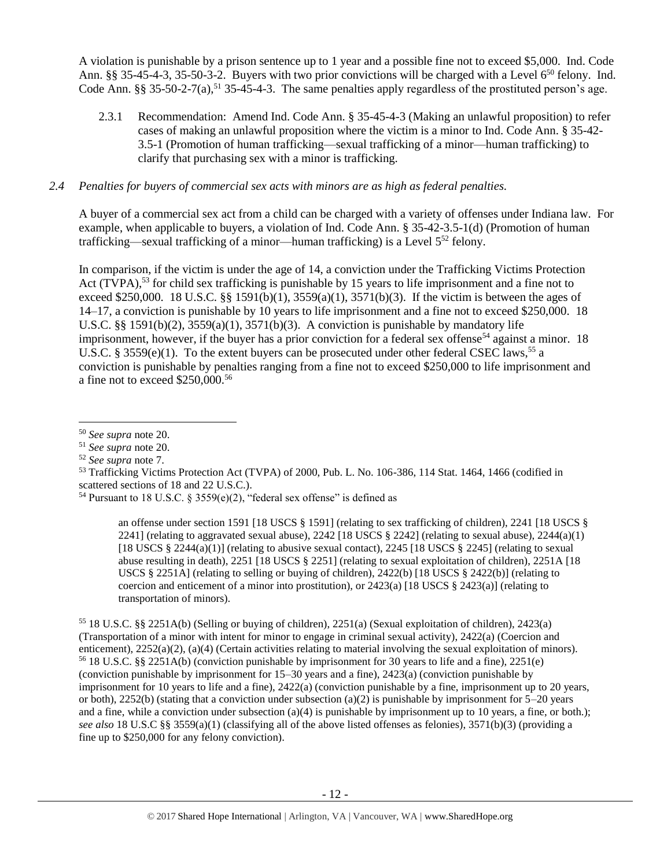A violation is punishable by a prison sentence up to 1 year and a possible fine not to exceed \$5,000. Ind. Code Ann. §§ 35-45-4-3, 35-50-3-2. Buyers with two prior convictions will be charged with a Level  $6^{50}$  felony. Ind. Code Ann.  $\S$ § 35-50-2-7(a),<sup>51</sup> 35-45-4-3. The same penalties apply regardless of the prostituted person's age.

2.3.1 Recommendation: Amend Ind. Code Ann. § 35-45-4-3 (Making an unlawful proposition) to refer cases of making an unlawful proposition where the victim is a minor to Ind. Code Ann. § 35-42- 3.5-1 (Promotion of human trafficking—sexual trafficking of a minor—human trafficking) to clarify that purchasing sex with a minor is trafficking.

## *2.4 Penalties for buyers of commercial sex acts with minors are as high as federal penalties.*

A buyer of a commercial sex act from a child can be charged with a variety of offenses under Indiana law. For example, when applicable to buyers, a violation of Ind. Code Ann. § 35-42-3.5-1(d) (Promotion of human trafficking—sexual trafficking of a minor—human trafficking) is a Level 5<sup>52</sup> felony.

<span id="page-11-0"></span>In comparison, if the victim is under the age of 14, a conviction under the Trafficking Victims Protection Act  $(TVPA)$ ,<sup>53</sup> for child sex trafficking is punishable by 15 years to life imprisonment and a fine not to exceed \$250,000. 18 U.S.C. §§ 1591(b)(1),  $3559(a)(1)$ ,  $3571(b)(3)$ . If the victim is between the ages of 14–17, a conviction is punishable by 10 years to life imprisonment and a fine not to exceed \$250,000. 18 U.S.C. §§ 1591(b)(2), 3559(a)(1), 3571(b)(3). A conviction is punishable by mandatory life imprisonment, however, if the buyer has a prior conviction for a federal sex offense<sup>54</sup> against a minor. 18 U.S.C. § 3559(e)(1). To the extent buyers can be prosecuted under other federal CSEC laws,<sup>55</sup> a conviction is punishable by penalties ranging from a fine not to exceed \$250,000 to life imprisonment and a fine not to exceed \$250,000.<sup>56</sup>

<span id="page-11-1"></span>an offense under section 1591 [18 USCS § 1591] (relating to sex trafficking of children), 2241 [18 USCS § 2241] (relating to aggravated sexual abuse),  $2242$  [18 USCS § 2242] (relating to sexual abuse),  $2244(a)(1)$ [18 USCS § 2244(a)(1)] (relating to abusive sexual contact), 2245 [18 USCS § 2245] (relating to sexual abuse resulting in death), 2251 [18 USCS § 2251] (relating to sexual exploitation of children), 2251A [18 USCS § 2251A] (relating to selling or buying of children), 2422(b) [18 USCS § 2422(b)] (relating to coercion and enticement of a minor into prostitution), or  $2423(a)$  [18 USCS §  $2423(a)$ ] (relating to transportation of minors).

<sup>55</sup> 18 U.S.C. §§ 2251A(b) (Selling or buying of children), 2251(a) (Sexual exploitation of children), 2423(a) (Transportation of a minor with intent for minor to engage in criminal sexual activity), 2422(a) (Coercion and enticement), 2252(a)(2), (a)(4) (Certain activities relating to material involving the sexual exploitation of minors). <sup>56</sup> 18 U.S.C. §§ 2251A(b) (conviction punishable by imprisonment for 30 years to life and a fine), 2251(e) (conviction punishable by imprisonment for 15–30 years and a fine), 2423(a) (conviction punishable by imprisonment for 10 years to life and a fine), 2422(a) (conviction punishable by a fine, imprisonment up to 20 years, or both), 2252(b) (stating that a conviction under subsection (a)(2) is punishable by imprisonment for  $5-20$  years and a fine, while a conviction under subsection (a)(4) is punishable by imprisonment up to 10 years, a fine, or both.); *see also* 18 U.S.C §§ 3559(a)(1) (classifying all of the above listed offenses as felonies), 3571(b)(3) (providing a fine up to \$250,000 for any felony conviction).

 $\overline{a}$ <sup>50</sup> *See supra* note [20.](#page-4-0)

<sup>51</sup> *See supra* note [20.](#page-4-0)

<sup>52</sup> *See supra* note [7.](#page-2-0)

<sup>53</sup> Trafficking Victims Protection Act (TVPA) of 2000, Pub. L. No. 106-386, 114 Stat. 1464, 1466 (codified in scattered sections of 18 and 22 U.S.C.).

<sup>54</sup> Pursuant to 18 U.S.C. § 3559(e)(2), "federal sex offense" is defined as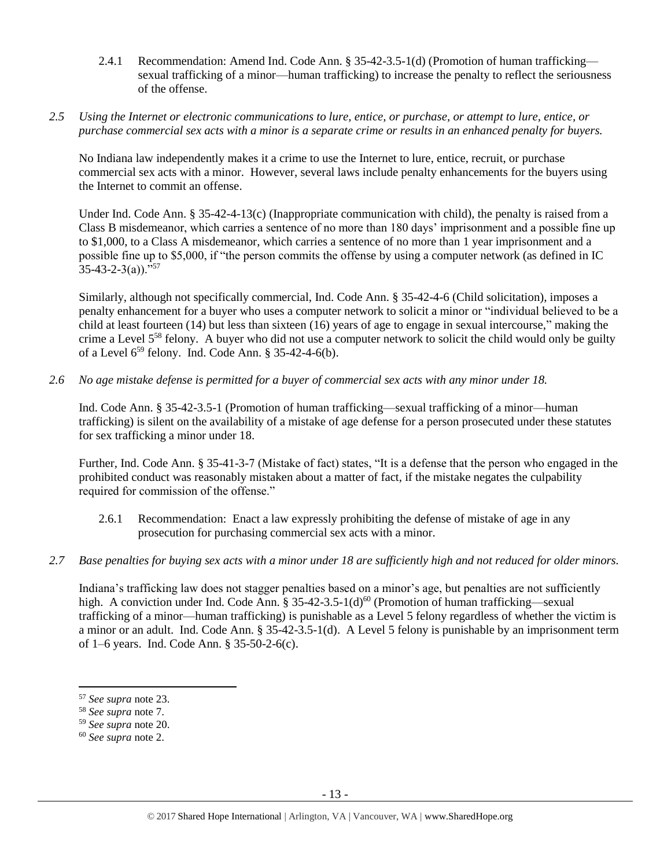- 2.4.1 Recommendation: Amend Ind. Code Ann. § 35-42-3.5-1(d) (Promotion of human trafficking sexual trafficking of a minor—human trafficking) to increase the penalty to reflect the seriousness of the offense.
- *2.5 Using the Internet or electronic communications to lure, entice, or purchase, or attempt to lure, entice, or purchase commercial sex acts with a minor is a separate crime or results in an enhanced penalty for buyers.*

No Indiana law independently makes it a crime to use the Internet to lure, entice, recruit, or purchase commercial sex acts with a minor. However, several laws include penalty enhancements for the buyers using the Internet to commit an offense.

Under Ind. Code Ann. § 35-42-4-13(c) (Inappropriate communication with child), the penalty is raised from a Class B misdemeanor, which carries a sentence of no more than 180 days' imprisonment and a possible fine up to \$1,000, to a Class A misdemeanor, which carries a sentence of no more than 1 year imprisonment and a possible fine up to \$5,000, if "the person commits the offense by using a computer network (as defined in IC  $35-43-2-3(a)$ ."<sup>57</sup>

Similarly, although not specifically commercial, Ind. Code Ann. § 35-42-4-6 (Child solicitation), imposes a penalty enhancement for a buyer who uses a computer network to solicit a minor or "individual believed to be a child at least fourteen (14) but less than sixteen (16) years of age to engage in sexual intercourse," making the crime a Level 5<sup>58</sup> felony. A buyer who did not use a computer network to solicit the child would only be guilty of a Level  $6^{59}$  felony. Ind. Code Ann. § 35-42-4-6(b).

*2.6 No age mistake defense is permitted for a buyer of commercial sex acts with any minor under 18.*

Ind. Code Ann. § 35-42-3.5-1 (Promotion of human trafficking—sexual trafficking of a minor—human trafficking) is silent on the availability of a mistake of age defense for a person prosecuted under these statutes for sex trafficking a minor under 18.

Further, Ind. Code Ann. § 35-41-3-7 (Mistake of fact) states, "It is a defense that the person who engaged in the prohibited conduct was reasonably mistaken about a matter of fact, if the mistake negates the culpability required for commission of the offense."

- 2.6.1 Recommendation: Enact a law expressly prohibiting the defense of mistake of age in any prosecution for purchasing commercial sex acts with a minor.
- *2.7 Base penalties for buying sex acts with a minor under 18 are sufficiently high and not reduced for older minors.*

Indiana's trafficking law does not stagger penalties based on a minor's age, but penalties are not sufficiently high. A conviction under Ind. Code Ann. § 35-42-3.5-1(d)<sup>60</sup> (Promotion of human trafficking—sexual trafficking of a minor—human trafficking) is punishable as a Level 5 felony regardless of whether the victim is a minor or an adult. Ind. Code Ann. § 35-42-3.5-1(d). A Level 5 felony is punishable by an imprisonment term of 1–6 years. Ind. Code Ann. § 35-50-2-6(c).

 $\overline{a}$ 

<sup>57</sup> *See supra* note [23.](#page-4-1)

<sup>58</sup> *See supra* note [7.](#page-2-0)

<sup>59</sup> *See supra* note [20.](#page-4-0)

<sup>60</sup> *See supra* note [2.](#page-0-0)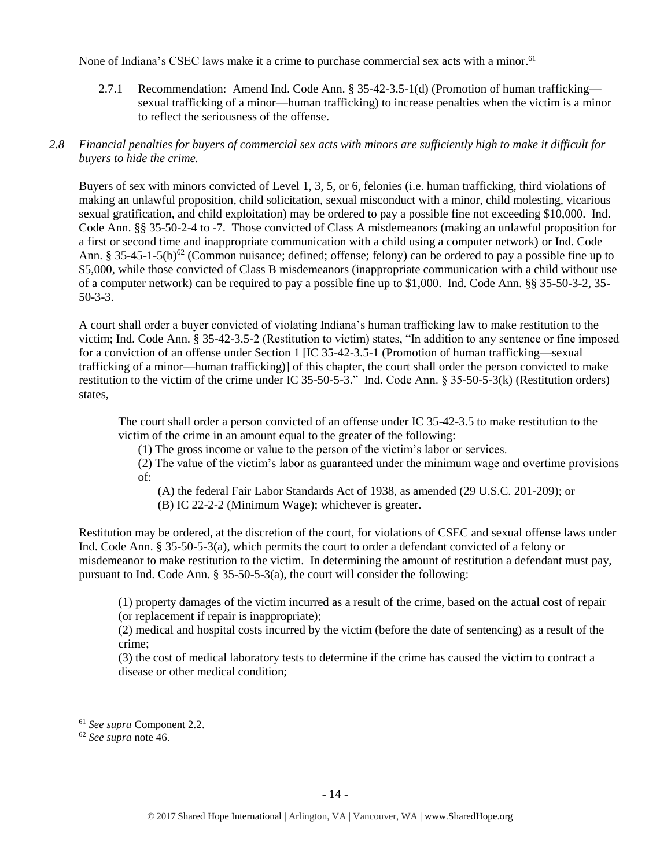None of Indiana's CSEC laws make it a crime to purchase commercial sex acts with a minor.<sup>61</sup>

2.7.1 Recommendation: Amend Ind. Code Ann. § 35-42-3.5-1(d) (Promotion of human trafficking sexual trafficking of a minor—human trafficking) to increase penalties when the victim is a minor to reflect the seriousness of the offense.

# *2.8 Financial penalties for buyers of commercial sex acts with minors are sufficiently high to make it difficult for buyers to hide the crime.*

Buyers of sex with minors convicted of Level 1, 3, 5, or 6, felonies (i.e. human trafficking, third violations of making an unlawful proposition, child solicitation, sexual misconduct with a minor, child molesting, vicarious sexual gratification, and child exploitation) may be ordered to pay a possible fine not exceeding \$10,000. Ind. Code Ann. §§ 35-50-2-4 to -7. Those convicted of Class A misdemeanors (making an unlawful proposition for a first or second time and inappropriate communication with a child using a computer network) or Ind. Code Ann. § 35-45-1-5(b)<sup>62</sup> (Common nuisance; defined; offense; felony) can be ordered to pay a possible fine up to \$5,000, while those convicted of Class B misdemeanors (inappropriate communication with a child without use of a computer network) can be required to pay a possible fine up to \$1,000. Ind. Code Ann. §§ 35-50-3-2, 35- 50-3-3.

A court shall order a buyer convicted of violating Indiana's human trafficking law to make restitution to the victim; Ind. Code Ann. § 35-42-3.5-2 (Restitution to victim) states, "In addition to any sentence or fine imposed for a conviction of an offense under Section 1 [IC 35-42-3.5-1 (Promotion of human trafficking—sexual trafficking of a minor—human trafficking)] of this chapter, the court shall order the person convicted to make restitution to the victim of the crime under IC 35-50-5-3." Ind. Code Ann. § 35-50-5-3(k) (Restitution orders) states,

The court shall order a person convicted of an offense under IC 35-42-3.5 to make restitution to the victim of the crime in an amount equal to the greater of the following:

(1) The gross income or value to the person of the victim's labor or services.

(2) The value of the victim's labor as guaranteed under the minimum wage and overtime provisions of:

(A) the federal Fair Labor Standards Act of 1938, as amended (29 U.S.C. 201-209); or

(B) IC 22-2-2 (Minimum Wage); whichever is greater.

Restitution may be ordered, at the discretion of the court, for violations of CSEC and sexual offense laws under Ind. Code Ann. § 35-50-5-3(a), which permits the court to order a defendant convicted of a felony or misdemeanor to make restitution to the victim. In determining the amount of restitution a defendant must pay, pursuant to Ind. Code Ann. § 35-50-5-3(a), the court will consider the following:

(1) property damages of the victim incurred as a result of the crime, based on the actual cost of repair (or replacement if repair is inappropriate);

(2) medical and hospital costs incurred by the victim (before the date of sentencing) as a result of the crime;

(3) the cost of medical laboratory tests to determine if the crime has caused the victim to contract a disease or other medical condition;

<sup>61</sup> *See supra* Component 2.2.

<sup>62</sup> *See supra* note [46.](#page-10-0)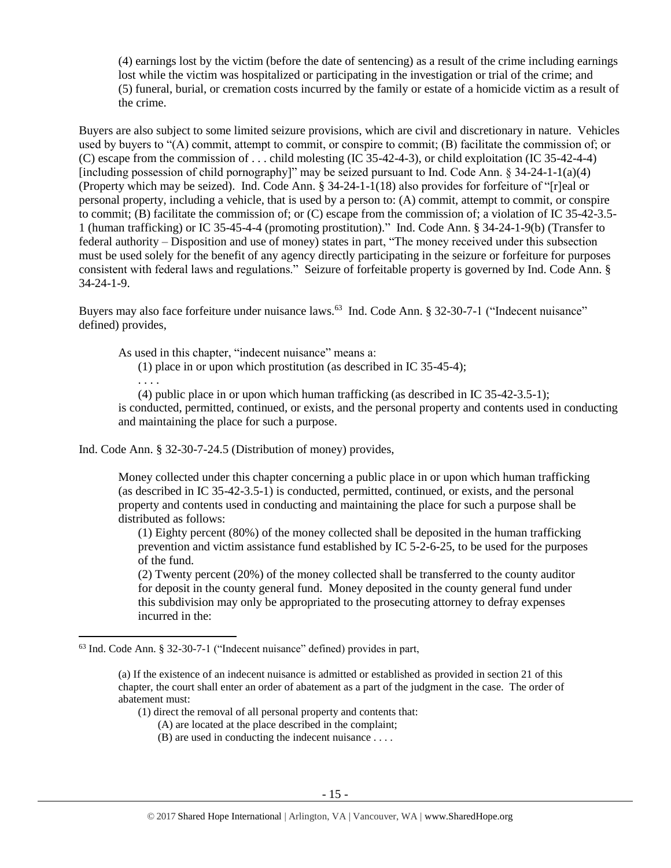(4) earnings lost by the victim (before the date of sentencing) as a result of the crime including earnings lost while the victim was hospitalized or participating in the investigation or trial of the crime; and (5) funeral, burial, or cremation costs incurred by the family or estate of a homicide victim as a result of the crime.

Buyers are also subject to some limited seizure provisions, which are civil and discretionary in nature. Vehicles used by buyers to "(A) commit, attempt to commit, or conspire to commit; (B) facilitate the commission of; or (C) escape from the commission of . . . child molesting (IC 35-42-4-3), or child exploitation (IC 35-42-4-4) [including possession of child pornography]" may be seized pursuant to Ind. Code Ann.  $\S 34-24-1-1(a)(4)$ (Property which may be seized). Ind. Code Ann. § 34-24-1-1(18) also provides for forfeiture of "[r]eal or personal property, including a vehicle, that is used by a person to: (A) commit, attempt to commit, or conspire to commit; (B) facilitate the commission of; or (C) escape from the commission of; a violation of IC 35-42-3.5- 1 (human trafficking) or IC 35-45-4-4 (promoting prostitution)." Ind. Code Ann. § 34-24-1-9(b) (Transfer to federal authority – Disposition and use of money) states in part, "The money received under this subsection must be used solely for the benefit of any agency directly participating in the seizure or forfeiture for purposes consistent with federal laws and regulations." Seizure of forfeitable property is governed by Ind. Code Ann. § 34-24-1-9.

Buyers may also face forfeiture under nuisance laws.<sup>63</sup> Ind. Code Ann. § 32-30-7-1 ("Indecent nuisance" defined) provides,

As used in this chapter, "indecent nuisance" means a:

(1) place in or upon which prostitution (as described in IC 35-45-4);

. . . .

l

(4) public place in or upon which human trafficking (as described in IC 35-42-3.5-1); is conducted, permitted, continued, or exists, and the personal property and contents used in conducting and maintaining the place for such a purpose.

Ind. Code Ann. § 32-30-7-24.5 (Distribution of money) provides,

Money collected under this chapter concerning a public place in or upon which human trafficking (as described in IC 35-42-3.5-1) is conducted, permitted, continued, or exists, and the personal property and contents used in conducting and maintaining the place for such a purpose shall be distributed as follows:

(1) Eighty percent (80%) of the money collected shall be deposited in the human trafficking prevention and victim assistance fund established by IC 5-2-6-25, to be used for the purposes of the fund.

(2) Twenty percent (20%) of the money collected shall be transferred to the county auditor for deposit in the county general fund. Money deposited in the county general fund under this subdivision may only be appropriated to the prosecuting attorney to defray expenses incurred in the:

- (1) direct the removal of all personal property and contents that:
	- (A) are located at the place described in the complaint;
	- (B) are used in conducting the indecent nuisance . . . .

<sup>63</sup> Ind. Code Ann. § 32-30-7-1 ("Indecent nuisance" defined) provides in part,

<sup>(</sup>a) If the existence of an indecent nuisance is admitted or established as provided in section 21 of this chapter, the court shall enter an order of abatement as a part of the judgment in the case. The order of abatement must: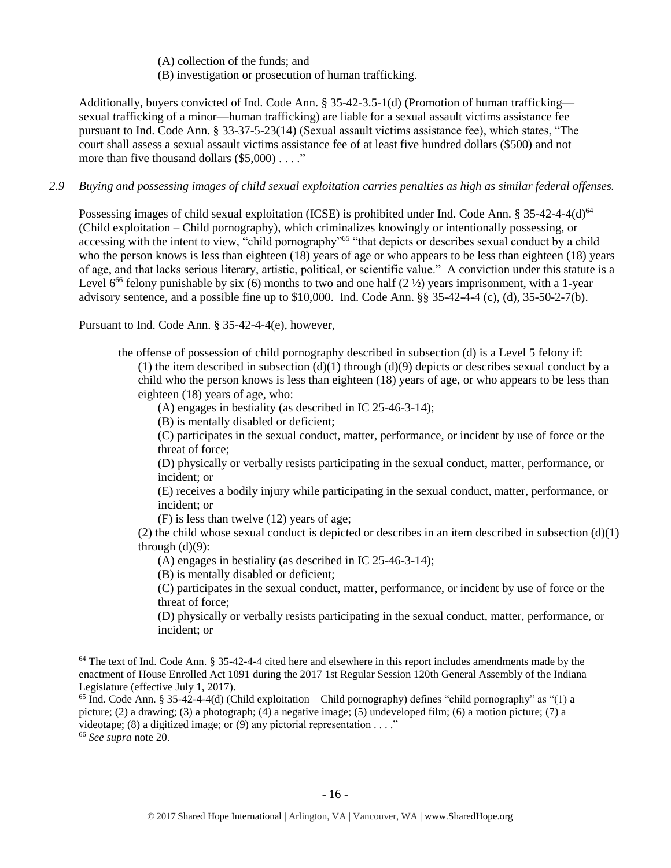(A) collection of the funds; and (B) investigation or prosecution of human trafficking.

Additionally, buyers convicted of Ind. Code Ann. § 35-42-3.5-1(d) (Promotion of human trafficking sexual trafficking of a minor—human trafficking) are liable for a sexual assault victims assistance fee pursuant to Ind. Code Ann. § 33-37-5-23(14) (Sexual assault victims assistance fee), which states, "The court shall assess a sexual assault victims assistance fee of at least five hundred dollars (\$500) and not more than five thousand dollars (\$5,000) . . . ."

#### *2.9 Buying and possessing images of child sexual exploitation carries penalties as high as similar federal offenses.*

Possessing images of child sexual exploitation (ICSE) is prohibited under Ind. Code Ann. § 35-42-4-4(d)<sup>64</sup> (Child exploitation – Child pornography), which criminalizes knowingly or intentionally possessing, or accessing with the intent to view, "child pornography"<sup>65</sup> "that depicts or describes sexual conduct by a child who the person knows is less than eighteen (18) years of age or who appears to be less than eighteen (18) years of age, and that lacks serious literary, artistic, political, or scientific value." A conviction under this statute is a Level  $6^{66}$  felony punishable by six (6) months to two and one half (2  $\frac{1}{2}$ ) years imprisonment, with a 1-year advisory sentence, and a possible fine up to  $$10,000$ . Ind. Code Ann.  $§$ § 35-42-4-4 (c), (d), 35-50-2-7(b).

Pursuant to Ind. Code Ann. § 35-42-4-4(e), however,

the offense of possession of child pornography described in subsection (d) is a Level 5 felony if:

(1) the item described in subsection  $(d)(1)$  through  $(d)(9)$  depicts or describes sexual conduct by a child who the person knows is less than eighteen (18) years of age, or who appears to be less than eighteen (18) years of age, who:

(A) engages in bestiality (as described in IC 25-46-3-14);

(B) is mentally disabled or deficient;

(C) participates in the sexual conduct, matter, performance, or incident by use of force or the threat of force;

(D) physically or verbally resists participating in the sexual conduct, matter, performance, or incident; or

(E) receives a bodily injury while participating in the sexual conduct, matter, performance, or incident; or

(F) is less than twelve (12) years of age;

(2) the child whose sexual conduct is depicted or describes in an item described in subsection (d)(1) through  $(d)(9)$ :

(A) engages in bestiality (as described in IC 25-46-3-14);

(B) is mentally disabled or deficient;

 $\overline{\phantom{a}}$ 

(C) participates in the sexual conduct, matter, performance, or incident by use of force or the threat of force;

(D) physically or verbally resists participating in the sexual conduct, matter, performance, or incident; or

<sup>65</sup> Ind. Code Ann. § 35-42-4-4(d) (Child exploitation – Child pornography) defines "child pornography" as "(1) a picture; (2) a drawing; (3) a photograph; (4) a negative image; (5) undeveloped film; (6) a motion picture; (7) a videotape; (8) a digitized image; or (9) any pictorial representation  $\dots$ ." <sup>66</sup> *See supra* note [20.](#page-4-0)

 $64$  The text of Ind. Code Ann. § 35-42-4-4 cited here and elsewhere in this report includes amendments made by the enactment of House Enrolled Act 1091 during the 2017 1st Regular Session 120th General Assembly of the Indiana Legislature (effective July 1, 2017).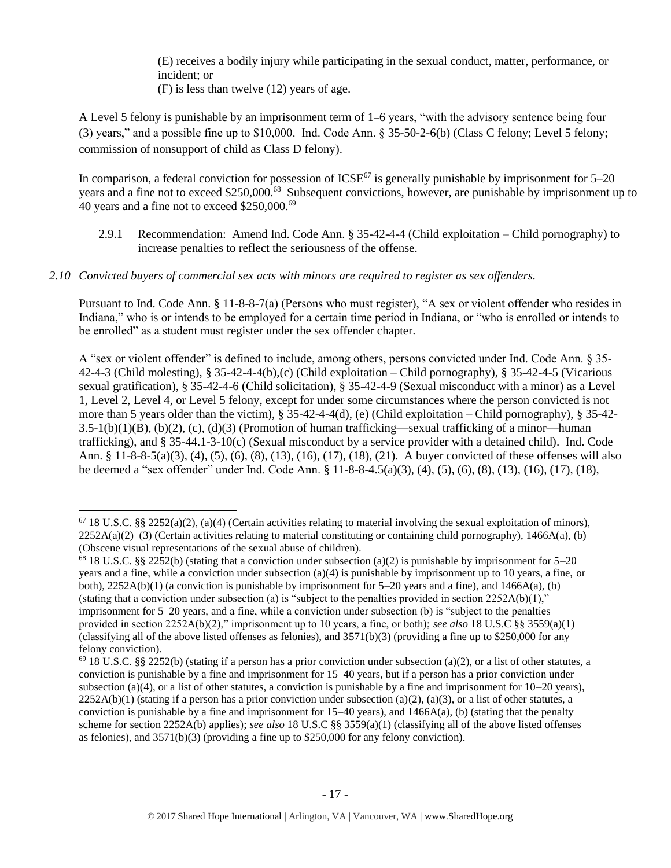(E) receives a bodily injury while participating in the sexual conduct, matter, performance, or incident; or

(F) is less than twelve (12) years of age.

 $\overline{\phantom{a}}$ 

A Level 5 felony is punishable by an imprisonment term of 1–6 years, "with the advisory sentence being four (3) years," and a possible fine up to \$10,000. Ind. Code Ann. § 35-50-2-6(b) (Class C felony; Level 5 felony; commission of nonsupport of child as Class D felony).

In comparison, a federal conviction for possession of  $ICSE^{67}$  is generally punishable by imprisonment for  $5-20$ years and a fine not to exceed \$250,000.<sup>68</sup> Subsequent convictions, however, are punishable by imprisonment up to 40 years and a fine not to exceed \$250,000.<sup>69</sup>

- 2.9.1 Recommendation: Amend Ind. Code Ann. § 35-42-4-4 (Child exploitation Child pornography) to increase penalties to reflect the seriousness of the offense.
- *2.10 Convicted buyers of commercial sex acts with minors are required to register as sex offenders.*

Pursuant to Ind. Code Ann. § 11-8-8-7(a) (Persons who must register), "A sex or violent offender who resides in Indiana," who is or intends to be employed for a certain time period in Indiana, or "who is enrolled or intends to be enrolled" as a student must register under the sex offender chapter.

A "sex or violent offender" is defined to include, among others, persons convicted under Ind. Code Ann. § 35- 42-4-3 (Child molesting), § 35-42-4-4(b),(c) (Child exploitation – Child pornography), § 35-42-4-5 (Vicarious sexual gratification), § 35-42-4-6 (Child solicitation), § 35-42-4-9 (Sexual misconduct with a minor) as a Level 1, Level 2, Level 4, or Level 5 felony, except for under some circumstances where the person convicted is not more than 5 years older than the victim), § 35-42-4-4(d), (e) (Child exploitation – Child pornography), § 35-42- 3.5-1(b)(1)(B), (b)(2), (c), (d)(3) (Promotion of human trafficking—sexual trafficking of a minor—human trafficking), and § 35-44.1-3-10(c) (Sexual misconduct by a service provider with a detained child). Ind. Code Ann. § 11-8-8-5(a)(3), (4), (5), (6), (8), (13), (16), (17), (18), (21). A buyer convicted of these offenses will also be deemed a "sex offender" under Ind. Code Ann. § 11-8-8-4.5(a)(3), (4), (5), (6), (8), (13), (16), (17), (18),

 $67$  18 U.S.C. §§ 2252(a)(2), (a)(4) (Certain activities relating to material involving the sexual exploitation of minors),  $2252A(a)(2)$ –(3) (Certain activities relating to material constituting or containing child pornography), 1466A(a), (b) (Obscene visual representations of the sexual abuse of children).

 $68$  18 U.S.C. §§ 2252(b) (stating that a conviction under subsection (a)(2) is punishable by imprisonment for 5–20 years and a fine, while a conviction under subsection (a)(4) is punishable by imprisonment up to 10 years, a fine, or both),  $2252A(b)(1)$  (a conviction is punishable by imprisonment for  $5-20$  years and a fine), and  $1466A(a)$ , (b) (stating that a conviction under subsection (a) is "subject to the penalties provided in section  $2252A(b)(1)$ ," imprisonment for 5–20 years, and a fine, while a conviction under subsection (b) is "subject to the penalties provided in section 2252A(b)(2)," imprisonment up to 10 years, a fine, or both); *see also* 18 U.S.C §§ 3559(a)(1) (classifying all of the above listed offenses as felonies), and  $3571(b)(3)$  (providing a fine up to \$250,000 for any felony conviction).

 $^{69}$  18 U.S.C. §§ 2252(b) (stating if a person has a prior conviction under subsection (a)(2), or a list of other statutes, a conviction is punishable by a fine and imprisonment for 15–40 years, but if a person has a prior conviction under subsection (a)(4), or a list of other statutes, a conviction is punishable by a fine and imprisonment for  $10-20$  years),  $2252A(b)(1)$  (stating if a person has a prior conviction under subsection (a)(2), (a)(3), or a list of other statutes, a conviction is punishable by a fine and imprisonment for  $15-40$  years), and  $1466A(a)$ , (b) (stating that the penalty scheme for section 2252A(b) applies); *see also* 18 U.S.C §§ 3559(a)(1) (classifying all of the above listed offenses as felonies), and 3571(b)(3) (providing a fine up to \$250,000 for any felony conviction).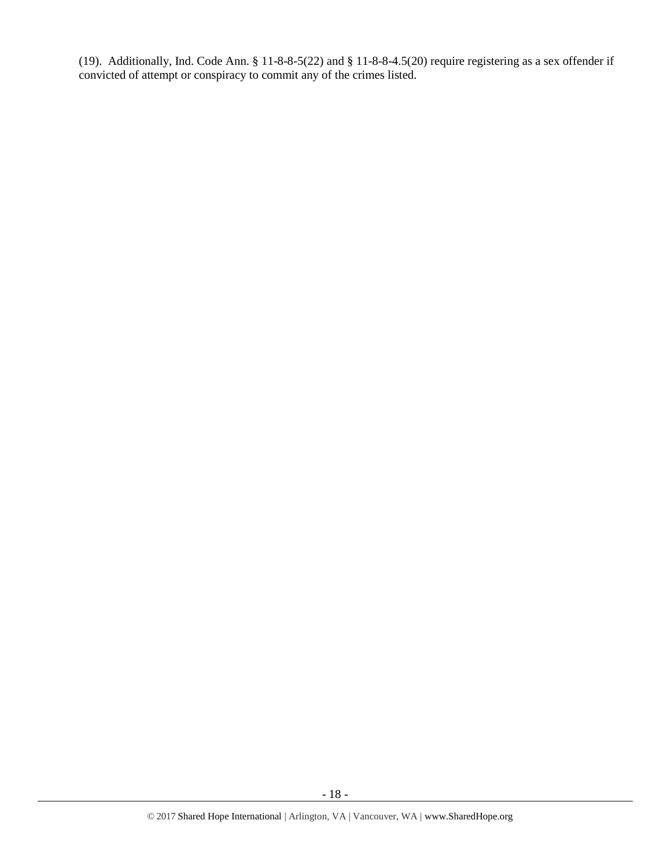(19). Additionally, Ind. Code Ann. § 11-8-8-5(22) and § 11-8-8-4.5(20) require registering as a sex offender if convicted of attempt or conspiracy to commit any of the crimes listed.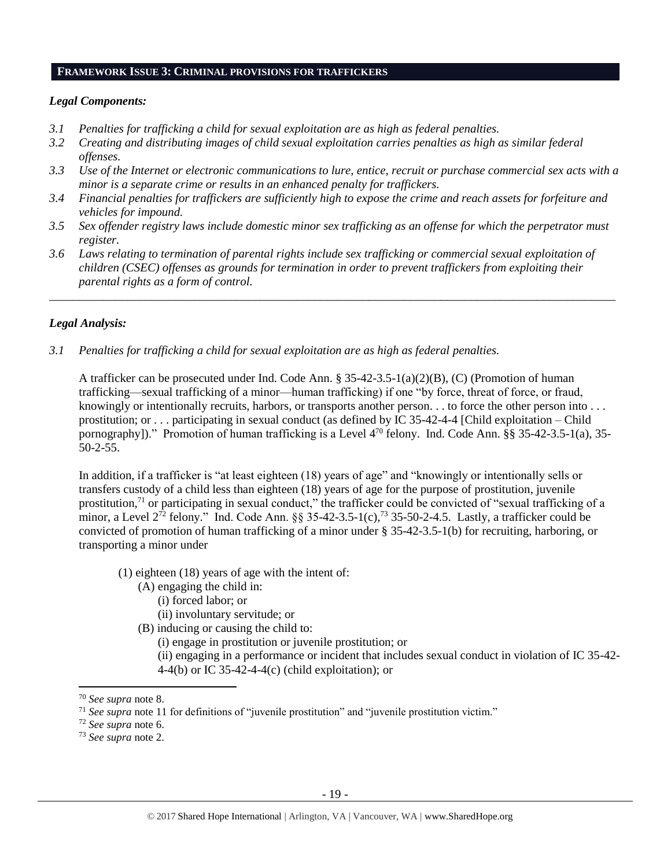#### **FRAMEWORK ISSUE 3: CRIMINAL PROVISIONS FOR TRAFFICKERS**

#### *Legal Components:*

- *3.1 Penalties for trafficking a child for sexual exploitation are as high as federal penalties.*
- *3.2 Creating and distributing images of child sexual exploitation carries penalties as high as similar federal offenses.*
- *3.3 Use of the Internet or electronic communications to lure, entice, recruit or purchase commercial sex acts with a minor is a separate crime or results in an enhanced penalty for traffickers.*
- *3.4 Financial penalties for traffickers are sufficiently high to expose the crime and reach assets for forfeiture and vehicles for impound.*
- *3.5 Sex offender registry laws include domestic minor sex trafficking as an offense for which the perpetrator must register.*
- *3.6 Laws relating to termination of parental rights include sex trafficking or commercial sexual exploitation of children (CSEC) offenses as grounds for termination in order to prevent traffickers from exploiting their parental rights as a form of control.*

*\_\_\_\_\_\_\_\_\_\_\_\_\_\_\_\_\_\_\_\_\_\_\_\_\_\_\_\_\_\_\_\_\_\_\_\_\_\_\_\_\_\_\_\_\_\_\_\_\_\_\_\_\_\_\_\_\_\_\_\_\_\_\_\_\_\_\_\_\_\_\_\_\_\_\_\_\_\_\_\_\_\_\_\_\_\_\_\_\_\_\_\_\_\_*

## *Legal Analysis:*

*3.1 Penalties for trafficking a child for sexual exploitation are as high as federal penalties.* 

A trafficker can be prosecuted under Ind. Code Ann. § 35-42-3.5-1(a)(2)(B), (C) (Promotion of human trafficking—sexual trafficking of a minor—human trafficking) if one "by force, threat of force, or fraud, knowingly or intentionally recruits, harbors, or transports another person. . . to force the other person into . . . prostitution; or . . . participating in sexual conduct (as defined by IC 35-42-4-4 [Child exploitation – Child pornography])." Promotion of human trafficking is a Level 4<sup>70</sup> felony. Ind. Code Ann. §§ 35-42-3.5-1(a), 35-50-2-55.

In addition, if a trafficker is "at least eighteen (18) years of age" and "knowingly or intentionally sells or transfers custody of a child less than eighteen (18) years of age for the purpose of prostitution, juvenile prostitution,<sup>71</sup> or participating in sexual conduct," the trafficker could be convicted of "sexual trafficking of a minor, a Level  $2^{72}$  felony." Ind. Code Ann. §§ 35-42-3.5-1(c),<sup>73</sup> 35-50-2-4.5. Lastly, a trafficker could be convicted of promotion of human trafficking of a minor under § 35-42-3.5-1(b) for recruiting, harboring, or transporting a minor under

- (1) eighteen (18) years of age with the intent of:
	- (A) engaging the child in:
		- (i) forced labor; or
		- (ii) involuntary servitude; or
	- (B) inducing or causing the child to:

(i) engage in prostitution or juvenile prostitution; or

(ii) engaging in a performance or incident that includes sexual conduct in violation of IC 35-42- 4-4(b) or IC 35-42-4-4(c) (child exploitation); or

 $\overline{a}$ 

- <sup>72</sup> *See supra* note [6.](#page-2-2)
- <sup>73</sup> *See supra* note [2.](#page-0-0)

<sup>70</sup> *See supra* note [8.](#page-2-1)

<sup>71</sup> *See supra* note [11](#page-3-0) for definitions of "juvenile prostitution" and "juvenile prostitution victim."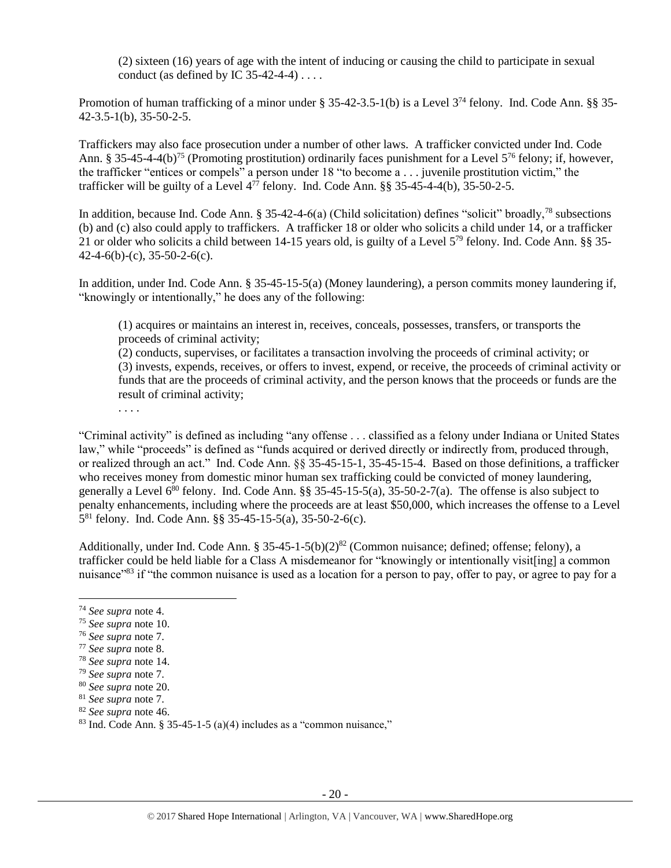(2) sixteen (16) years of age with the intent of inducing or causing the child to participate in sexual conduct (as defined by IC  $35-42-4-4$ )...

Promotion of human trafficking of a minor under § 35-42-3.5-1(b) is a Level 3<sup>74</sup> felony. Ind. Code Ann. §§ 35-42-3.5-1(b), 35-50-2-5.

Traffickers may also face prosecution under a number of other laws. A trafficker convicted under Ind. Code Ann. § 35-45-4-4(b)<sup>75</sup> (Promoting prostitution) ordinarily faces punishment for a Level  $5^{76}$  felony; if, however, the trafficker "entices or compels" a person under 18 "to become a . . . juvenile prostitution victim," the trafficker will be guilty of a Level  $4^{77}$  felony. Ind. Code Ann. §§ 35-45-4-4(b), 35-50-2-5.

In addition, because Ind. Code Ann.  $\S 35-42-4-6(a)$  (Child solicitation) defines "solicit" broadly,<sup>78</sup> subsections (b) and (c) also could apply to traffickers. A trafficker 18 or older who solicits a child under 14, or a trafficker 21 or older who solicits a child between 14-15 years old, is guilty of a Level 5<sup>79</sup> felony. Ind. Code Ann. §§ 35- 42-4-6(b)-(c), 35-50-2-6(c).

In addition, under Ind. Code Ann. § 35-45-15-5(a) (Money laundering), a person commits money laundering if, "knowingly or intentionally," he does any of the following:

(1) acquires or maintains an interest in, receives, conceals, possesses, transfers, or transports the proceeds of criminal activity;

(2) conducts, supervises, or facilitates a transaction involving the proceeds of criminal activity; or (3) invests, expends, receives, or offers to invest, expend, or receive, the proceeds of criminal activity or funds that are the proceeds of criminal activity, and the person knows that the proceeds or funds are the result of criminal activity;

. . . .

"Criminal activity" is defined as including "any offense . . . classified as a felony under Indiana or United States law," while "proceeds" is defined as "funds acquired or derived directly or indirectly from, produced through, or realized through an act." Ind. Code Ann. §§ 35-45-15-1, 35-45-15-4. Based on those definitions, a trafficker who receives money from domestic minor human sex trafficking could be convicted of money laundering, generally a Level  $6^{80}$  felony. Ind. Code Ann. §§ 35-45-15-5(a), 35-50-2-7(a). The offense is also subject to penalty enhancements, including where the proceeds are at least \$50,000, which increases the offense to a Level 5 <sup>81</sup> felony. Ind. Code Ann. §§ 35-45-15-5(a), 35-50-2-6(c).

Additionally, under Ind. Code Ann. § 35-45-1-5(b)(2)<sup>82</sup> (Common nuisance; defined; offense; felony), a trafficker could be held liable for a Class A misdemeanor for "knowingly or intentionally visit[ing] a common nuisance"<sup>83</sup> if "the common nuisance is used as a location for a person to pay, offer to pay, or agree to pay for a

l

<sup>74</sup> *See supra* note [4.](#page-1-1)

<sup>75</sup> *See supra* note [10.](#page-3-1)

<sup>76</sup> *See supra* note [7.](#page-2-0)

<sup>77</sup> *See supra* note [8.](#page-2-1)

<sup>78</sup> *See supra* note [14.](#page-3-2)

<sup>79</sup> *See supra* note [7.](#page-2-0)

<sup>80</sup> *See supra* note [20.](#page-4-0)

<sup>81</sup> *See supra* note [7.](#page-2-0)

<sup>82</sup> *See supra* note [46.](#page-10-0)

<sup>&</sup>lt;sup>83</sup> Ind. Code Ann. § 35-45-1-5 (a)(4) includes as a "common nuisance,"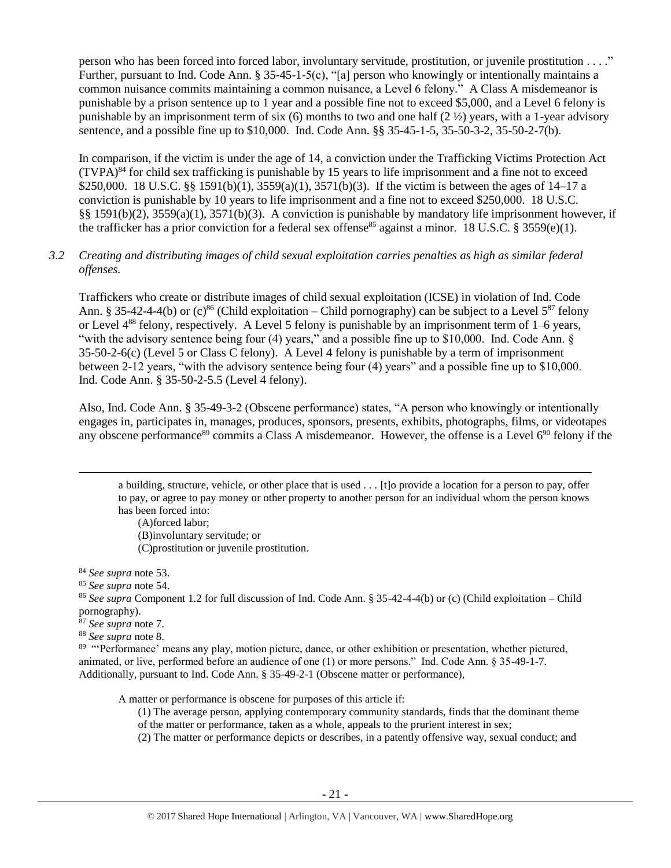person who has been forced into forced labor, involuntary servitude, prostitution, or juvenile prostitution . . . ." Further, pursuant to Ind. Code Ann. § 35-45-1-5(c), "[a] person who knowingly or intentionally maintains a common nuisance commits maintaining a common nuisance, a Level 6 felony." A Class A misdemeanor is punishable by a prison sentence up to 1 year and a possible fine not to exceed \$5,000, and a Level 6 felony is punishable by an imprisonment term of six (6) months to two and one half  $(2 \frac{1}{2})$  years, with a 1-year advisory sentence, and a possible fine up to \$10,000. Ind. Code Ann. §§ 35-45-1-5, 35-50-3-2, 35-50-2-7(b).

In comparison, if the victim is under the age of 14, a conviction under the Trafficking Victims Protection Act  $(TVPA)^{84}$  for child sex trafficking is punishable by 15 years to life imprisonment and a fine not to exceed \$250,000. 18 U.S.C. §§ 1591(b)(1), 3559(a)(1), 3571(b)(3). If the victim is between the ages of 14–17 a conviction is punishable by 10 years to life imprisonment and a fine not to exceed \$250,000. 18 U.S.C. §§ 1591(b)(2), 3559(a)(1), 3571(b)(3). A conviction is punishable by mandatory life imprisonment however, if the trafficker has a prior conviction for a federal sex offense<sup>85</sup> against a minor. 18 U.S.C. § 3559(e)(1).

## *3.2 Creating and distributing images of child sexual exploitation carries penalties as high as similar federal offenses.*

Traffickers who create or distribute images of child sexual exploitation (ICSE) in violation of Ind. Code Ann. § 35-42-4-4(b) or (c)<sup>86</sup> (Child exploitation – Child pornography) can be subject to a Level  $5^{87}$  felony or Level  $4^{88}$  felony, respectively. A Level 5 felony is punishable by an imprisonment term of 1–6 years, "with the advisory sentence being four (4) years," and a possible fine up to \$10,000. Ind. Code Ann. § 35-50-2-6(c) (Level 5 or Class C felony). A Level 4 felony is punishable by a term of imprisonment between 2-12 years, "with the advisory sentence being four (4) years" and a possible fine up to \$10,000. Ind. Code Ann. § 35-50-2-5.5 (Level 4 felony).

Also, Ind. Code Ann. § 35-49-3-2 (Obscene performance) states, "A person who knowingly or intentionally engages in, participates in, manages, produces, sponsors, presents, exhibits, photographs, films, or videotapes any obscene performance<sup>89</sup> commits a Class A misdemeanor. However, the offense is a Level  $6^{90}$  felony if the

<span id="page-20-0"></span>a building, structure, vehicle, or other place that is used . . . [t]o provide a location for a person to pay, offer to pay, or agree to pay money or other property to another person for an individual whom the person knows has been forced into:

(A)forced labor; (B)involuntary servitude; or (C)prostitution or juvenile prostitution.

<sup>84</sup> *See supra* note [53.](#page-11-0)

 $\overline{\phantom{a}}$ 

<sup>85</sup> *See supra* note [54.](#page-11-1) 

<sup>86</sup> *See supra* Component 1.2 for full discussion of Ind. Code Ann. § 35-42-4-4(b) or (c) (Child exploitation – Child pornography).

<sup>87</sup> *See supra* note [7.](#page-2-0)

<sup>88</sup> *See supra* note [8.](#page-2-1)

<sup>89</sup> "Performance' means any play, motion picture, dance, or other exhibition or presentation, whether pictured, animated, or live, performed before an audience of one (1) or more persons." Ind. Code Ann. § 35-49-1-7. Additionally, pursuant to Ind. Code Ann. § 35-49-2-1 (Obscene matter or performance),

A matter or performance is obscene for purposes of this article if:

(1) The average person, applying contemporary community standards, finds that the dominant theme of the matter or performance, taken as a whole, appeals to the prurient interest in sex;

(2) The matter or performance depicts or describes, in a patently offensive way, sexual conduct; and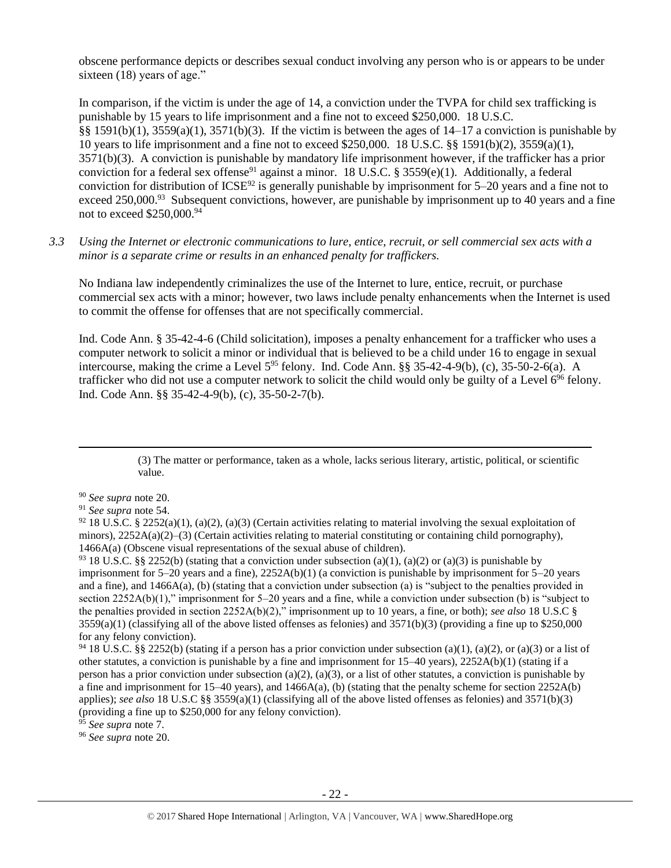obscene performance depicts or describes sexual conduct involving any person who is or appears to be under sixteen (18) years of age."

In comparison, if the victim is under the age of 14, a conviction under the TVPA for child sex trafficking is punishable by 15 years to life imprisonment and a fine not to exceed \$250,000. 18 U.S.C. §§ 1591(b)(1), 3559(a)(1), 3571(b)(3). If the victim is between the ages of  $14-17$  a conviction is punishable by 10 years to life imprisonment and a fine not to exceed \$250,000. 18 U.S.C. §§ 1591(b)(2), 3559(a)(1), 3571(b)(3). A conviction is punishable by mandatory life imprisonment however, if the trafficker has a prior conviction for a federal sex offense<sup>91</sup> against a minor. 18 U.S.C. § 3559(e)(1). Additionally, a federal conviction for distribution of  $ICSE^{92}$  is generally punishable by imprisonment for 5–20 years and a fine not to exceed 250,000.<sup>93</sup> Subsequent convictions, however, are punishable by imprisonment up to 40 years and a fine not to exceed \$250,000.<sup>94</sup>

*3.3 Using the Internet or electronic communications to lure, entice, recruit, or sell commercial sex acts with a minor is a separate crime or results in an enhanced penalty for traffickers.*

No Indiana law independently criminalizes the use of the Internet to lure, entice, recruit, or purchase commercial sex acts with a minor; however, two laws include penalty enhancements when the Internet is used to commit the offense for offenses that are not specifically commercial.

Ind. Code Ann. § 35-42-4-6 (Child solicitation), imposes a penalty enhancement for a trafficker who uses a computer network to solicit a minor or individual that is believed to be a child under 16 to engage in sexual intercourse, making the crime a Level  $5^{95}$  felony. Ind. Code Ann. §§ 35-42-4-9(b), (c), 35-50-2-6(a). A trafficker who did not use a computer network to solicit the child would only be guilty of a Level  $6^{96}$  felony. Ind. Code Ann. §§ 35-42-4-9(b), (c), 35-50-2-7(b).

> (3) The matter or performance, taken as a whole, lacks serious literary, artistic, political, or scientific value.

<sup>90</sup> *See supra* note [20.](#page-4-0)

 $\overline{a}$ 

<sup>91</sup> *See supra* note [54.](#page-11-1) 

 $92$  18 U.S.C. § 2252(a)(1), (a)(2), (a)(3) (Certain activities relating to material involving the sexual exploitation of minors),  $2252A(a)(2)$ –(3) (Certain activities relating to material constituting or containing child pornography), 1466A(a) (Obscene visual representations of the sexual abuse of children).

<sup>93</sup> 18 U.S.C. §§ 2252(b) (stating that a conviction under subsection (a)(1), (a)(2) or (a)(3) is punishable by imprisonment for  $5-20$  years and a fine),  $2252A(b)(1)$  (a conviction is punishable by imprisonment for  $5-20$  years and a fine), and 1466A(a), (b) (stating that a conviction under subsection (a) is "subject to the penalties provided in section 2252A(b)(1)," imprisonment for 5–20 years and a fine, while a conviction under subsection (b) is "subject to the penalties provided in section 2252A(b)(2)," imprisonment up to 10 years, a fine, or both); *see also* 18 U.S.C §  $3559(a)(1)$  (classifying all of the above listed offenses as felonies) and  $3571(b)(3)$  (providing a fine up to \$250,000 for any felony conviction).

<sup>94</sup> 18 U.S.C. §§ 2252(b) (stating if a person has a prior conviction under subsection (a)(1), (a)(2), or (a)(3) or a list of other statutes, a conviction is punishable by a fine and imprisonment for 15–40 years), 2252A(b)(1) (stating if a person has a prior conviction under subsection (a)(2), (a)(3), or a list of other statutes, a conviction is punishable by a fine and imprisonment for 15–40 years), and 1466A(a), (b) (stating that the penalty scheme for section 2252A(b) applies); *see also* 18 U.S.C §§ 3559(a)(1) (classifying all of the above listed offenses as felonies) and 3571(b)(3) (providing a fine up to \$250,000 for any felony conviction).

<sup>95</sup> *See supra* note [7.](#page-2-0)

<sup>96</sup> *See supra* note [20.](#page-4-0)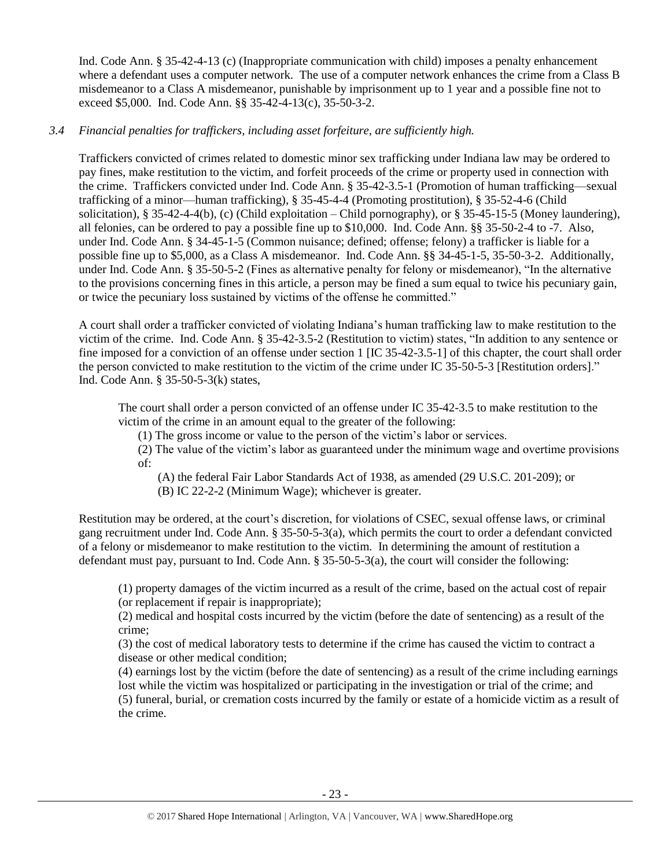Ind. Code Ann. § 35-42-4-13 (c) (Inappropriate communication with child) imposes a penalty enhancement where a defendant uses a computer network. The use of a computer network enhances the crime from a Class B misdemeanor to a Class A misdemeanor, punishable by imprisonment up to 1 year and a possible fine not to exceed \$5,000. Ind. Code Ann. §§ 35-42-4-13(c), 35-50-3-2.

# *3.4 Financial penalties for traffickers, including asset forfeiture, are sufficiently high.*

Traffickers convicted of crimes related to domestic minor sex trafficking under Indiana law may be ordered to pay fines, make restitution to the victim, and forfeit proceeds of the crime or property used in connection with the crime. Traffickers convicted under Ind. Code Ann. § 35-42-3.5-1 (Promotion of human trafficking—sexual trafficking of a minor—human trafficking), § 35-45-4-4 (Promoting prostitution), § 35-52-4-6 (Child solicitation), § 35-42-4-4(b), (c) (Child exploitation – Child pornography), or § 35-45-15-5 (Money laundering), all felonies, can be ordered to pay a possible fine up to \$10,000. Ind. Code Ann. §§ 35-50-2-4 to -7. Also, under Ind. Code Ann. § 34-45-1-5 (Common nuisance; defined; offense; felony) a trafficker is liable for a possible fine up to \$5,000, as a Class A misdemeanor. Ind. Code Ann. §§ 34-45-1-5, 35-50-3-2. Additionally, under Ind. Code Ann. § 35-50-5-2 (Fines as alternative penalty for felony or misdemeanor), "In the alternative to the provisions concerning fines in this article, a person may be fined a sum equal to twice his pecuniary gain, or twice the pecuniary loss sustained by victims of the offense he committed."

A court shall order a trafficker convicted of violating Indiana's human trafficking law to make restitution to the victim of the crime. Ind. Code Ann. § 35-42-3.5-2 (Restitution to victim) states, "In addition to any sentence or fine imposed for a conviction of an offense under section 1 [IC 35-42-3.5-1] of this chapter, the court shall order the person convicted to make restitution to the victim of the crime under IC 35-50-5-3 [Restitution orders]." Ind. Code Ann. § 35-50-5-3(k) states,

The court shall order a person convicted of an offense under IC 35-42-3.5 to make restitution to the victim of the crime in an amount equal to the greater of the following:

(1) The gross income or value to the person of the victim's labor or services.

(2) The value of the victim's labor as guaranteed under the minimum wage and overtime provisions of:

(A) the federal Fair Labor Standards Act of 1938, as amended (29 U.S.C. 201-209); or

(B) IC 22-2-2 (Minimum Wage); whichever is greater.

Restitution may be ordered, at the court's discretion, for violations of CSEC, sexual offense laws, or criminal gang recruitment under Ind. Code Ann. § 35-50-5-3(a), which permits the court to order a defendant convicted of a felony or misdemeanor to make restitution to the victim. In determining the amount of restitution a defendant must pay, pursuant to Ind. Code Ann. § 35-50-5-3(a), the court will consider the following:

(1) property damages of the victim incurred as a result of the crime, based on the actual cost of repair (or replacement if repair is inappropriate);

(2) medical and hospital costs incurred by the victim (before the date of sentencing) as a result of the crime;

(3) the cost of medical laboratory tests to determine if the crime has caused the victim to contract a disease or other medical condition;

(4) earnings lost by the victim (before the date of sentencing) as a result of the crime including earnings lost while the victim was hospitalized or participating in the investigation or trial of the crime; and (5) funeral, burial, or cremation costs incurred by the family or estate of a homicide victim as a result of the crime.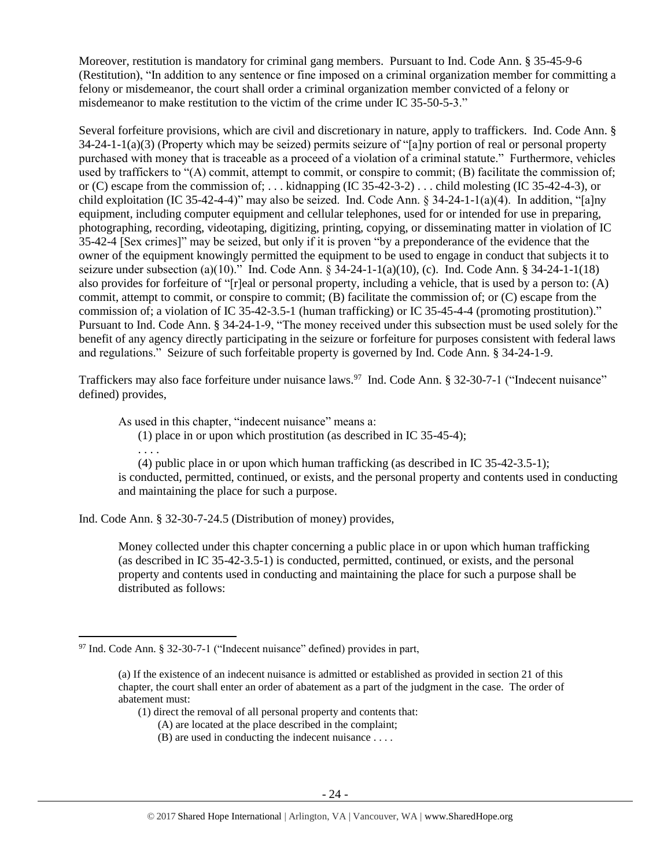Moreover, restitution is mandatory for criminal gang members. Pursuant to Ind. Code Ann. § 35-45-9-6 (Restitution), "In addition to any sentence or fine imposed on a criminal organization member for committing a felony or misdemeanor, the court shall order a criminal organization member convicted of a felony or misdemeanor to make restitution to the victim of the crime under IC 35-50-5-3."

Several forfeiture provisions, which are civil and discretionary in nature, apply to traffickers. Ind. Code Ann. § 34-24-1-1(a)(3) (Property which may be seized) permits seizure of "[a]ny portion of real or personal property purchased with money that is traceable as a proceed of a violation of a criminal statute." Furthermore, vehicles used by traffickers to "(A) commit, attempt to commit, or conspire to commit; (B) facilitate the commission of; or (C) escape from the commission of; ... kidnapping (IC 35-42-3-2) ... child molesting (IC 35-42-4-3), or child exploitation (IC 35-42-4-4)" may also be seized. Ind. Code Ann.  $\S 34-24-1-1(a)(4)$ . In addition, "[a]ny equipment, including computer equipment and cellular telephones, used for or intended for use in preparing, photographing, recording, videotaping, digitizing, printing, copying, or disseminating matter in violation of IC 35-42-4 [Sex crimes]" may be seized, but only if it is proven "by a preponderance of the evidence that the owner of the equipment knowingly permitted the equipment to be used to engage in conduct that subjects it to seizure under subsection (a)(10)." Ind. Code Ann.  $\S 34-24-1-1(1)(10)$ , (c). Ind. Code Ann.  $\S 34-24-1-1(18)$ also provides for forfeiture of "[r]eal or personal property, including a vehicle, that is used by a person to: (A) commit, attempt to commit, or conspire to commit; (B) facilitate the commission of; or (C) escape from the commission of; a violation of IC 35-42-3.5-1 (human trafficking) or IC 35-45-4-4 (promoting prostitution)." Pursuant to Ind. Code Ann. § 34-24-1-9, "The money received under this subsection must be used solely for the benefit of any agency directly participating in the seizure or forfeiture for purposes consistent with federal laws and regulations." Seizure of such forfeitable property is governed by Ind. Code Ann. § 34-24-1-9.

Traffickers may also face forfeiture under nuisance laws.<sup>97</sup> Ind. Code Ann. § 32-30-7-1 ("Indecent nuisance" defined) provides,

As used in this chapter, "indecent nuisance" means a:

(1) place in or upon which prostitution (as described in IC 35-45-4);

. . . . (4) public place in or upon which human trafficking (as described in IC 35-42-3.5-1); is conducted, permitted, continued, or exists, and the personal property and contents used in conducting and maintaining the place for such a purpose.

Ind. Code Ann. § 32-30-7-24.5 (Distribution of money) provides,

Money collected under this chapter concerning a public place in or upon which human trafficking (as described in IC 35-42-3.5-1) is conducted, permitted, continued, or exists, and the personal property and contents used in conducting and maintaining the place for such a purpose shall be distributed as follows:

- (1) direct the removal of all personal property and contents that:
	- (A) are located at the place described in the complaint;
	- (B) are used in conducting the indecent nuisance . . . .

l  $97$  Ind. Code Ann. § 32-30-7-1 ("Indecent nuisance" defined) provides in part,

<sup>(</sup>a) If the existence of an indecent nuisance is admitted or established as provided in section 21 of this chapter, the court shall enter an order of abatement as a part of the judgment in the case. The order of abatement must: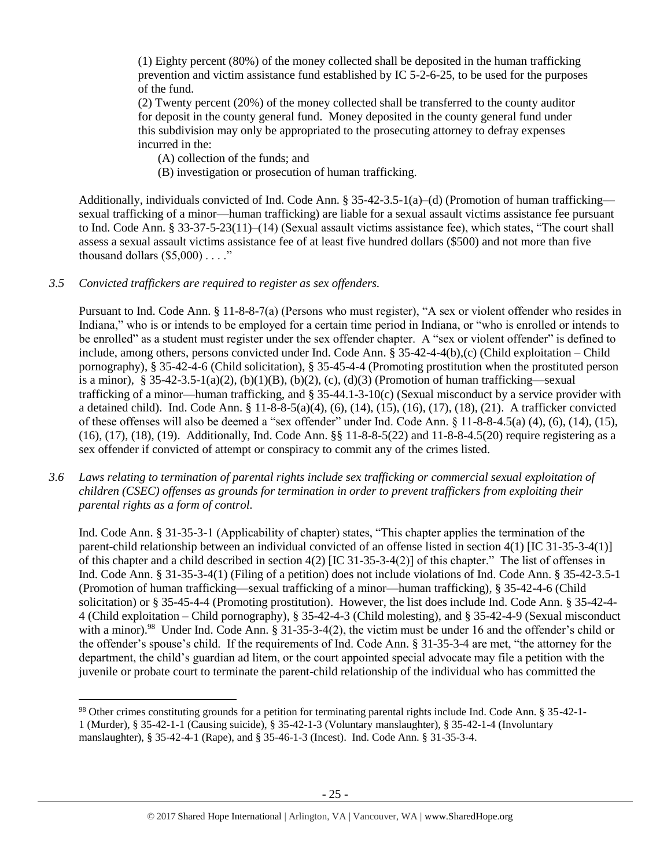(1) Eighty percent (80%) of the money collected shall be deposited in the human trafficking prevention and victim assistance fund established by IC 5-2-6-25, to be used for the purposes of the fund.

(2) Twenty percent (20%) of the money collected shall be transferred to the county auditor for deposit in the county general fund. Money deposited in the county general fund under this subdivision may only be appropriated to the prosecuting attorney to defray expenses incurred in the:

(A) collection of the funds; and

(B) investigation or prosecution of human trafficking.

Additionally, individuals convicted of Ind. Code Ann. § 35-42-3.5-1(a)–(d) (Promotion of human trafficking sexual trafficking of a minor—human trafficking) are liable for a sexual assault victims assistance fee pursuant to Ind. Code Ann. § 33-37-5-23(11)–(14) (Sexual assault victims assistance fee), which states, "The court shall assess a sexual assault victims assistance fee of at least five hundred dollars (\$500) and not more than five thousand dollars  $(\$5,000)$ ...."

# *3.5 Convicted traffickers are required to register as sex offenders.*

 $\overline{\phantom{a}}$ 

Pursuant to Ind. Code Ann. § 11-8-8-7(a) (Persons who must register), "A sex or violent offender who resides in Indiana," who is or intends to be employed for a certain time period in Indiana, or "who is enrolled or intends to be enrolled" as a student must register under the sex offender chapter. A "sex or violent offender" is defined to include, among others, persons convicted under Ind. Code Ann. § 35-42-4-4(b),(c) (Child exploitation – Child pornography), § 35-42-4-6 (Child solicitation), § 35-45-4-4 (Promoting prostitution when the prostituted person is a minor), § 35-42-3.5-1(a)(2), (b)(1)(B), (b)(2), (c), (d)(3) (Promotion of human trafficking—sexual trafficking of a minor—human trafficking, and § 35-44.1-3-10(c) (Sexual misconduct by a service provider with a detained child). Ind. Code Ann. § 11-8-8-5(a)(4), (6), (14), (15), (16), (17), (18), (21). A trafficker convicted of these offenses will also be deemed a "sex offender" under Ind. Code Ann. § 11-8-8-4.5(a) (4), (6), (14), (15), (16), (17), (18), (19). Additionally, Ind. Code Ann. §§ 11-8-8-5(22) and 11-8-8-4.5(20) require registering as a sex offender if convicted of attempt or conspiracy to commit any of the crimes listed.

*3.6 Laws relating to termination of parental rights include sex trafficking or commercial sexual exploitation of children (CSEC) offenses as grounds for termination in order to prevent traffickers from exploiting their parental rights as a form of control.* 

Ind. Code Ann. § 31-35-3-1 (Applicability of chapter) states, "This chapter applies the termination of the parent-child relationship between an individual convicted of an offense listed in section 4(1) [IC 31-35-3-4(1)] of this chapter and a child described in section 4(2) [IC 31-35-3-4(2)] of this chapter." The list of offenses in Ind. Code Ann. § 31-35-3-4(1) (Filing of a petition) does not include violations of Ind. Code Ann. § 35-42-3.5-1 (Promotion of human trafficking—sexual trafficking of a minor—human trafficking), § 35-42-4-6 (Child solicitation) or § 35-45-4-4 (Promoting prostitution). However, the list does include Ind. Code Ann. § 35-42-4- 4 (Child exploitation – Child pornography), § 35-42-4-3 (Child molesting), and § 35-42-4-9 (Sexual misconduct with a minor).<sup>98</sup> Under Ind. Code Ann. § 31-35-3-4(2), the victim must be under 16 and the offender's child or the offender's spouse's child. If the requirements of Ind. Code Ann. § 31-35-3-4 are met, "the attorney for the department, the child's guardian ad litem, or the court appointed special advocate may file a petition with the juvenile or probate court to terminate the parent-child relationship of the individual who has committed the

<sup>98</sup> Other crimes constituting grounds for a petition for terminating parental rights include Ind. Code Ann. § 35-42-1- 1 (Murder), § 35-42-1-1 (Causing suicide), § 35-42-1-3 (Voluntary manslaughter), § 35-42-1-4 (Involuntary manslaughter), § 35-42-4-1 (Rape), and § 35-46-1-3 (Incest). Ind. Code Ann. § 31-35-3-4.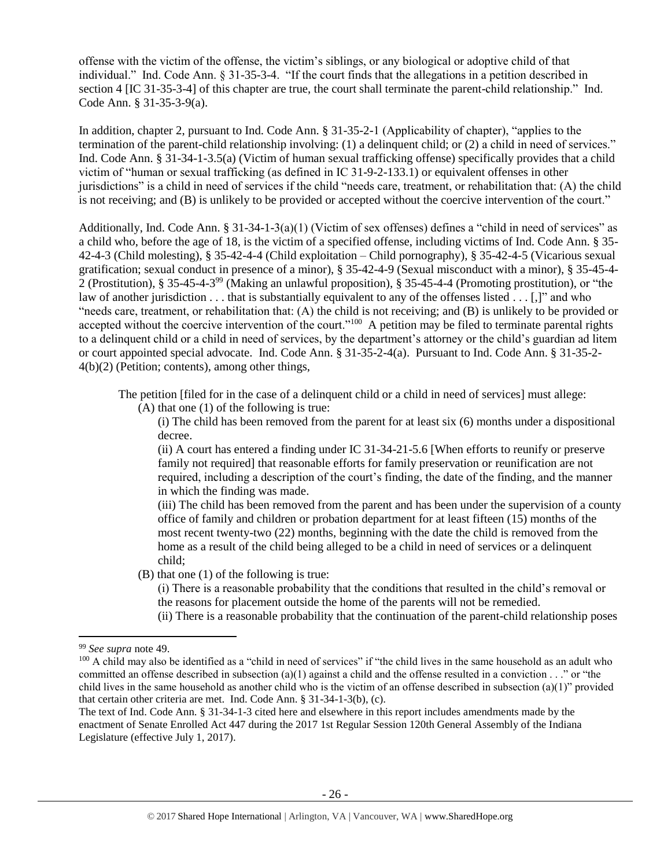offense with the victim of the offense, the victim's siblings, or any biological or adoptive child of that individual." Ind. Code Ann. § 31-35-3-4. "If the court finds that the allegations in a petition described in section 4 [IC 31-35-3-4] of this chapter are true, the court shall terminate the parent-child relationship." Ind. Code Ann. § 31-35-3-9(a).

In addition, chapter 2, pursuant to Ind. Code Ann. § 31-35-2-1 (Applicability of chapter), "applies to the termination of the parent-child relationship involving: (1) a delinquent child; or (2) a child in need of services." Ind. Code Ann. § 31-34-1-3.5(a) (Victim of human sexual trafficking offense) specifically provides that a child victim of "human or sexual trafficking (as defined in IC 31-9-2-133.1) or equivalent offenses in other jurisdictions" is a child in need of services if the child "needs care, treatment, or rehabilitation that: (A) the child is not receiving; and (B) is unlikely to be provided or accepted without the coercive intervention of the court."

Additionally, Ind. Code Ann.  $\S 31-34-1-3(a)(1)$  (Victim of sex offenses) defines a "child in need of services" as a child who, before the age of 18, is the victim of a specified offense, including victims of Ind. Code Ann. § 35- 42-4-3 (Child molesting), § 35-42-4-4 (Child exploitation – Child pornography), § 35-42-4-5 (Vicarious sexual gratification; sexual conduct in presence of a minor), § 35-42-4-9 (Sexual misconduct with a minor), § 35-45-4- 2 (Prostitution), § 35-45-4-3<sup>99</sup> (Making an unlawful proposition), § 35-45-4-4 (Promoting prostitution), or "the law of another jurisdiction . . . that is substantially equivalent to any of the offenses listed . . . [,]" and who "needs care, treatment, or rehabilitation that: (A) the child is not receiving; and (B) is unlikely to be provided or accepted without the coercive intervention of the court."<sup>100</sup> A petition may be filed to terminate parental rights to a delinquent child or a child in need of services, by the department's attorney or the child's guardian ad litem or court appointed special advocate. Ind. Code Ann. § 31-35-2-4(a). Pursuant to Ind. Code Ann. § 31-35-2- 4(b)(2) (Petition; contents), among other things,

The petition [filed for in the case of a delinquent child or a child in need of services] must allege:

(A) that one (1) of the following is true:

(i) The child has been removed from the parent for at least six (6) months under a dispositional decree.

(ii) A court has entered a finding under IC 31-34-21-5.6 [When efforts to reunify or preserve family not required] that reasonable efforts for family preservation or reunification are not required, including a description of the court's finding, the date of the finding, and the manner in which the finding was made.

(iii) The child has been removed from the parent and has been under the supervision of a county office of family and children or probation department for at least fifteen (15) months of the most recent twenty-two (22) months, beginning with the date the child is removed from the home as a result of the child being alleged to be a child in need of services or a delinquent child;

(B) that one (1) of the following is true:

(i) There is a reasonable probability that the conditions that resulted in the child's removal or the reasons for placement outside the home of the parents will not be remedied.

(ii) There is a reasonable probability that the continuation of the parent-child relationship poses

l <sup>99</sup> *See supra* note [49.](#page-10-1)

<sup>&</sup>lt;sup>100</sup> A child may also be identified as a "child in need of services" if "the child lives in the same household as an adult who committed an offense described in subsection  $(a)(1)$  against a child and the offense resulted in a conviction  $\dots$ " or "the child lives in the same household as another child who is the victim of an offense described in subsection  $(a)(1)$ " provided that certain other criteria are met. Ind. Code Ann. § 31-34-1-3(b), (c).

The text of Ind. Code Ann. § 31-34-1-3 cited here and elsewhere in this report includes amendments made by the enactment of Senate Enrolled Act 447 during the 2017 1st Regular Session 120th General Assembly of the Indiana Legislature (effective July 1, 2017).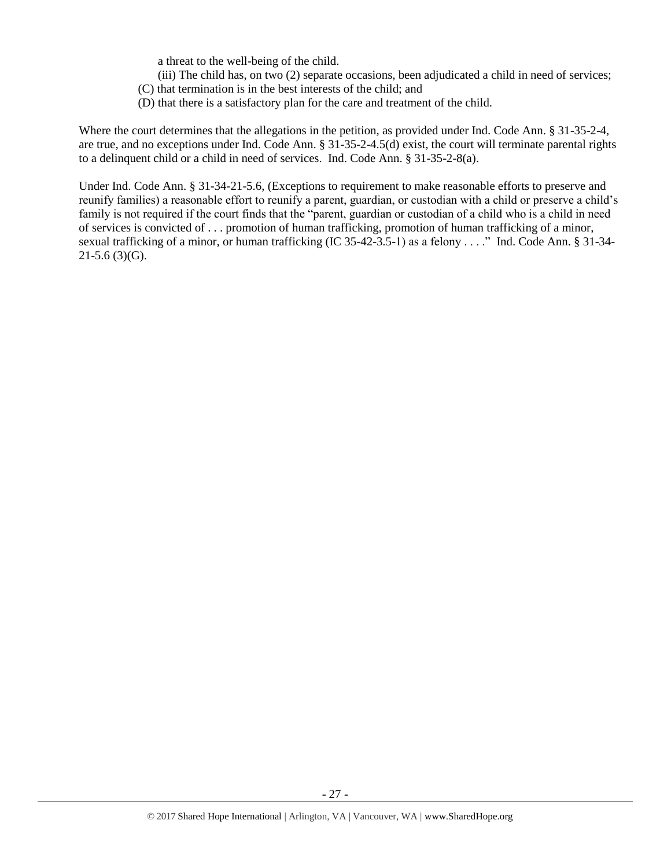a threat to the well-being of the child.

- (iii) The child has, on two (2) separate occasions, been adjudicated a child in need of services;
- (C) that termination is in the best interests of the child; and
- (D) that there is a satisfactory plan for the care and treatment of the child.

Where the court determines that the allegations in the petition, as provided under Ind. Code Ann. § 31-35-2-4, are true, and no exceptions under Ind. Code Ann. § 31-35-2-4.5(d) exist, the court will terminate parental rights to a delinquent child or a child in need of services. Ind. Code Ann. § 31-35-2-8(a).

Under Ind. Code Ann. § 31-34-21-5.6, (Exceptions to requirement to make reasonable efforts to preserve and reunify families) a reasonable effort to reunify a parent, guardian, or custodian with a child or preserve a child's family is not required if the court finds that the "parent, guardian or custodian of a child who is a child in need of services is convicted of . . . promotion of human trafficking, promotion of human trafficking of a minor, sexual trafficking of a minor, or human trafficking (IC 35-42-3.5-1) as a felony . . . ." Ind. Code Ann. § 31-34-  $21-5.6$  (3)(G).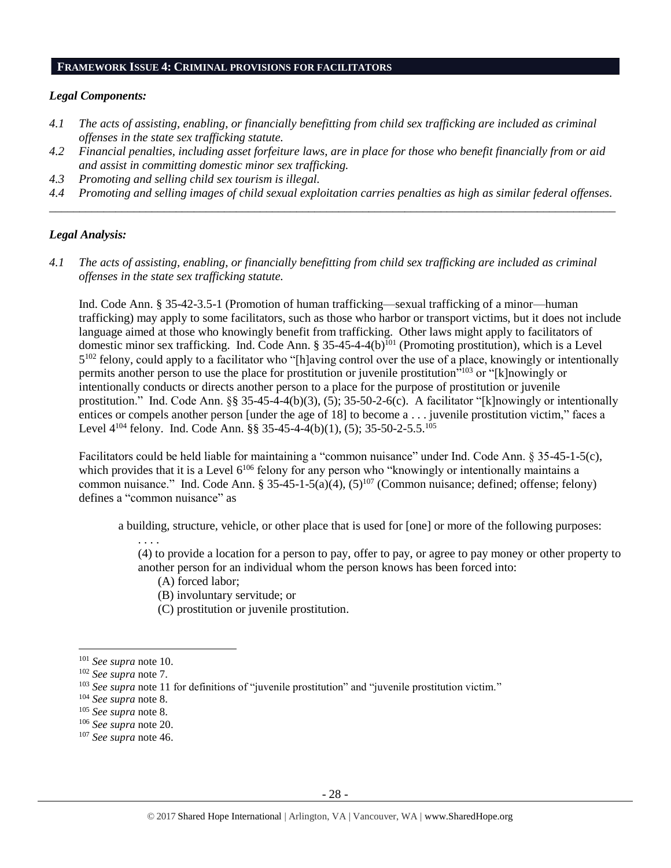#### **FRAMEWORK ISSUE 4: CRIMINAL PROVISIONS FOR FACILITATORS**

## *Legal Components:*

- *4.1 The acts of assisting, enabling, or financially benefitting from child sex trafficking are included as criminal offenses in the state sex trafficking statute.*
- *4.2 Financial penalties, including asset forfeiture laws, are in place for those who benefit financially from or aid and assist in committing domestic minor sex trafficking.*
- *4.3 Promoting and selling child sex tourism is illegal.*
- *4.4 Promoting and selling images of child sexual exploitation carries penalties as high as similar federal offenses. \_\_\_\_\_\_\_\_\_\_\_\_\_\_\_\_\_\_\_\_\_\_\_\_\_\_\_\_\_\_\_\_\_\_\_\_\_\_\_\_\_\_\_\_\_\_\_\_\_\_\_\_\_\_\_\_\_\_\_\_\_\_\_\_\_\_\_\_\_\_\_\_\_\_\_\_\_\_\_\_\_\_\_\_\_\_\_\_\_\_\_\_\_\_*

## *Legal Analysis:*

*4.1 The acts of assisting, enabling, or financially benefitting from child sex trafficking are included as criminal offenses in the state sex trafficking statute.*

Ind. Code Ann. § 35-42-3.5-1 (Promotion of human trafficking—sexual trafficking of a minor—human trafficking) may apply to some facilitators, such as those who harbor or transport victims, but it does not include language aimed at those who knowingly benefit from trafficking. Other laws might apply to facilitators of domestic minor sex trafficking. Ind. Code Ann.  $\S 35-45-4-4(b)^{101}$  (Promoting prostitution), which is a Level 5<sup>102</sup> felony, could apply to a facilitator who "[h]aving control over the use of a place, knowingly or intentionally permits another person to use the place for prostitution or juvenile prostitution"<sup>103</sup> or "[k]nowingly or intentionally conducts or directs another person to a place for the purpose of prostitution or juvenile prostitution." Ind. Code Ann. §§ 35-45-4-4(b)(3), (5); 35-50-2-6(c). A facilitator "[k]nowingly or intentionally entices or compels another person [under the age of 18] to become a . . . juvenile prostitution victim," faces a Level 4<sup>104</sup> felony. Ind. Code Ann. §§ 35-45-4-4(b)(1), (5); 35-50-2-5.5.<sup>105</sup>

Facilitators could be held liable for maintaining a "common nuisance" under Ind. Code Ann. § 35-45-1-5(c), which provides that it is a Level 6<sup>106</sup> felony for any person who "knowingly or intentionally maintains a common nuisance." Ind. Code Ann. § 35-45-1-5(a)(4),  $(5)^{107}$  (Common nuisance; defined; offense; felony) defines a "common nuisance" as

a building, structure, vehicle, or other place that is used for [one] or more of the following purposes:

. . . . (4) to provide a location for a person to pay, offer to pay, or agree to pay money or other property to another person for an individual whom the person knows has been forced into:

- (A) forced labor;
- (B) involuntary servitude; or
- (C) prostitution or juvenile prostitution.

- <sup>106</sup> *See supra* not[e 20.](#page-4-0)
- <sup>107</sup> *See supra* not[e 46.](#page-10-0)

<sup>101</sup> *See supra* not[e 10.](#page-3-1)

<sup>102</sup> *See supra* not[e 7.](#page-2-0)

<sup>&</sup>lt;sup>103</sup> See supra not[e 11](#page-3-0) for definitions of "juvenile prostitution" and "juvenile prostitution victim."

<sup>104</sup> *See supra* not[e 8.](#page-2-1)

<sup>105</sup> *See supra* not[e 8.](#page-2-1)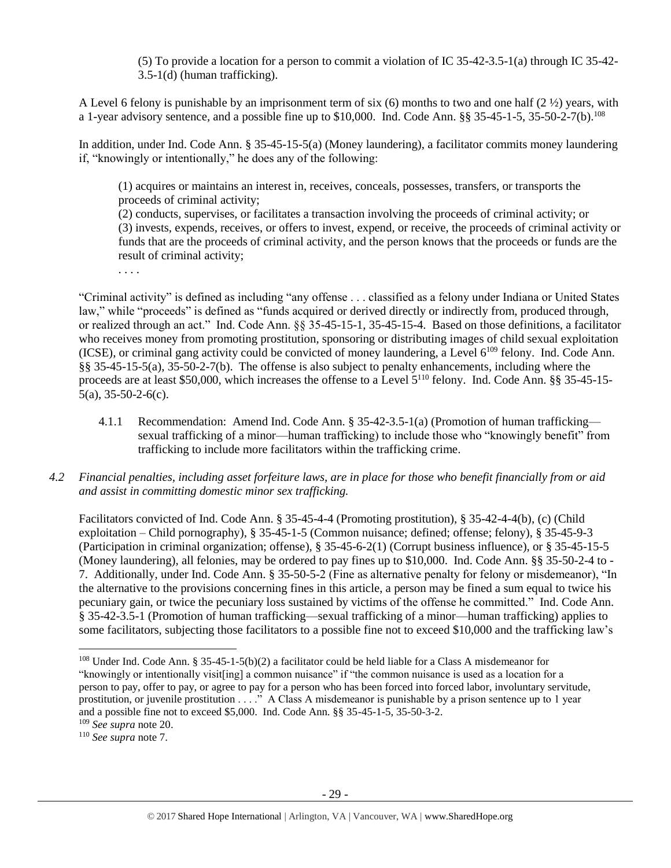(5) To provide a location for a person to commit a violation of IC 35-42-3.5-1(a) through IC 35-42- 3.5-1(d) (human trafficking).

A Level 6 felony is punishable by an imprisonment term of six (6) months to two and one half (2 ½) years, with a 1-year advisory sentence, and a possible fine up to \$10,000. Ind. Code Ann. §§ 35-45-1-5, 35-50-2-7(b).<sup>108</sup>

In addition, under Ind. Code Ann. § 35-45-15-5(a) (Money laundering), a facilitator commits money laundering if, "knowingly or intentionally," he does any of the following:

(1) acquires or maintains an interest in, receives, conceals, possesses, transfers, or transports the proceeds of criminal activity;

(2) conducts, supervises, or facilitates a transaction involving the proceeds of criminal activity; or (3) invests, expends, receives, or offers to invest, expend, or receive, the proceeds of criminal activity or funds that are the proceeds of criminal activity, and the person knows that the proceeds or funds are the result of criminal activity;

. . . .

"Criminal activity" is defined as including "any offense . . . classified as a felony under Indiana or United States law," while "proceeds" is defined as "funds acquired or derived directly or indirectly from, produced through, or realized through an act." Ind. Code Ann. §§ 35-45-15-1, 35-45-15-4. Based on those definitions, a facilitator who receives money from promoting prostitution, sponsoring or distributing images of child sexual exploitation (ICSE), or criminal gang activity could be convicted of money laundering, a Level 6<sup>109</sup> felony. Ind. Code Ann. §§ 35-45-15-5(a), 35-50-2-7(b). The offense is also subject to penalty enhancements, including where the proceeds are at least \$50,000, which increases the offense to a Level 5<sup>110</sup> felony. Ind. Code Ann. §§ 35-45-15-5(a), 35-50-2-6(c).

- 4.1.1 Recommendation: Amend Ind. Code Ann. § 35-42-3.5-1(a) (Promotion of human trafficking sexual trafficking of a minor—human trafficking) to include those who "knowingly benefit" from trafficking to include more facilitators within the trafficking crime.
- *4.2 Financial penalties, including asset forfeiture laws, are in place for those who benefit financially from or aid and assist in committing domestic minor sex trafficking.*

Facilitators convicted of Ind. Code Ann. § 35-45-4-4 (Promoting prostitution), § 35-42-4-4(b), (c) (Child exploitation – Child pornography), § 35-45-1-5 (Common nuisance; defined; offense; felony), § 35-45-9-3 (Participation in criminal organization; offense), § 35-45-6-2(1) (Corrupt business influence), or § 35-45-15-5 (Money laundering), all felonies, may be ordered to pay fines up to \$10,000. Ind. Code Ann. §§ 35-50-2-4 to - 7. Additionally, under Ind. Code Ann. § 35-50-5-2 (Fine as alternative penalty for felony or misdemeanor), "In the alternative to the provisions concerning fines in this article, a person may be fined a sum equal to twice his pecuniary gain, or twice the pecuniary loss sustained by victims of the offense he committed." Ind. Code Ann. § 35-42-3.5-1 (Promotion of human trafficking—sexual trafficking of a minor—human trafficking) applies to some facilitators, subjecting those facilitators to a possible fine not to exceed \$10,000 and the trafficking law's

<sup>108</sup> Under Ind. Code Ann. § 35-45-1-5(b)(2) a facilitator could be held liable for a Class A misdemeanor for "knowingly or intentionally visit[ing] a common nuisance" if "the common nuisance is used as a location for a person to pay, offer to pay, or agree to pay for a person who has been forced into forced labor, involuntary servitude, prostitution, or juvenile prostitution . . . ." A Class A misdemeanor is punishable by a prison sentence up to 1 year and a possible fine not to exceed \$5,000. Ind. Code Ann. §§ 35-45-1-5, 35-50-3-2.

<sup>109</sup> *See supra* not[e 20.](#page-4-0)

<sup>110</sup> *See supra* not[e 7.](#page-2-0)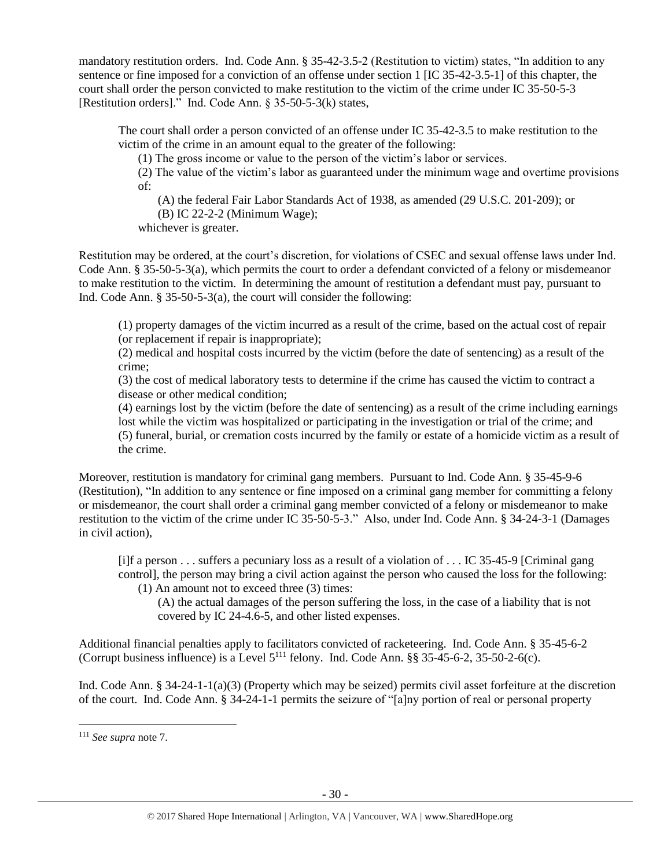mandatory restitution orders. Ind. Code Ann. § 35-42-3.5-2 (Restitution to victim) states, "In addition to any sentence or fine imposed for a conviction of an offense under section 1 [IC 35-42-3.5-1] of this chapter, the court shall order the person convicted to make restitution to the victim of the crime under IC 35-50-5-3 [Restitution orders]." Ind. Code Ann. § 35-50-5-3(k) states,

The court shall order a person convicted of an offense under IC 35-42-3.5 to make restitution to the victim of the crime in an amount equal to the greater of the following:

(1) The gross income or value to the person of the victim's labor or services.

(2) The value of the victim's labor as guaranteed under the minimum wage and overtime provisions of:

(A) the federal Fair Labor Standards Act of 1938, as amended (29 U.S.C. 201-209); or

(B) IC 22-2-2 (Minimum Wage);

whichever is greater.

Restitution may be ordered, at the court's discretion, for violations of CSEC and sexual offense laws under Ind. Code Ann. § 35-50-5-3(a), which permits the court to order a defendant convicted of a felony or misdemeanor to make restitution to the victim. In determining the amount of restitution a defendant must pay, pursuant to Ind. Code Ann. § 35-50-5-3(a), the court will consider the following:

(1) property damages of the victim incurred as a result of the crime, based on the actual cost of repair (or replacement if repair is inappropriate);

(2) medical and hospital costs incurred by the victim (before the date of sentencing) as a result of the crime;

(3) the cost of medical laboratory tests to determine if the crime has caused the victim to contract a disease or other medical condition;

(4) earnings lost by the victim (before the date of sentencing) as a result of the crime including earnings lost while the victim was hospitalized or participating in the investigation or trial of the crime; and (5) funeral, burial, or cremation costs incurred by the family or estate of a homicide victim as a result of the crime.

Moreover, restitution is mandatory for criminal gang members. Pursuant to Ind. Code Ann. § 35-45-9-6 (Restitution), "In addition to any sentence or fine imposed on a criminal gang member for committing a felony or misdemeanor, the court shall order a criminal gang member convicted of a felony or misdemeanor to make restitution to the victim of the crime under IC 35-50-5-3." Also, under Ind. Code Ann. § 34-24-3-1 (Damages in civil action),

[i]f a person . . . suffers a pecuniary loss as a result of a violation of . . . IC 35-45-9 [Criminal gang control], the person may bring a civil action against the person who caused the loss for the following:

(1) An amount not to exceed three (3) times:

(A) the actual damages of the person suffering the loss, in the case of a liability that is not covered by IC 24-4.6-5, and other listed expenses.

Additional financial penalties apply to facilitators convicted of racketeering. Ind. Code Ann. § 35-45-6-2 (Corrupt business influence) is a Level  $5^{111}$  felony. Ind. Code Ann. §§ 35-45-6-2, 35-50-2-6(c).

Ind. Code Ann. § 34-24-1-1(a)(3) (Property which may be seized) permits civil asset forfeiture at the discretion of the court. Ind. Code Ann. § 34-24-1-1 permits the seizure of "[a]ny portion of real or personal property

<sup>111</sup> *See supra* not[e 7.](#page-2-0)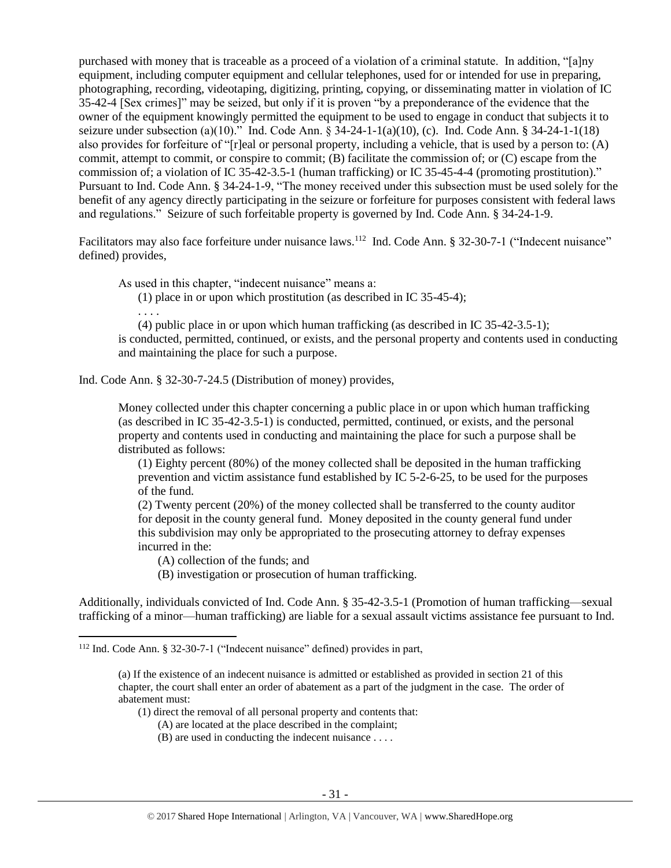purchased with money that is traceable as a proceed of a violation of a criminal statute. In addition, "[a]ny equipment, including computer equipment and cellular telephones, used for or intended for use in preparing, photographing, recording, videotaping, digitizing, printing, copying, or disseminating matter in violation of IC 35-42-4 [Sex crimes]" may be seized, but only if it is proven "by a preponderance of the evidence that the owner of the equipment knowingly permitted the equipment to be used to engage in conduct that subjects it to seizure under subsection (a)(10)." Ind. Code Ann. § 34-24-1-1(a)(10), (c). Ind. Code Ann. § 34-24-1-1(18) also provides for forfeiture of "[r]eal or personal property, including a vehicle, that is used by a person to: (A) commit, attempt to commit, or conspire to commit; (B) facilitate the commission of; or (C) escape from the commission of; a violation of IC 35-42-3.5-1 (human trafficking) or IC 35-45-4-4 (promoting prostitution)." Pursuant to Ind. Code Ann. § 34-24-1-9, "The money received under this subsection must be used solely for the benefit of any agency directly participating in the seizure or forfeiture for purposes consistent with federal laws and regulations." Seizure of such forfeitable property is governed by Ind. Code Ann. § 34-24-1-9.

Facilitators may also face forfeiture under nuisance laws.<sup>112</sup> Ind. Code Ann. § 32-30-7-1 ("Indecent nuisance" defined) provides,

As used in this chapter, "indecent nuisance" means a:

(1) place in or upon which prostitution (as described in IC 35-45-4);

. . . .

l

(4) public place in or upon which human trafficking (as described in IC 35-42-3.5-1); is conducted, permitted, continued, or exists, and the personal property and contents used in conducting and maintaining the place for such a purpose.

Ind. Code Ann. § 32-30-7-24.5 (Distribution of money) provides,

Money collected under this chapter concerning a public place in or upon which human trafficking (as described in IC 35-42-3.5-1) is conducted, permitted, continued, or exists, and the personal property and contents used in conducting and maintaining the place for such a purpose shall be distributed as follows:

(1) Eighty percent (80%) of the money collected shall be deposited in the human trafficking prevention and victim assistance fund established by IC 5-2-6-25, to be used for the purposes of the fund.

(2) Twenty percent (20%) of the money collected shall be transferred to the county auditor for deposit in the county general fund. Money deposited in the county general fund under this subdivision may only be appropriated to the prosecuting attorney to defray expenses incurred in the:

(A) collection of the funds; and

(B) investigation or prosecution of human trafficking.

Additionally, individuals convicted of Ind. Code Ann. § 35-42-3.5-1 (Promotion of human trafficking—sexual trafficking of a minor—human trafficking) are liable for a sexual assault victims assistance fee pursuant to Ind.

- (1) direct the removal of all personal property and contents that:
	- (A) are located at the place described in the complaint;
	- (B) are used in conducting the indecent nuisance . . . .

<sup>112</sup> Ind. Code Ann. § 32-30-7-1 ("Indecent nuisance" defined) provides in part,

<sup>(</sup>a) If the existence of an indecent nuisance is admitted or established as provided in section 21 of this chapter, the court shall enter an order of abatement as a part of the judgment in the case. The order of abatement must: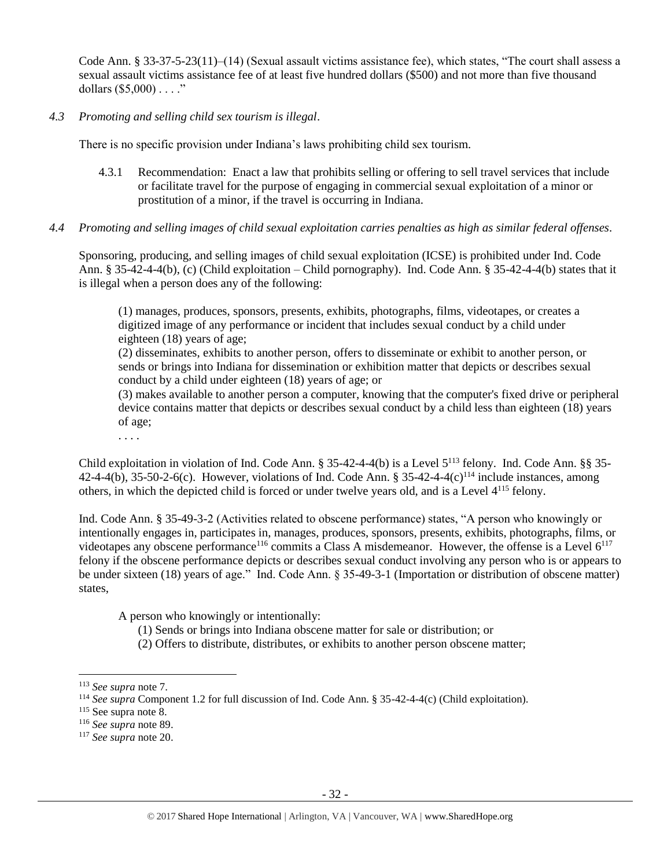Code Ann. § 33-37-5-23(11)–(14) (Sexual assault victims assistance fee), which states, "The court shall assess a sexual assault victims assistance fee of at least five hundred dollars (\$500) and not more than five thousand dollars  $(\$5,000)$ ..."

*4.3 Promoting and selling child sex tourism is illegal*.

There is no specific provision under Indiana's laws prohibiting child sex tourism.

- 4.3.1 Recommendation: Enact a law that prohibits selling or offering to sell travel services that include or facilitate travel for the purpose of engaging in commercial sexual exploitation of a minor or prostitution of a minor, if the travel is occurring in Indiana.
- *4.4 Promoting and selling images of child sexual exploitation carries penalties as high as similar federal offenses.*

Sponsoring, producing, and selling images of child sexual exploitation (ICSE) is prohibited under Ind. Code Ann. § 35-42-4-4(b), (c) (Child exploitation – Child pornography). Ind. Code Ann. § 35-42-4-4(b) states that it is illegal when a person does any of the following:

(1) manages, produces, sponsors, presents, exhibits, photographs, films, videotapes, or creates a digitized image of any performance or incident that includes sexual conduct by a child under eighteen (18) years of age;

(2) disseminates, exhibits to another person, offers to disseminate or exhibit to another person, or sends or brings into Indiana for dissemination or exhibition matter that depicts or describes sexual conduct by a child under eighteen (18) years of age; or

(3) makes available to another person a computer, knowing that the computer's fixed drive or peripheral device contains matter that depicts or describes sexual conduct by a child less than eighteen (18) years of age;

. . . .

Child exploitation in violation of Ind. Code Ann. § 35-42-4-4(b) is a Level 5<sup>113</sup> felony. Ind. Code Ann. §§ 35- 42-4-4(b), 35-50-2-6(c). However, violations of Ind. Code Ann. § 35-42-4-4(c)<sup>114</sup> include instances, among others, in which the depicted child is forced or under twelve years old, and is a Level 4<sup>115</sup> felony.

Ind. Code Ann. § 35-49-3-2 (Activities related to obscene performance) states, "A person who knowingly or intentionally engages in, participates in, manages, produces, sponsors, presents, exhibits, photographs, films, or videotapes any obscene performance<sup>116</sup> commits a Class A misdemeanor. However, the offense is a Level  $6^{117}$ felony if the obscene performance depicts or describes sexual conduct involving any person who is or appears to be under sixteen (18) years of age." Ind. Code Ann. § 35-49-3-1 (Importation or distribution of obscene matter) states,

A person who knowingly or intentionally:

(1) Sends or brings into Indiana obscene matter for sale or distribution; or

<sup>(2)</sup> Offers to distribute, distributes, or exhibits to another person obscene matter;

l <sup>113</sup> *See supra* not[e 7.](#page-2-0)

<sup>114</sup> *See supra* Component 1.2 for full discussion of Ind. Code Ann. § 35-42-4-4(c) (Child exploitation).

 $115$  See supra note [8.](#page-2-1)

<sup>116</sup> *See supra* not[e 89.](#page-20-0)

<sup>117</sup> *See supra* not[e 20.](#page-4-0)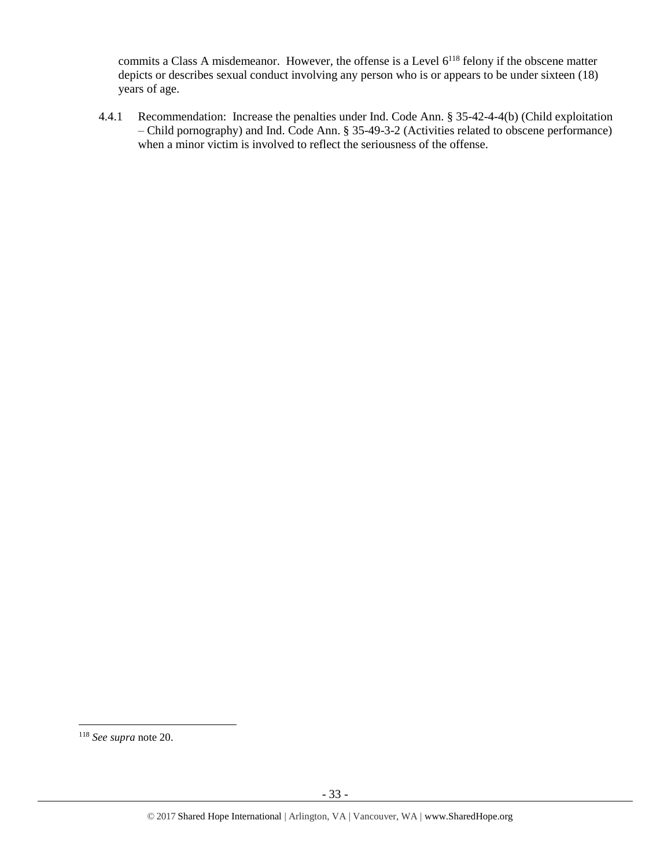commits a Class A misdemeanor. However, the offense is a Level  $6^{118}$  felony if the obscene matter depicts or describes sexual conduct involving any person who is or appears to be under sixteen (18) years of age.

4.4.1 Recommendation: Increase the penalties under Ind. Code Ann. § 35-42-4-4(b) (Child exploitation – Child pornography) and Ind. Code Ann. § 35-49-3-2 (Activities related to obscene performance) when a minor victim is involved to reflect the seriousness of the offense.

<sup>118</sup> *See supra* not[e 20.](#page-4-0)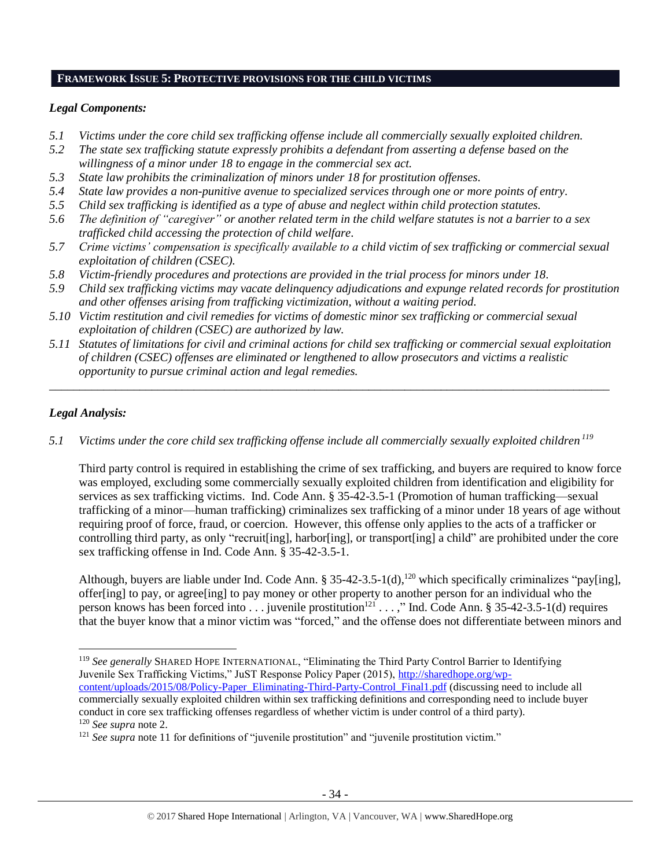#### **FRAMEWORK ISSUE 5: PROTECTIVE PROVISIONS FOR THE CHILD VICTIMS**

## *Legal Components:*

- *5.1 Victims under the core child sex trafficking offense include all commercially sexually exploited children.*
- *5.2 The state sex trafficking statute expressly prohibits a defendant from asserting a defense based on the willingness of a minor under 18 to engage in the commercial sex act.*
- *5.3 State law prohibits the criminalization of minors under 18 for prostitution offenses.*
- *5.4 State law provides a non-punitive avenue to specialized services through one or more points of entry.*
- *5.5 Child sex trafficking is identified as a type of abuse and neglect within child protection statutes.*
- *5.6 The definition of "caregiver" or another related term in the child welfare statutes is not a barrier to a sex trafficked child accessing the protection of child welfare.*
- *5.7 Crime victims' compensation is specifically available to a child victim of sex trafficking or commercial sexual exploitation of children (CSEC).*
- *5.8 Victim-friendly procedures and protections are provided in the trial process for minors under 18.*
- *5.9 Child sex trafficking victims may vacate delinquency adjudications and expunge related records for prostitution and other offenses arising from trafficking victimization, without a waiting period.*
- *5.10 Victim restitution and civil remedies for victims of domestic minor sex trafficking or commercial sexual exploitation of children (CSEC) are authorized by law.*
- *5.11 Statutes of limitations for civil and criminal actions for child sex trafficking or commercial sexual exploitation of children (CSEC) offenses are eliminated or lengthened to allow prosecutors and victims a realistic opportunity to pursue criminal action and legal remedies.*

*\_\_\_\_\_\_\_\_\_\_\_\_\_\_\_\_\_\_\_\_\_\_\_\_\_\_\_\_\_\_\_\_\_\_\_\_\_\_\_\_\_\_\_\_\_\_\_\_\_\_\_\_\_\_\_\_\_\_\_\_\_\_\_\_\_\_\_\_\_\_\_\_\_\_\_\_\_\_\_\_\_\_\_\_\_\_\_\_\_\_\_\_\_*

# *Legal Analysis:*

*5.1 Victims under the core child sex trafficking offense include all commercially sexually exploited children <sup>119</sup>*

Third party control is required in establishing the crime of sex trafficking, and buyers are required to know force was employed, excluding some commercially sexually exploited children from identification and eligibility for services as sex trafficking victims. Ind. Code Ann. § 35-42-3.5-1 (Promotion of human trafficking—sexual trafficking of a minor—human trafficking) criminalizes sex trafficking of a minor under 18 years of age without requiring proof of force, fraud, or coercion. However, this offense only applies to the acts of a trafficker or controlling third party, as only "recruit[ing], harbor[ing], or transport[ing] a child" are prohibited under the core sex trafficking offense in Ind. Code Ann. § 35-42-3.5-1.

Although, buyers are liable under Ind. Code Ann. § 35-42-3.5-1(d),<sup>120</sup> which specifically criminalizes "pay[ing], offer[ing] to pay, or agree[ing] to pay money or other property to another person for an individual who the person knows has been forced into  $\dots$  juvenile prostitution<sup>121</sup>  $\dots$ ," Ind. Code Ann. § 35-42-3.5-1(d) requires that the buyer know that a minor victim was "forced," and the offense does not differentiate between minors and

[content/uploads/2015/08/Policy-Paper\\_Eliminating-Third-Party-Control\\_Final1.pdf](http://sharedhope.org/wp-content/uploads/2015/08/Policy-Paper_Eliminating-Third-Party-Control_Final1.pdf) (discussing need to include all commercially sexually exploited children within sex trafficking definitions and corresponding need to include buyer conduct in core sex trafficking offenses regardless of whether victim is under control of a third party). <sup>120</sup> *See supra* not[e 2.](#page-0-0)

 $\overline{\phantom{a}}$ <sup>119</sup> *See generally* SHARED HOPE INTERNATIONAL, "Eliminating the Third Party Control Barrier to Identifying Juvenile Sex Trafficking Victims," JuST Response Policy Paper (2015), [http://sharedhope.org/wp-](http://sharedhope.org/wp-content/uploads/2015/08/Policy-Paper_Eliminating-Third-Party-Control_Final1.pdf)

<sup>&</sup>lt;sup>121</sup> See supra not[e 11](#page-3-0) for definitions of "juvenile prostitution" and "juvenile prostitution victim."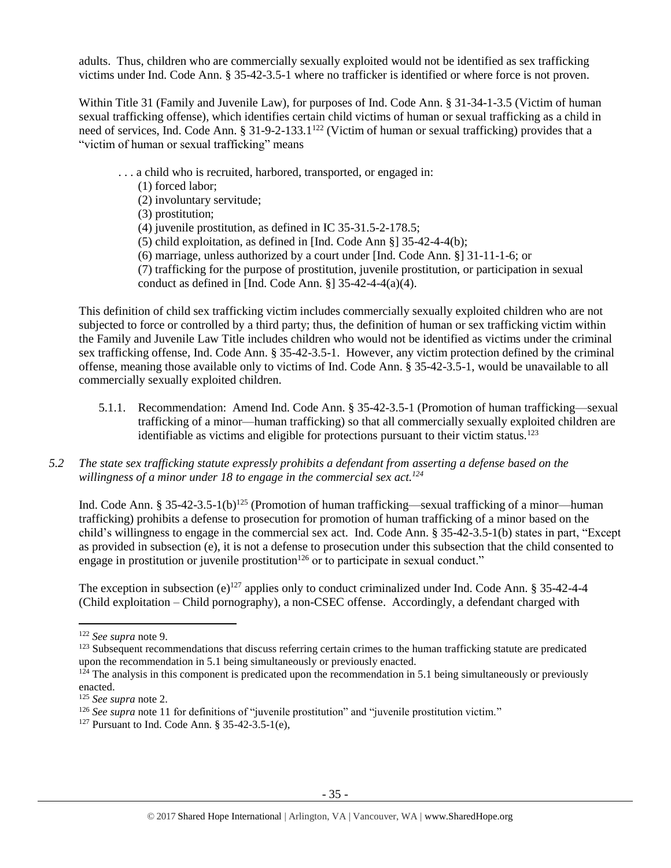adults. Thus, children who are commercially sexually exploited would not be identified as sex trafficking victims under Ind. Code Ann. § 35-42-3.5-1 where no trafficker is identified or where force is not proven.

Within Title 31 (Family and Juvenile Law), for purposes of Ind. Code Ann. § 31-34-1-3.5 (Victim of human sexual trafficking offense), which identifies certain child victims of human or sexual trafficking as a child in need of services, Ind. Code Ann. § 31-9-2-133.1<sup>122</sup> (Victim of human or sexual trafficking) provides that a "victim of human or sexual trafficking" means

- . . . a child who is recruited, harbored, transported, or engaged in:
	- (1) forced labor;
	- (2) involuntary servitude;
	- (3) prostitution;
	- (4) juvenile prostitution, as defined in IC 35-31.5-2-178.5;
	- (5) child exploitation, as defined in [Ind. Code Ann §] 35-42-4-4(b);
	- (6) marriage, unless authorized by a court under [Ind. Code Ann. §] 31-11-1-6; or
	- (7) trafficking for the purpose of prostitution, juvenile prostitution, or participation in sexual conduct as defined in [Ind. Code Ann.  $\S$ ] 35-42-4-4(a)(4).

This definition of child sex trafficking victim includes commercially sexually exploited children who are not subjected to force or controlled by a third party; thus, the definition of human or sex trafficking victim within the Family and Juvenile Law Title includes children who would not be identified as victims under the criminal sex trafficking offense, Ind. Code Ann. § 35-42-3.5-1. However, any victim protection defined by the criminal offense, meaning those available only to victims of Ind. Code Ann. § 35-42-3.5-1, would be unavailable to all commercially sexually exploited children.

- 5.1.1. Recommendation: Amend Ind. Code Ann. § 35-42-3.5-1 (Promotion of human trafficking—sexual trafficking of a minor—human trafficking) so that all commercially sexually exploited children are identifiable as victims and eligible for protections pursuant to their victim status.<sup>123</sup>
- *5.2 The state sex trafficking statute expressly prohibits a defendant from asserting a defense based on the willingness of a minor under 18 to engage in the commercial sex act.<sup>124</sup>*

Ind. Code Ann. § 35-42-3.5-1(b)<sup>125</sup> (Promotion of human trafficking—sexual trafficking of a minor—human trafficking) prohibits a defense to prosecution for promotion of human trafficking of a minor based on the child's willingness to engage in the commercial sex act. Ind. Code Ann. § 35-42-3.5-1(b) states in part, "Except as provided in subsection (e), it is not a defense to prosecution under this subsection that the child consented to engage in prostitution or juvenile prostitution<sup>126</sup> or to participate in sexual conduct."

The exception in subsection (e)<sup>127</sup> applies only to conduct criminalized under Ind. Code Ann. § 35-42-4-4 (Child exploitation – Child pornography), a non-CSEC offense. Accordingly, a defendant charged with

<sup>122</sup> *See supra* not[e 9.](#page-2-3)

<sup>&</sup>lt;sup>123</sup> Subsequent recommendations that discuss referring certain crimes to the human trafficking statute are predicated upon the recommendation in 5.1 being simultaneously or previously enacted.

 $124$  The analysis in this component is predicated upon the recommendation in 5.1 being simultaneously or previously enacted.

<sup>125</sup> *See supra* not[e 2.](#page-0-0)

<sup>&</sup>lt;sup>126</sup> See supra not[e 11](#page-3-0) for definitions of "juvenile prostitution" and "juvenile prostitution victim."

<sup>127</sup> Pursuant to Ind. Code Ann. § 35-42-3.5-1(e),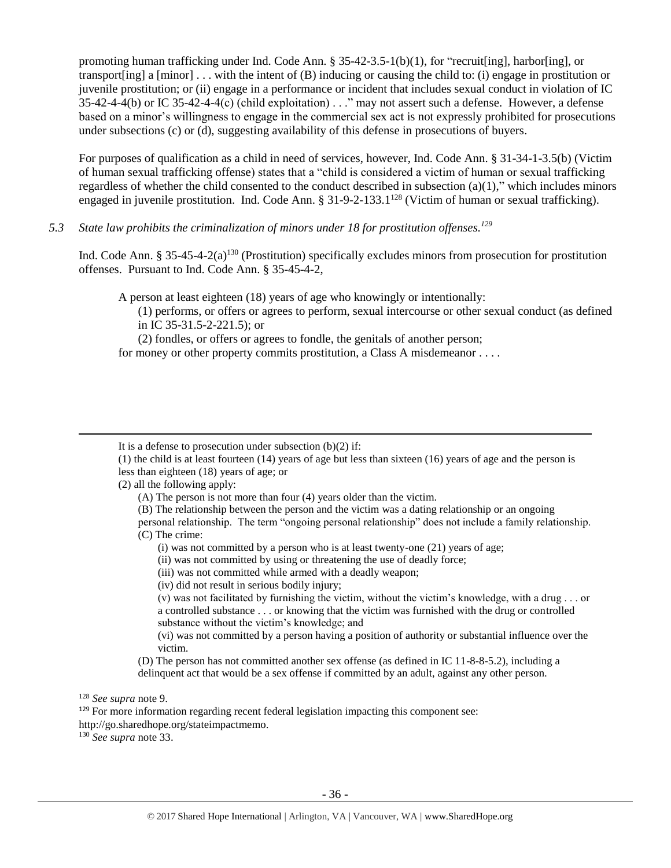promoting human trafficking under Ind. Code Ann.  $\S 35-42-3.5-1(b)(1)$ , for "recruit[ing], harbor[ing], or transport [ing] a  $[\text{minor}]$ ... with the intent of  $(B)$  inducing or causing the child to: (i) engage in prostitution or juvenile prostitution; or (ii) engage in a performance or incident that includes sexual conduct in violation of IC  $35-42-4-4(b)$  or IC 35-42-4-4(c) (child exploitation) . . ." may not assert such a defense. However, a defense based on a minor's willingness to engage in the commercial sex act is not expressly prohibited for prosecutions under subsections (c) or (d), suggesting availability of this defense in prosecutions of buyers.

For purposes of qualification as a child in need of services, however, Ind. Code Ann. § 31-34-1-3.5(b) (Victim of human sexual trafficking offense) states that a "child is considered a victim of human or sexual trafficking regardless of whether the child consented to the conduct described in subsection (a)(1)," which includes minors engaged in juvenile prostitution. Ind. Code Ann. § 31-9-2-133.1<sup>128</sup> (Victim of human or sexual trafficking).

*5.3 State law prohibits the criminalization of minors under 18 for prostitution offenses. 129*

Ind. Code Ann. § 35-45-4-2(a)<sup>130</sup> (Prostitution) specifically excludes minors from prosecution for prostitution offenses. Pursuant to Ind. Code Ann. § 35-45-4-2,

A person at least eighteen (18) years of age who knowingly or intentionally:

(1) performs, or offers or agrees to perform, sexual intercourse or other sexual conduct (as defined in IC 35-31.5-2-221.5); or

(2) fondles, or offers or agrees to fondle, the genitals of another person;

for money or other property commits prostitution, a Class A misdemeanor . . . .

(2) all the following apply:

personal relationship. The term "ongoing personal relationship" does not include a family relationship. (C) The crime:

- (i) was not committed by a person who is at least twenty-one (21) years of age;
- (ii) was not committed by using or threatening the use of deadly force;

(iii) was not committed while armed with a deadly weapon;

(iv) did not result in serious bodily injury;

(v) was not facilitated by furnishing the victim, without the victim's knowledge, with a drug . . . or a controlled substance . . . or knowing that the victim was furnished with the drug or controlled substance without the victim's knowledge; and

(vi) was not committed by a person having a position of authority or substantial influence over the victim.

(D) The person has not committed another sex offense (as defined in IC 11-8-8-5.2), including a delinquent act that would be a sex offense if committed by an adult, against any other person.

<sup>128</sup> *See supra* not[e 9.](#page-2-3)

 $\overline{\phantom{a}}$ 

<sup>129</sup> For more information regarding recent federal legislation impacting this component see:

http://go.sharedhope.org/stateimpactmemo.

<sup>130</sup> *See supra* not[e 33.](#page-7-0)

It is a defense to prosecution under subsection  $(b)(2)$  if:

<sup>(1)</sup> the child is at least fourteen (14) years of age but less than sixteen (16) years of age and the person is less than eighteen (18) years of age; or

<sup>(</sup>A) The person is not more than four (4) years older than the victim.

<sup>(</sup>B) The relationship between the person and the victim was a dating relationship or an ongoing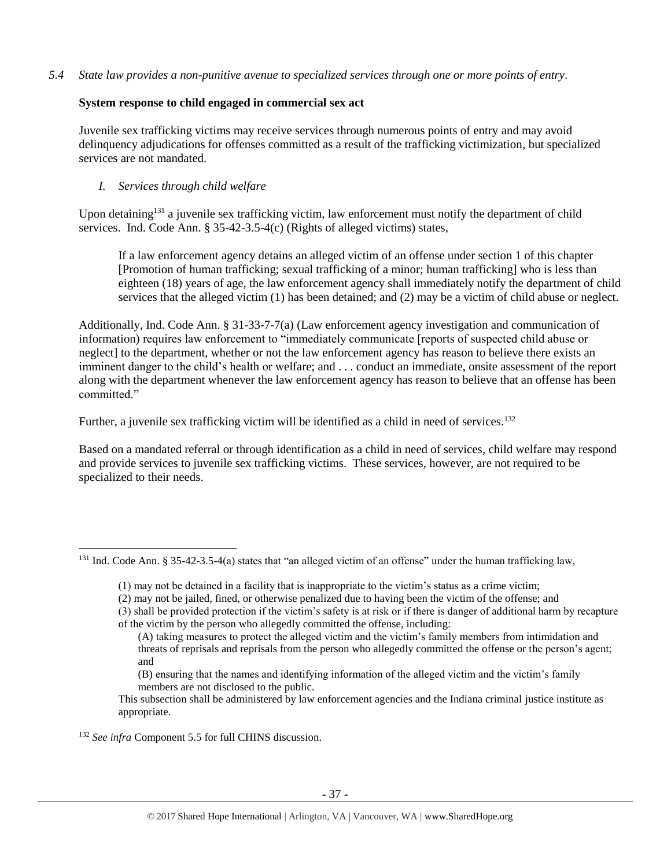*5.4 State law provides a non-punitive avenue to specialized services through one or more points of entry.*

# **System response to child engaged in commercial sex act**

Juvenile sex trafficking victims may receive services through numerous points of entry and may avoid delinquency adjudications for offenses committed as a result of the trafficking victimization, but specialized services are not mandated.

# *I. Services through child welfare*

Upon detaining<sup>131</sup> a juvenile sex trafficking victim, law enforcement must notify the department of child services. Ind. Code Ann. § 35-42-3.5-4(c) (Rights of alleged victims) states,

If a law enforcement agency detains an alleged victim of an offense under section 1 of this chapter [Promotion of human trafficking; sexual trafficking of a minor; human trafficking] who is less than eighteen (18) years of age, the law enforcement agency shall immediately notify the department of child services that the alleged victim (1) has been detained; and (2) may be a victim of child abuse or neglect.

Additionally, Ind. Code Ann. § 31-33-7-7(a) (Law enforcement agency investigation and communication of information) requires law enforcement to "immediately communicate [reports of suspected child abuse or neglect] to the department, whether or not the law enforcement agency has reason to believe there exists an imminent danger to the child's health or welfare; and . . . conduct an immediate, onsite assessment of the report along with the department whenever the law enforcement agency has reason to believe that an offense has been committed."

Further, a juvenile sex trafficking victim will be identified as a child in need of services.<sup>132</sup>

Based on a mandated referral or through identification as a child in need of services, child welfare may respond and provide services to juvenile sex trafficking victims. These services, however, are not required to be specialized to their needs.

(B) ensuring that the names and identifying information of the alleged victim and the victim's family members are not disclosed to the public.

<sup>&</sup>lt;sup>131</sup> Ind. Code Ann. § 35-42-3.5-4(a) states that "an alleged victim of an offense" under the human trafficking law,

<sup>(1)</sup> may not be detained in a facility that is inappropriate to the victim's status as a crime victim;

<sup>(2)</sup> may not be jailed, fined, or otherwise penalized due to having been the victim of the offense; and

<sup>(3)</sup> shall be provided protection if the victim's safety is at risk or if there is danger of additional harm by recapture of the victim by the person who allegedly committed the offense, including:

<sup>(</sup>A) taking measures to protect the alleged victim and the victim's family members from intimidation and threats of reprisals and reprisals from the person who allegedly committed the offense or the person's agent; and

This subsection shall be administered by law enforcement agencies and the Indiana criminal justice institute as appropriate.

<sup>&</sup>lt;sup>132</sup> See infra Component 5.5 for full CHINS discussion.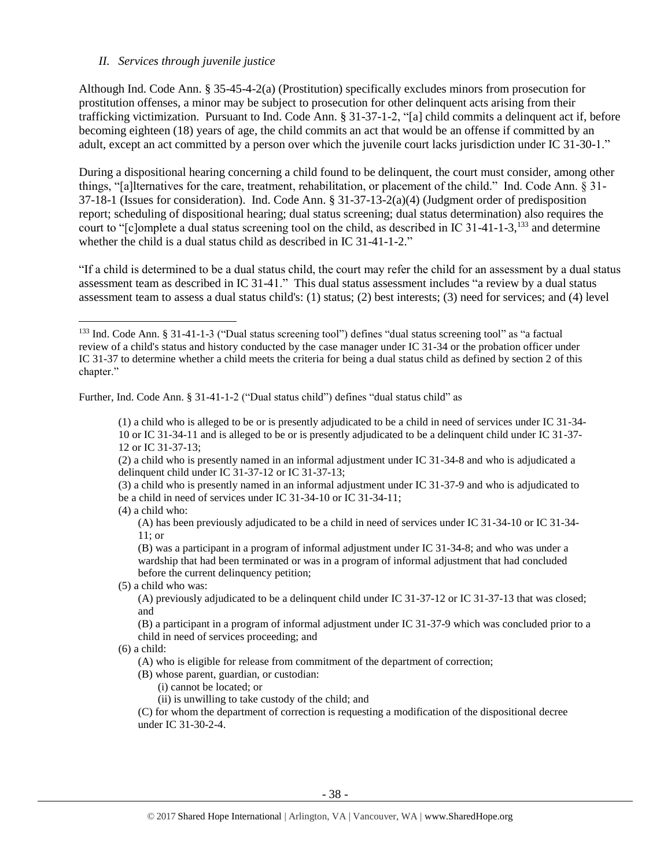#### *II. Services through juvenile justice*

Although Ind. Code Ann. § 35-45-4-2(a) (Prostitution) specifically excludes minors from prosecution for prostitution offenses, a minor may be subject to prosecution for other delinquent acts arising from their trafficking victimization. Pursuant to Ind. Code Ann. § 31-37-1-2, "[a] child commits a delinquent act if, before becoming eighteen (18) years of age, the child commits an act that would be an offense if committed by an adult, except an act committed by a person over which the juvenile court lacks jurisdiction under IC 31-30-1."

During a dispositional hearing concerning a child found to be delinquent, the court must consider, among other things, "[a]lternatives for the care, treatment, rehabilitation, or placement of the child." Ind. Code Ann. § 31- 37-18-1 (Issues for consideration). Ind. Code Ann. § 31-37-13-2(a)(4) (Judgment order of predisposition report; scheduling of dispositional hearing; dual status screening; dual status determination) also requires the court to "[c]omplete a dual status screening tool on the child, as described in IC 31-41-1-3,<sup>133</sup> and determine whether the child is a dual status child as described in IC 31-41-1-2."

"If a child is determined to be a dual status child, the court may refer the child for an assessment by a dual status assessment team as described in IC 31-41." This dual status assessment includes "a review by a dual status assessment team to assess a dual status child's: (1) status; (2) best interests; (3) need for services; and (4) level

Further, Ind. Code Ann. § 31-41-1-2 ("Dual status child") defines "dual status child" as

(3) a child who is presently named in an informal adjustment under IC 31-37-9 and who is adjudicated to be a child in need of services under IC 31-34-10 or IC 31-34-11;

 $\overline{\phantom{a}}$ 

(A) has been previously adjudicated to be a child in need of services under IC 31-34-10 or IC 31-34- 11; or

(B) was a participant in a program of informal adjustment under IC 31-34-8; and who was under a wardship that had been terminated or was in a program of informal adjustment that had concluded before the current delinquency petition;

(5) a child who was:

(A) previously adjudicated to be a delinquent child under IC 31-37-12 or IC 31-37-13 that was closed; and

(B) a participant in a program of informal adjustment under IC 31-37-9 which was concluded prior to a child in need of services proceeding; and

 $(6)$  a child:

(A) who is eligible for release from commitment of the department of correction;

(B) whose parent, guardian, or custodian:

(i) cannot be located; or

(ii) is unwilling to take custody of the child; and

(C) for whom the department of correction is requesting a modification of the dispositional decree under IC 31-30-2-4.

<sup>133</sup> Ind. Code Ann. § 31-41-1-3 ("Dual status screening tool") defines "dual status screening tool" as "a factual review of a child's status and history conducted by the case manager under IC 31-34 or the probation officer under IC 31-37 to determine whether a child meets the criteria for being a dual status child as defined by section 2 of this chapter."

<sup>(1)</sup> a child who is alleged to be or is presently adjudicated to be a child in need of services under IC 31-34- 10 or IC 31-34-11 and is alleged to be or is presently adjudicated to be a delinquent child under IC 31-37- 12 or IC 31-37-13;

<sup>(2)</sup> a child who is presently named in an informal adjustment under IC 31-34-8 and who is adjudicated a delinquent child under IC 31-37-12 or IC 31-37-13;

<sup>(4)</sup> a child who: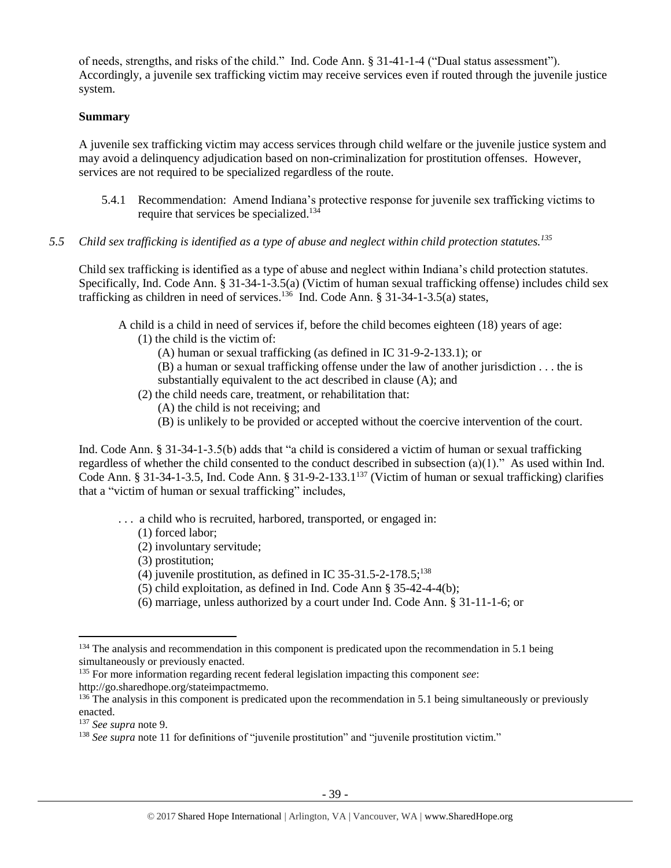of needs, strengths, and risks of the child." Ind. Code Ann. § 31-41-1-4 ("Dual status assessment"). Accordingly, a juvenile sex trafficking victim may receive services even if routed through the juvenile justice system.

## **Summary**

A juvenile sex trafficking victim may access services through child welfare or the juvenile justice system and may avoid a delinquency adjudication based on non-criminalization for prostitution offenses. However, services are not required to be specialized regardless of the route.

- 5.4.1 Recommendation: Amend Indiana's protective response for juvenile sex trafficking victims to require that services be specialized.<sup>134</sup>
- *5.5 Child sex trafficking is identified as a type of abuse and neglect within child protection statutes.<sup>135</sup>*

Child sex trafficking is identified as a type of abuse and neglect within Indiana's child protection statutes. Specifically, Ind. Code Ann. § 31-34-1-3.5(a) (Victim of human sexual trafficking offense) includes child sex trafficking as children in need of services.<sup>136</sup> Ind. Code Ann. § 31-34-1-3.5(a) states,

A child is a child in need of services if, before the child becomes eighteen (18) years of age:

(1) the child is the victim of:

(A) human or sexual trafficking (as defined in IC 31-9-2-133.1); or

(B) a human or sexual trafficking offense under the law of another jurisdiction . . . the is substantially equivalent to the act described in clause (A); and

- (2) the child needs care, treatment, or rehabilitation that:
	- (A) the child is not receiving; and
	- (B) is unlikely to be provided or accepted without the coercive intervention of the court.

Ind. Code Ann. § 31-34-1-3.5(b) adds that "a child is considered a victim of human or sexual trafficking regardless of whether the child consented to the conduct described in subsection (a)(1)." As used within Ind. Code Ann. § 31-34-1-3.5, Ind. Code Ann. § 31-9-2-133.1<sup>137</sup> (Victim of human or sexual trafficking) clarifies that a "victim of human or sexual trafficking" includes,

- . . . a child who is recruited, harbored, transported, or engaged in:
	- (1) forced labor;
	- (2) involuntary servitude;
	- (3) prostitution;
	- (4) juvenile prostitution, as defined in IC 35-31.5-2-178.5;<sup>138</sup>
	- (5) child exploitation, as defined in Ind. Code Ann § 35-42-4-4(b);
	- (6) marriage, unless authorized by a court under Ind. Code Ann. § 31-11-1-6; or

l

<sup>&</sup>lt;sup>134</sup> The analysis and recommendation in this component is predicated upon the recommendation in 5.1 being simultaneously or previously enacted.

<sup>135</sup> For more information regarding recent federal legislation impacting this component *see*: http://go.sharedhope.org/stateimpactmemo.

 $136$  The analysis in this component is predicated upon the recommendation in 5.1 being simultaneously or previously enacted.

<sup>137</sup> *See supra* not[e 9.](#page-2-3)

<sup>&</sup>lt;sup>138</sup> See supra not[e 11](#page-3-0) for definitions of "juvenile prostitution" and "juvenile prostitution victim."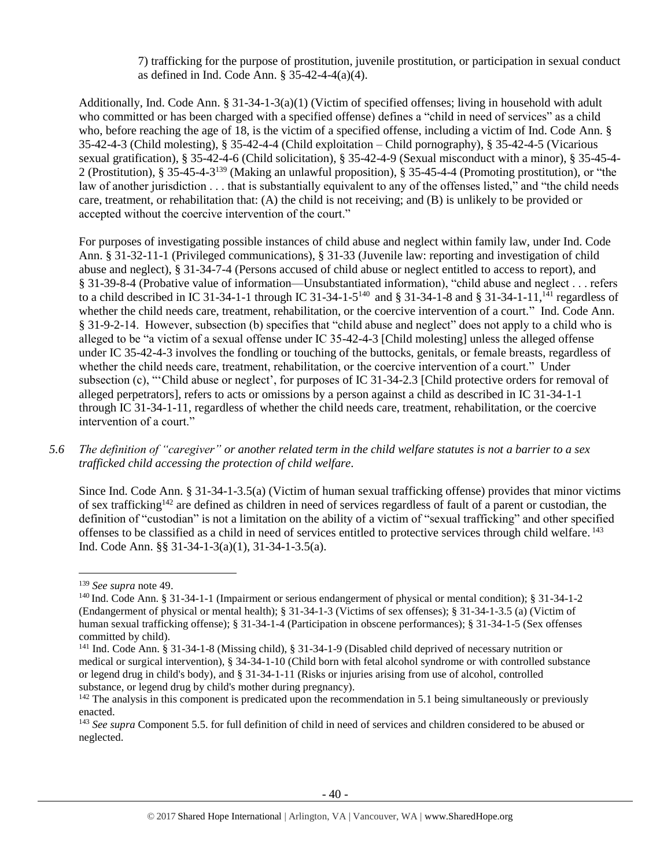7) trafficking for the purpose of prostitution, juvenile prostitution, or participation in sexual conduct as defined in Ind. Code Ann. § 35-42-4-4(a)(4).

Additionally, Ind. Code Ann. § 31-34-1-3(a)(1) (Victim of specified offenses; living in household with adult who committed or has been charged with a specified offense) defines a "child in need of services" as a child who, before reaching the age of 18, is the victim of a specified offense, including a victim of Ind. Code Ann. § 35-42-4-3 (Child molesting), § 35-42-4-4 (Child exploitation – Child pornography), § 35-42-4-5 (Vicarious sexual gratification), § 35-42-4-6 (Child solicitation), § 35-42-4-9 (Sexual misconduct with a minor), § 35-45-4- 2 (Prostitution), § 35-45-4-3<sup>139</sup> (Making an unlawful proposition), § 35-45-4-4 (Promoting prostitution), or "the law of another jurisdiction . . . that is substantially equivalent to any of the offenses listed," and "the child needs care, treatment, or rehabilitation that: (A) the child is not receiving; and (B) is unlikely to be provided or accepted without the coercive intervention of the court."

For purposes of investigating possible instances of child abuse and neglect within family law, under Ind. Code Ann. § 31-32-11-1 (Privileged communications), § 31-33 (Juvenile law: reporting and investigation of child abuse and neglect), § 31-34-7-4 (Persons accused of child abuse or neglect entitled to access to report), and § 31-39-8-4 (Probative value of information—Unsubstantiated information), "child abuse and neglect . . . refers to a child described in IC 31-34-1-1 through IC 31-34-1-5<sup>140</sup> and § 31-34-1-8 and § 31-34-1-11,<sup>141</sup> regardless of whether the child needs care, treatment, rehabilitation, or the coercive intervention of a court." Ind. Code Ann. § 31-9-2-14. However, subsection (b) specifies that "child abuse and neglect" does not apply to a child who is alleged to be "a victim of a sexual offense under IC 35-42-4-3 [Child molesting] unless the alleged offense under IC 35-42-4-3 involves the fondling or touching of the buttocks, genitals, or female breasts, regardless of whether the child needs care, treatment, rehabilitation, or the coercive intervention of a court." Under subsection (c), "'Child abuse or neglect', for purposes of IC 31-34-2.3 [Child protective orders for removal of alleged perpetrators], refers to acts or omissions by a person against a child as described in IC 31-34-1-1 through IC 31-34-1-11, regardless of whether the child needs care, treatment, rehabilitation, or the coercive intervention of a court."

*5.6 The definition of "caregiver" or another related term in the child welfare statutes is not a barrier to a sex trafficked child accessing the protection of child welfare.*

Since Ind. Code Ann. § 31-34-1-3.5(a) (Victim of human sexual trafficking offense) provides that minor victims of sex trafficking<sup>142</sup> are defined as children in need of services regardless of fault of a parent or custodian, the definition of "custodian" is not a limitation on the ability of a victim of "sexual trafficking" and other specified offenses to be classified as a child in need of services entitled to protective services through child welfare. 143 Ind. Code Ann. §§ 31-34-1-3(a)(1), 31-34-1-3.5(a).

<sup>139</sup> *See supra* not[e 49.](#page-10-1)

<sup>140</sup> Ind. Code Ann. § 31-34-1-1 (Impairment or serious endangerment of physical or mental condition); § 31-34-1-2 (Endangerment of physical or mental health); § 31-34-1-3 (Victims of sex offenses); § 31-34-1-3.5 (a) (Victim of human sexual trafficking offense); § 31-34-1-4 (Participation in obscene performances); § 31-34-1-5 (Sex offenses committed by child).

<sup>141</sup> Ind. Code Ann. § 31-34-1-8 (Missing child), § 31-34-1-9 (Disabled child deprived of necessary nutrition or medical or surgical intervention), § 34-34-1-10 (Child born with fetal alcohol syndrome or with controlled substance or legend drug in child's body), and § 31-34-1-11 (Risks or injuries arising from use of alcohol, controlled substance, or legend drug by child's mother during pregnancy).

 $142$  The analysis in this component is predicated upon the recommendation in 5.1 being simultaneously or previously enacted.

<sup>143</sup> *See supra* Component 5.5. for full definition of child in need of services and children considered to be abused or neglected.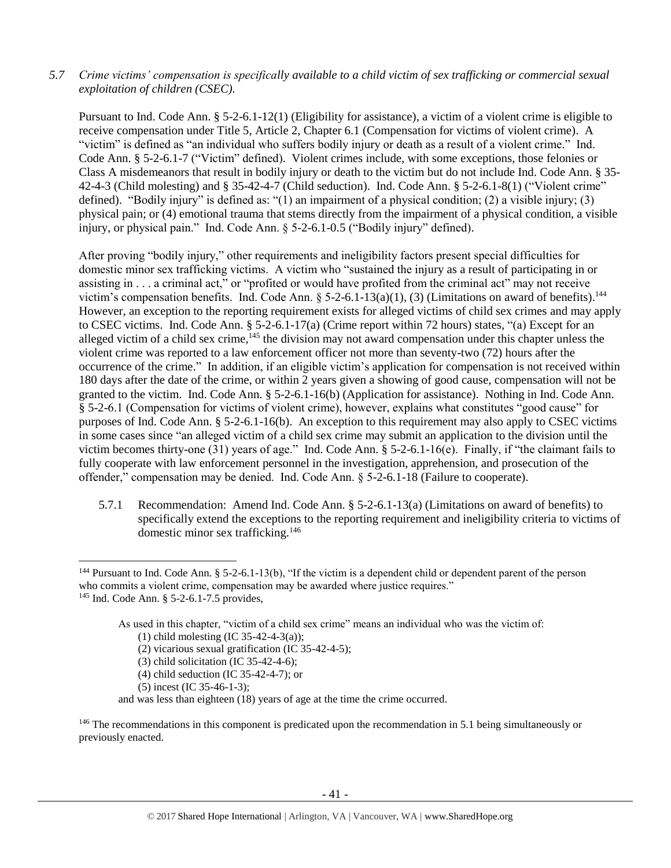## *5.7 Crime victims' compensation is specifically available to a child victim of sex trafficking or commercial sexual exploitation of children (CSEC).*

Pursuant to Ind. Code Ann. § 5-2-6.1-12(1) (Eligibility for assistance), a victim of a violent crime is eligible to receive compensation under Title 5, Article 2, Chapter 6.1 (Compensation for victims of violent crime). A "victim" is defined as "an individual who suffers bodily injury or death as a result of a violent crime." Ind. Code Ann. § 5-2-6.1-7 ("Victim" defined). Violent crimes include, with some exceptions, those felonies or Class A misdemeanors that result in bodily injury or death to the victim but do not include Ind. Code Ann. § 35- 42-4-3 (Child molesting) and § 35-42-4-7 (Child seduction). Ind. Code Ann. § 5-2-6.1-8(1) ("Violent crime" defined). "Bodily injury" is defined as: "(1) an impairment of a physical condition; (2) a visible injury; (3) physical pain; or (4) emotional trauma that stems directly from the impairment of a physical condition, a visible injury, or physical pain." Ind. Code Ann. § 5-2-6.1-0.5 ("Bodily injury" defined).

After proving "bodily injury," other requirements and ineligibility factors present special difficulties for domestic minor sex trafficking victims. A victim who "sustained the injury as a result of participating in or assisting in . . . a criminal act," or "profited or would have profited from the criminal act" may not receive victim's compensation benefits. Ind. Code Ann. § 5-2-6.1-13(a)(1), (3) (Limitations on award of benefits).<sup>144</sup> However, an exception to the reporting requirement exists for alleged victims of child sex crimes and may apply to CSEC victims. Ind. Code Ann. § 5-2-6.1-17(a) (Crime report within 72 hours) states, "(a) Except for an alleged victim of a child sex crime,<sup>145</sup> the division may not award compensation under this chapter unless the violent crime was reported to a law enforcement officer not more than seventy-two (72) hours after the occurrence of the crime." In addition, if an eligible victim's application for compensation is not received within 180 days after the date of the crime, or within 2 years given a showing of good cause, compensation will not be granted to the victim. Ind. Code Ann. § 5-2-6.1-16(b) (Application for assistance). Nothing in Ind. Code Ann. § 5-2-6.1 (Compensation for victims of violent crime), however, explains what constitutes "good cause" for purposes of Ind. Code Ann. § 5-2-6.1-16(b). An exception to this requirement may also apply to CSEC victims in some cases since "an alleged victim of a child sex crime may submit an application to the division until the victim becomes thirty-one (31) years of age." Ind. Code Ann. § 5-2-6.1-16(e). Finally, if "the claimant fails to fully cooperate with law enforcement personnel in the investigation, apprehension, and prosecution of the offender," compensation may be denied. Ind. Code Ann. § 5-2-6.1-18 (Failure to cooperate).

5.7.1 Recommendation: Amend Ind. Code Ann. § 5-2-6.1-13(a) (Limitations on award of benefits) to specifically extend the exceptions to the reporting requirement and ineligibility criteria to victims of domestic minor sex trafficking.<sup>146</sup>

l

As used in this chapter, "victim of a child sex crime" means an individual who was the victim of:

- (2) vicarious sexual gratification (IC 35-42-4-5);
- (3) child solicitation (IC 35-42-4-6);
- (4) child seduction (IC 35-42-4-7); or
- (5) incest (IC 35-46-1-3);

<sup>&</sup>lt;sup>144</sup> Pursuant to Ind. Code Ann. § 5-2-6.1-13(b), "If the victim is a dependent child or dependent parent of the person who commits a violent crime, compensation may be awarded where justice requires."

<sup>145</sup> Ind. Code Ann. § 5-2-6.1-7.5 provides,

<sup>(1)</sup> child molesting (IC 35-42-4-3(a));

and was less than eighteen (18) years of age at the time the crime occurred.

<sup>&</sup>lt;sup>146</sup> The recommendations in this component is predicated upon the recommendation in 5.1 being simultaneously or previously enacted.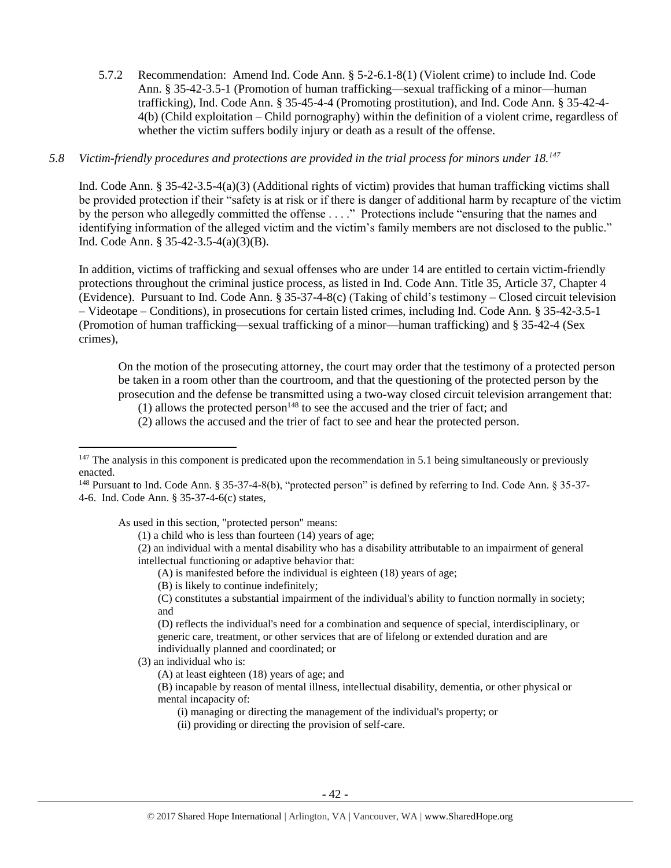5.7.2 Recommendation: Amend Ind. Code Ann. § 5-2-6.1-8(1) (Violent crime) to include Ind. Code Ann. § 35-42-3.5-1 (Promotion of human trafficking—sexual trafficking of a minor—human trafficking), Ind. Code Ann. § 35-45-4-4 (Promoting prostitution), and Ind. Code Ann. § 35-42-4- 4(b) (Child exploitation – Child pornography) within the definition of a violent crime, regardless of whether the victim suffers bodily injury or death as a result of the offense.

## *5.8 Victim-friendly procedures and protections are provided in the trial process for minors under 18.<sup>147</sup>*

Ind. Code Ann. § 35-42-3.5-4(a)(3) (Additional rights of victim) provides that human trafficking victims shall be provided protection if their "safety is at risk or if there is danger of additional harm by recapture of the victim by the person who allegedly committed the offense . . . ." Protections include "ensuring that the names and identifying information of the alleged victim and the victim's family members are not disclosed to the public." Ind. Code Ann. § 35-42-3.5-4(a)(3)(B).

In addition, victims of trafficking and sexual offenses who are under 14 are entitled to certain victim-friendly protections throughout the criminal justice process, as listed in Ind. Code Ann. Title 35, Article 37, Chapter 4 (Evidence). Pursuant to Ind. Code Ann. § 35-37-4-8(c) (Taking of child's testimony – Closed circuit television – Videotape – Conditions), in prosecutions for certain listed crimes, including Ind. Code Ann. § 35-42-3.5-1 (Promotion of human trafficking—sexual trafficking of a minor—human trafficking) and § 35-42-4 (Sex crimes),

On the motion of the prosecuting attorney, the court may order that the testimony of a protected person be taken in a room other than the courtroom, and that the questioning of the protected person by the prosecution and the defense be transmitted using a two-way closed circuit television arrangement that:

(1) allows the protected person<sup>148</sup> to see the accused and the trier of fact; and

(2) allows the accused and the trier of fact to see and hear the protected person.

As used in this section, "protected person" means:

(1) a child who is less than fourteen (14) years of age;

(2) an individual with a mental disability who has a disability attributable to an impairment of general intellectual functioning or adaptive behavior that:

(A) is manifested before the individual is eighteen (18) years of age;

(B) is likely to continue indefinitely;

(C) constitutes a substantial impairment of the individual's ability to function normally in society; and

(D) reflects the individual's need for a combination and sequence of special, interdisciplinary, or generic care, treatment, or other services that are of lifelong or extended duration and are individually planned and coordinated; or

(3) an individual who is:

 $\overline{a}$ 

(A) at least eighteen (18) years of age; and

(B) incapable by reason of mental illness, intellectual disability, dementia, or other physical or mental incapacity of:

(i) managing or directing the management of the individual's property; or

(ii) providing or directing the provision of self-care.

 $147$  The analysis in this component is predicated upon the recommendation in 5.1 being simultaneously or previously enacted.

<sup>148</sup> Pursuant to Ind. Code Ann. § 35-37-4-8(b), "protected person" is defined by referring to Ind. Code Ann. § 35-37- 4-6. Ind. Code Ann. § 35-37-4-6(c) states,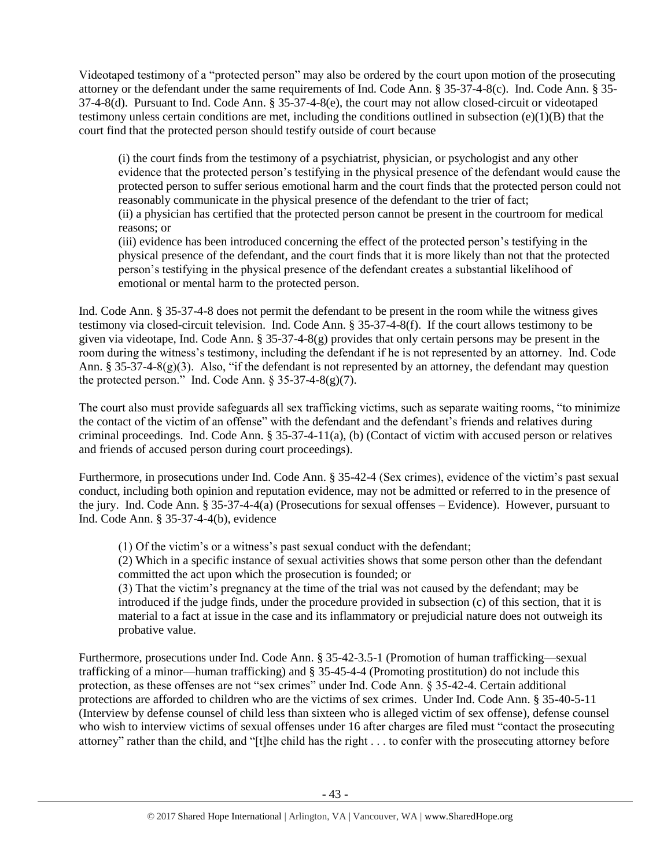Videotaped testimony of a "protected person" may also be ordered by the court upon motion of the prosecuting attorney or the defendant under the same requirements of Ind. Code Ann. § 35-37-4-8(c). Ind. Code Ann. § 35- 37-4-8(d). Pursuant to Ind. Code Ann. § 35-37-4-8(e), the court may not allow closed-circuit or videotaped testimony unless certain conditions are met, including the conditions outlined in subsection (e)(1)(B) that the court find that the protected person should testify outside of court because

(i) the court finds from the testimony of a psychiatrist, physician, or psychologist and any other evidence that the protected person's testifying in the physical presence of the defendant would cause the protected person to suffer serious emotional harm and the court finds that the protected person could not reasonably communicate in the physical presence of the defendant to the trier of fact;

(ii) a physician has certified that the protected person cannot be present in the courtroom for medical reasons; or

(iii) evidence has been introduced concerning the effect of the protected person's testifying in the physical presence of the defendant, and the court finds that it is more likely than not that the protected person's testifying in the physical presence of the defendant creates a substantial likelihood of emotional or mental harm to the protected person.

Ind. Code Ann. § 35-37-4-8 does not permit the defendant to be present in the room while the witness gives testimony via closed-circuit television. Ind. Code Ann. § 35-37-4-8(f). If the court allows testimony to be given via videotape, Ind. Code Ann. § 35-37-4-8(g) provides that only certain persons may be present in the room during the witness's testimony, including the defendant if he is not represented by an attorney. Ind. Code Ann. § 35-37-4-8(g)(3). Also, "if the defendant is not represented by an attorney, the defendant may question the protected person." Ind. Code Ann.  $\S 35-37-4-8(g)(7)$ .

The court also must provide safeguards all sex trafficking victims, such as separate waiting rooms, "to minimize the contact of the victim of an offense" with the defendant and the defendant's friends and relatives during criminal proceedings. Ind. Code Ann. § 35-37-4-11(a), (b) (Contact of victim with accused person or relatives and friends of accused person during court proceedings).

Furthermore, in prosecutions under Ind. Code Ann. § 35-42-4 (Sex crimes), evidence of the victim's past sexual conduct, including both opinion and reputation evidence, may not be admitted or referred to in the presence of the jury. Ind. Code Ann. § 35-37-4-4(a) (Prosecutions for sexual offenses – Evidence). However, pursuant to Ind. Code Ann. § 35-37-4-4(b), evidence

(1) Of the victim's or a witness's past sexual conduct with the defendant;

(2) Which in a specific instance of sexual activities shows that some person other than the defendant committed the act upon which the prosecution is founded; or

(3) That the victim's pregnancy at the time of the trial was not caused by the defendant; may be introduced if the judge finds, under the procedure provided in subsection (c) of this section, that it is material to a fact at issue in the case and its inflammatory or prejudicial nature does not outweigh its probative value.

Furthermore, prosecutions under Ind. Code Ann. § 35-42-3.5-1 (Promotion of human trafficking—sexual trafficking of a minor—human trafficking) and § 35-45-4-4 (Promoting prostitution) do not include this protection, as these offenses are not "sex crimes" under Ind. Code Ann. § 35-42-4. Certain additional protections are afforded to children who are the victims of sex crimes. Under Ind. Code Ann. § 35-40-5-11 (Interview by defense counsel of child less than sixteen who is alleged victim of sex offense), defense counsel who wish to interview victims of sexual offenses under 16 after charges are filed must "contact the prosecuting attorney" rather than the child, and "[t]he child has the right . . . to confer with the prosecuting attorney before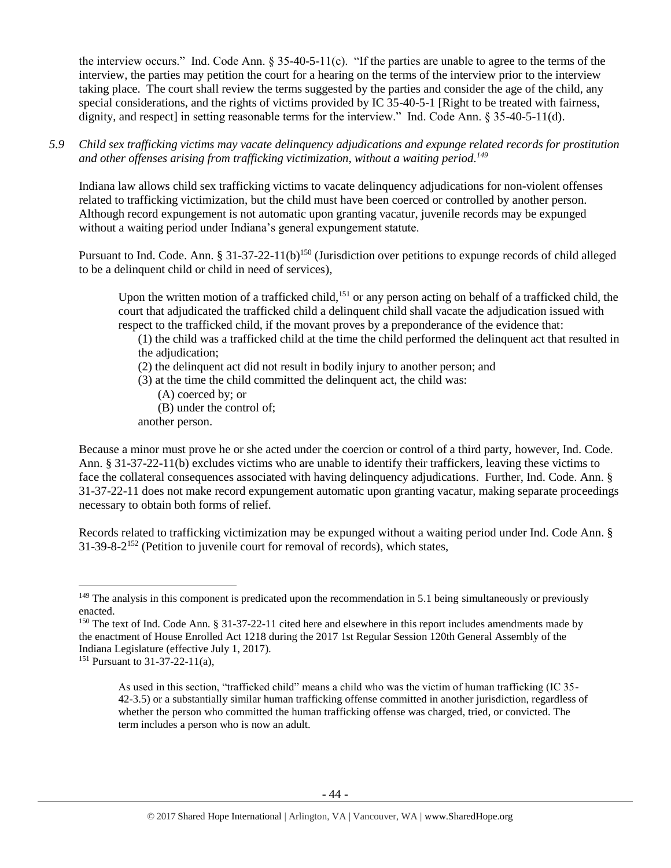the interview occurs." Ind. Code Ann.  $\S 35-40-5-11(c)$ . "If the parties are unable to agree to the terms of the interview, the parties may petition the court for a hearing on the terms of the interview prior to the interview taking place. The court shall review the terms suggested by the parties and consider the age of the child, any special considerations, and the rights of victims provided by IC 35-40-5-1 [Right to be treated with fairness, dignity, and respect] in setting reasonable terms for the interview." Ind. Code Ann. § 35-40-5-11(d).

*5.9 Child sex trafficking victims may vacate delinquency adjudications and expunge related records for prostitution and other offenses arising from trafficking victimization, without a waiting period. 149*

Indiana law allows child sex trafficking victims to vacate delinquency adjudications for non-violent offenses related to trafficking victimization, but the child must have been coerced or controlled by another person. Although record expungement is not automatic upon granting vacatur, juvenile records may be expunged without a waiting period under Indiana's general expungement statute.

Pursuant to Ind. Code. Ann. § 31-37-22-11(b)<sup>150</sup> (Jurisdiction over petitions to expunge records of child alleged to be a delinquent child or child in need of services),

Upon the written motion of a trafficked child,<sup>151</sup> or any person acting on behalf of a trafficked child, the court that adjudicated the trafficked child a delinquent child shall vacate the adjudication issued with respect to the trafficked child, if the movant proves by a preponderance of the evidence that:

- (1) the child was a trafficked child at the time the child performed the delinquent act that resulted in the adjudication;
- (2) the delinquent act did not result in bodily injury to another person; and
- (3) at the time the child committed the delinquent act, the child was:
	- (A) coerced by; or
	- (B) under the control of;
- another person.

Because a minor must prove he or she acted under the coercion or control of a third party, however, Ind. Code. Ann. § 31-37-22-11(b) excludes victims who are unable to identify their traffickers, leaving these victims to face the collateral consequences associated with having delinquency adjudications. Further, Ind. Code. Ann. § 31-37-22-11 does not make record expungement automatic upon granting vacatur, making separate proceedings necessary to obtain both forms of relief.

Records related to trafficking victimization may be expunged without a waiting period under Ind. Code Ann. § 31-39-8-2 <sup>152</sup> (Petition to juvenile court for removal of records), which states,

<sup>&</sup>lt;sup>149</sup> The analysis in this component is predicated upon the recommendation in 5.1 being simultaneously or previously enacted.

<sup>&</sup>lt;sup>150</sup> The text of Ind. Code Ann. § 31-37-22-11 cited here and elsewhere in this report includes amendments made by the enactment of House Enrolled Act 1218 during the 2017 1st Regular Session 120th General Assembly of the Indiana Legislature (effective July 1, 2017).

<sup>151</sup> Pursuant to 31-37-22-11(a),

As used in this section, "trafficked child" means a child who was the victim of human trafficking (IC 35- 42-3.5) or a substantially similar human trafficking offense committed in another jurisdiction, regardless of whether the person who committed the human trafficking offense was charged, tried, or convicted. The term includes a person who is now an adult.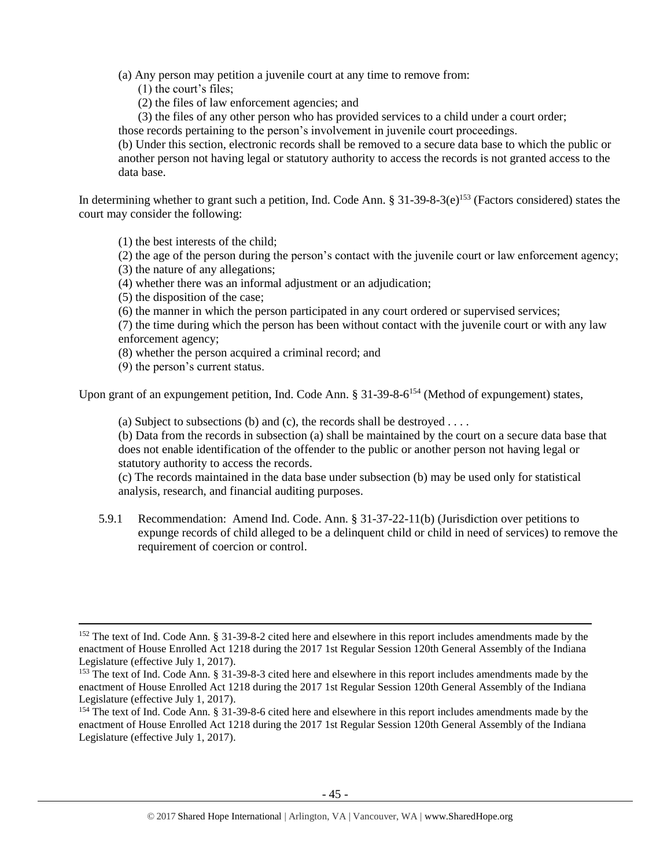(a) Any person may petition a juvenile court at any time to remove from:

- (1) the court's files;
- (2) the files of law enforcement agencies; and

(3) the files of any other person who has provided services to a child under a court order;

those records pertaining to the person's involvement in juvenile court proceedings.

(b) Under this section, electronic records shall be removed to a secure data base to which the public or another person not having legal or statutory authority to access the records is not granted access to the data base.

In determining whether to grant such a petition, Ind. Code Ann. § 31-39-8-3(e)<sup>153</sup> (Factors considered) states the court may consider the following:

(1) the best interests of the child;

(2) the age of the person during the person's contact with the juvenile court or law enforcement agency;

- (3) the nature of any allegations;
- (4) whether there was an informal adjustment or an adjudication;
- (5) the disposition of the case;
- (6) the manner in which the person participated in any court ordered or supervised services;

(7) the time during which the person has been without contact with the juvenile court or with any law enforcement agency;

- (8) whether the person acquired a criminal record; and
- (9) the person's current status.

 $\overline{\phantom{a}}$ 

Upon grant of an expungement petition, Ind. Code Ann. § 31-39-8-6<sup>154</sup> (Method of expungement) states,

(a) Subject to subsections (b) and (c), the records shall be destroyed  $\dots$ 

(b) Data from the records in subsection (a) shall be maintained by the court on a secure data base that does not enable identification of the offender to the public or another person not having legal or statutory authority to access the records.

(c) The records maintained in the data base under subsection (b) may be used only for statistical analysis, research, and financial auditing purposes.

5.9.1 Recommendation: Amend Ind. Code. Ann. § 31-37-22-11(b) (Jurisdiction over petitions to expunge records of child alleged to be a delinquent child or child in need of services) to remove the requirement of coercion or control.

<sup>&</sup>lt;sup>152</sup> The text of Ind. Code Ann. § 31-39-8-2 cited here and elsewhere in this report includes amendments made by the enactment of House Enrolled Act 1218 during the 2017 1st Regular Session 120th General Assembly of the Indiana Legislature (effective July 1, 2017).

<sup>153</sup> The text of Ind. Code Ann. § 31-39-8-3 cited here and elsewhere in this report includes amendments made by the enactment of House Enrolled Act 1218 during the 2017 1st Regular Session 120th General Assembly of the Indiana Legislature (effective July 1, 2017).

<sup>&</sup>lt;sup>154</sup> The text of Ind. Code Ann. § 31-39-8-6 cited here and elsewhere in this report includes amendments made by the enactment of House Enrolled Act 1218 during the 2017 1st Regular Session 120th General Assembly of the Indiana Legislature (effective July 1, 2017).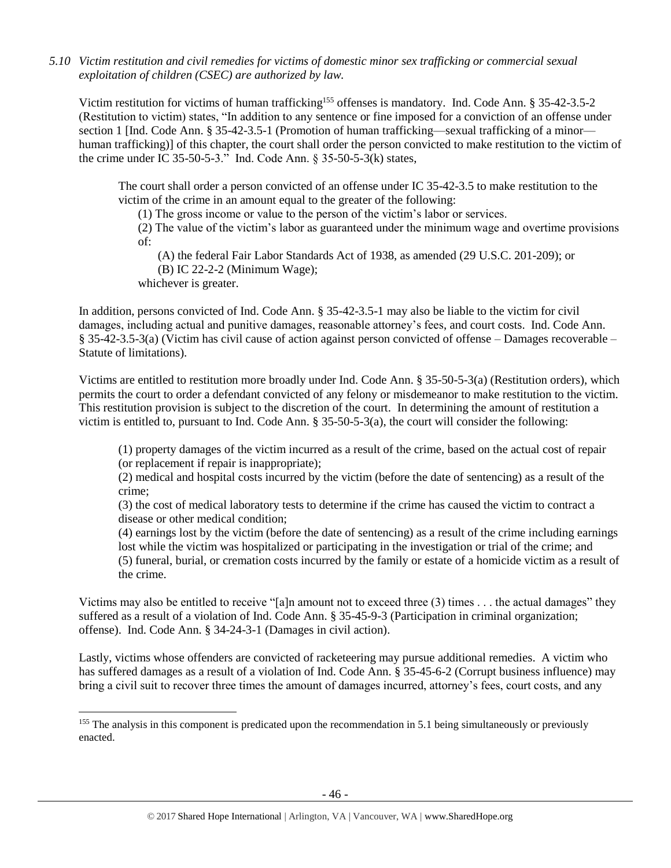*5.10 Victim restitution and civil remedies for victims of domestic minor sex trafficking or commercial sexual exploitation of children (CSEC) are authorized by law.* 

Victim restitution for victims of human trafficking<sup>155</sup> offenses is mandatory. Ind. Code Ann. § 35-42-3.5-2 (Restitution to victim) states, "In addition to any sentence or fine imposed for a conviction of an offense under section 1 [Ind. Code Ann. § 35-42-3.5-1 (Promotion of human trafficking—sexual trafficking of a minor human trafficking)] of this chapter, the court shall order the person convicted to make restitution to the victim of the crime under IC 35-50-5-3." Ind. Code Ann. § 35-50-5-3(k) states,

The court shall order a person convicted of an offense under IC 35-42-3.5 to make restitution to the victim of the crime in an amount equal to the greater of the following:

(1) The gross income or value to the person of the victim's labor or services.

(2) The value of the victim's labor as guaranteed under the minimum wage and overtime provisions of:

(A) the federal Fair Labor Standards Act of 1938, as amended (29 U.S.C. 201-209); or (B) IC 22-2-2 (Minimum Wage);

whichever is greater.

 $\overline{\phantom{a}}$ 

In addition, persons convicted of Ind. Code Ann. § 35-42-3.5-1 may also be liable to the victim for civil damages, including actual and punitive damages, reasonable attorney's fees, and court costs. Ind. Code Ann. § 35-42-3.5-3(a) (Victim has civil cause of action against person convicted of offense – Damages recoverable – Statute of limitations).

Victims are entitled to restitution more broadly under Ind. Code Ann. § 35-50-5-3(a) (Restitution orders), which permits the court to order a defendant convicted of any felony or misdemeanor to make restitution to the victim. This restitution provision is subject to the discretion of the court. In determining the amount of restitution a victim is entitled to, pursuant to Ind. Code Ann. § 35-50-5-3(a), the court will consider the following:

(1) property damages of the victim incurred as a result of the crime, based on the actual cost of repair (or replacement if repair is inappropriate);

(2) medical and hospital costs incurred by the victim (before the date of sentencing) as a result of the crime;

(3) the cost of medical laboratory tests to determine if the crime has caused the victim to contract a disease or other medical condition;

(4) earnings lost by the victim (before the date of sentencing) as a result of the crime including earnings lost while the victim was hospitalized or participating in the investigation or trial of the crime; and (5) funeral, burial, or cremation costs incurred by the family or estate of a homicide victim as a result of the crime.

Victims may also be entitled to receive "[a]n amount not to exceed three (3) times . . . the actual damages" they suffered as a result of a violation of Ind. Code Ann. § 35-45-9-3 (Participation in criminal organization; offense). Ind. Code Ann. § 34-24-3-1 (Damages in civil action).

Lastly, victims whose offenders are convicted of racketeering may pursue additional remedies. A victim who has suffered damages as a result of a violation of Ind. Code Ann. § 35-45-6-2 (Corrupt business influence) may bring a civil suit to recover three times the amount of damages incurred, attorney's fees, court costs, and any

<sup>&</sup>lt;sup>155</sup> The analysis in this component is predicated upon the recommendation in 5.1 being simultaneously or previously enacted.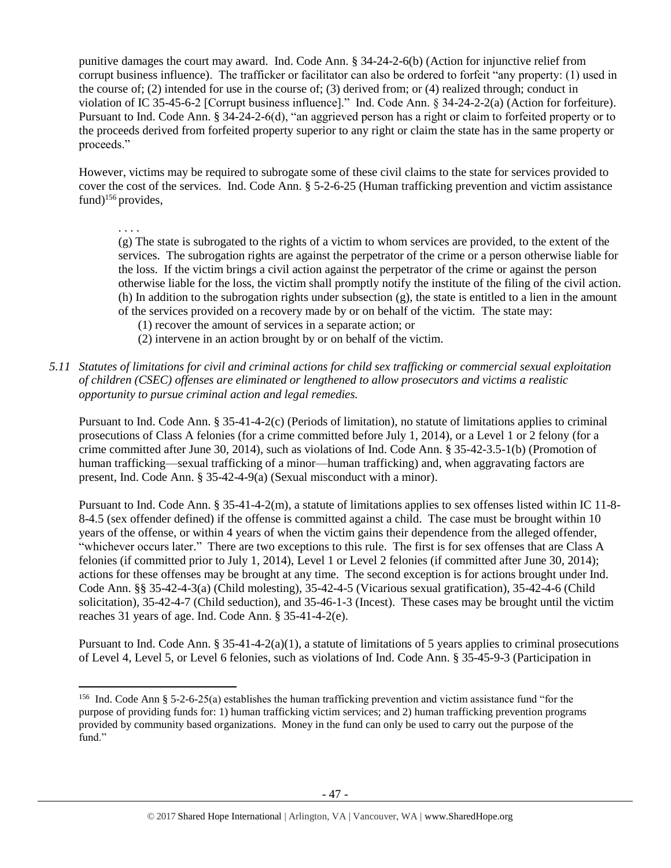punitive damages the court may award. Ind. Code Ann. § 34-24-2-6(b) (Action for injunctive relief from corrupt business influence). The trafficker or facilitator can also be ordered to forfeit "any property: (1) used in the course of; (2) intended for use in the course of; (3) derived from; or (4) realized through; conduct in violation of IC 35-45-6-2 [Corrupt business influence]." Ind. Code Ann. § 34-24-2-2(a) (Action for forfeiture). Pursuant to Ind. Code Ann. § 34-24-2-6(d), "an aggrieved person has a right or claim to forfeited property or to the proceeds derived from forfeited property superior to any right or claim the state has in the same property or proceeds."

However, victims may be required to subrogate some of these civil claims to the state for services provided to cover the cost of the services. Ind. Code Ann. § 5-2-6-25 (Human trafficking prevention and victim assistance fund)<sup>156</sup> provides,

. . . . (g) The state is subrogated to the rights of a victim to whom services are provided, to the extent of the services. The subrogation rights are against the perpetrator of the crime or a person otherwise liable for the loss. If the victim brings a civil action against the perpetrator of the crime or against the person otherwise liable for the loss, the victim shall promptly notify the institute of the filing of the civil action. (h) In addition to the subrogation rights under subsection (g), the state is entitled to a lien in the amount of the services provided on a recovery made by or on behalf of the victim. The state may:

- (1) recover the amount of services in a separate action; or
- (2) intervene in an action brought by or on behalf of the victim.
- *5.11 Statutes of limitations for civil and criminal actions for child sex trafficking or commercial sexual exploitation of children (CSEC) offenses are eliminated or lengthened to allow prosecutors and victims a realistic opportunity to pursue criminal action and legal remedies.*

Pursuant to Ind. Code Ann. § 35-41-4-2(c) (Periods of limitation), no statute of limitations applies to criminal prosecutions of Class A felonies (for a crime committed before July 1, 2014), or a Level 1 or 2 felony (for a crime committed after June 30, 2014), such as violations of Ind. Code Ann. § 35-42-3.5-1(b) (Promotion of human trafficking—sexual trafficking of a minor—human trafficking) and, when aggravating factors are present, Ind. Code Ann. § 35-42-4-9(a) (Sexual misconduct with a minor).

Pursuant to Ind. Code Ann. § 35-41-4-2(m), a statute of limitations applies to sex offenses listed within IC 11-8- 8-4.5 (sex offender defined) if the offense is committed against a child. The case must be brought within 10 years of the offense, or within 4 years of when the victim gains their dependence from the alleged offender, "whichever occurs later." There are two exceptions to this rule. The first is for sex offenses that are Class A felonies (if committed prior to July 1, 2014), Level 1 or Level 2 felonies (if committed after June 30, 2014); actions for these offenses may be brought at any time. The second exception is for actions brought under Ind. Code Ann. §§ 35-42-4-3(a) (Child molesting), 35-42-4-5 (Vicarious sexual gratification), 35-42-4-6 (Child solicitation), 35-42-4-7 (Child seduction), and 35-46-1-3 (Incest). These cases may be brought until the victim reaches 31 years of age. Ind. Code Ann. § 35-41-4-2(e).

Pursuant to Ind. Code Ann.  $\S 35-41-4-2(a)(1)$ , a statute of limitations of 5 years applies to criminal prosecutions of Level 4, Level 5, or Level 6 felonies, such as violations of Ind. Code Ann. § 35-45-9-3 (Participation in

 $\overline{a}$ 

<sup>&</sup>lt;sup>156</sup> Ind. Code Ann § 5-2-6-25(a) establishes the human trafficking prevention and victim assistance fund "for the purpose of providing funds for: 1) human trafficking victim services; and 2) human trafficking prevention programs provided by community based organizations. Money in the fund can only be used to carry out the purpose of the fund."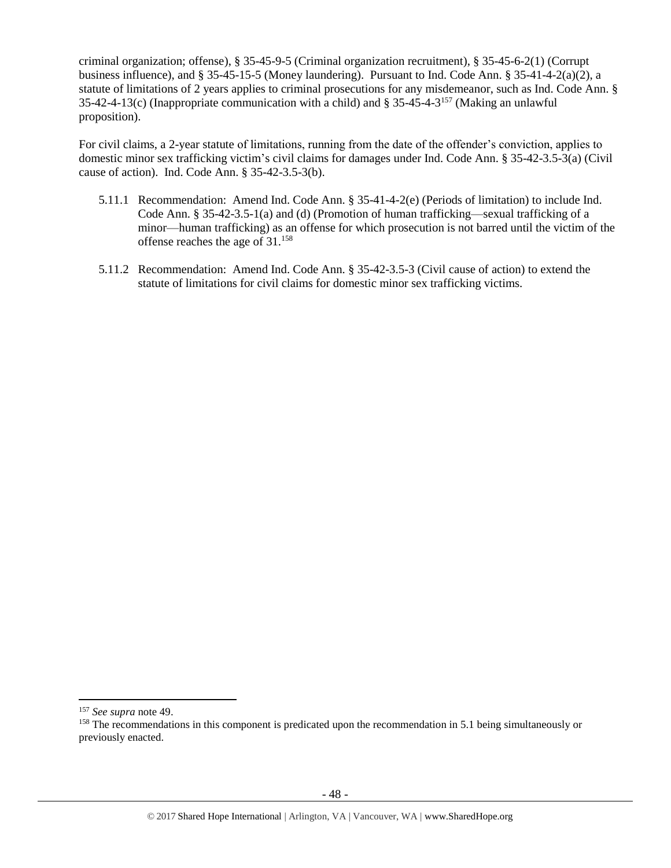criminal organization; offense), § 35-45-9-5 (Criminal organization recruitment), § 35-45-6-2(1) (Corrupt business influence), and § 35-45-15-5 (Money laundering). Pursuant to Ind. Code Ann. § 35-41-4-2(a)(2), a statute of limitations of 2 years applies to criminal prosecutions for any misdemeanor, such as Ind. Code Ann. § 35-42-4-13(c) (Inappropriate communication with a child) and  $\S 35$ -45-4-3<sup>157</sup> (Making an unlawful proposition).

For civil claims, a 2-year statute of limitations, running from the date of the offender's conviction, applies to domestic minor sex trafficking victim's civil claims for damages under Ind. Code Ann. § 35-42-3.5-3(a) (Civil cause of action). Ind. Code Ann. § 35-42-3.5-3(b).

- 5.11.1 Recommendation: Amend Ind. Code Ann. § 35-41-4-2(e) (Periods of limitation) to include Ind. Code Ann. § 35-42-3.5-1(a) and (d) (Promotion of human trafficking—sexual trafficking of a minor—human trafficking) as an offense for which prosecution is not barred until the victim of the offense reaches the age of 31.<sup>158</sup>
- 5.11.2 Recommendation: Amend Ind. Code Ann. § 35-42-3.5-3 (Civil cause of action) to extend the statute of limitations for civil claims for domestic minor sex trafficking victims.

<sup>157</sup> *See supra* not[e 49.](#page-10-1)

<sup>&</sup>lt;sup>158</sup> The recommendations in this component is predicated upon the recommendation in 5.1 being simultaneously or previously enacted.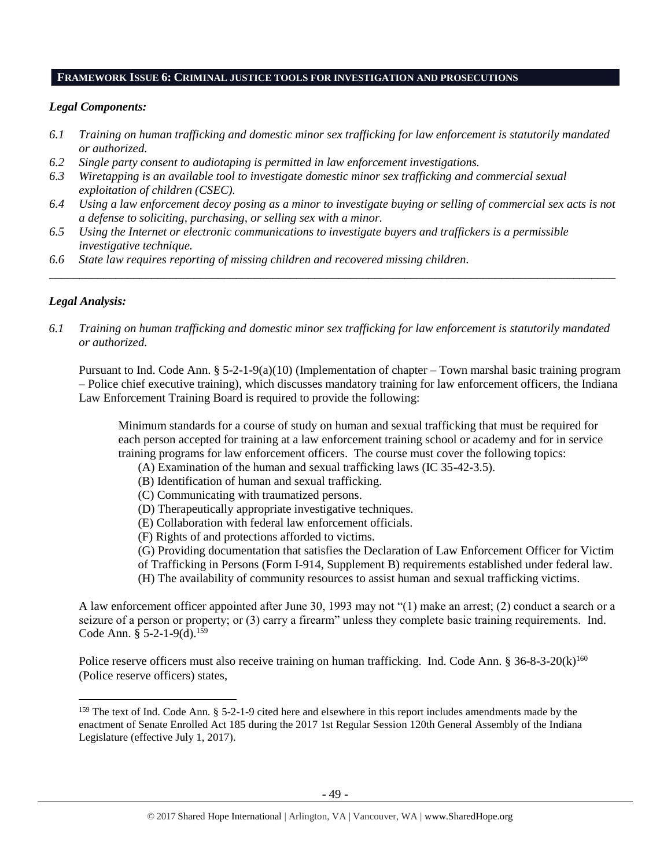#### **FRAMEWORK ISSUE 6: CRIMINAL JUSTICE TOOLS FOR INVESTIGATION AND PROSECUTIONS**

#### *Legal Components:*

- *6.1 Training on human trafficking and domestic minor sex trafficking for law enforcement is statutorily mandated or authorized.*
- *6.2 Single party consent to audiotaping is permitted in law enforcement investigations.*
- *6.3 Wiretapping is an available tool to investigate domestic minor sex trafficking and commercial sexual exploitation of children (CSEC).*
- *6.4 Using a law enforcement decoy posing as a minor to investigate buying or selling of commercial sex acts is not a defense to soliciting, purchasing, or selling sex with a minor.*

*\_\_\_\_\_\_\_\_\_\_\_\_\_\_\_\_\_\_\_\_\_\_\_\_\_\_\_\_\_\_\_\_\_\_\_\_\_\_\_\_\_\_\_\_\_\_\_\_\_\_\_\_\_\_\_\_\_\_\_\_\_\_\_\_\_\_\_\_\_\_\_\_\_\_\_\_\_\_\_\_\_\_\_\_\_\_\_\_\_\_\_\_\_\_*

- *6.5 Using the Internet or electronic communications to investigate buyers and traffickers is a permissible investigative technique.*
- *6.6 State law requires reporting of missing children and recovered missing children.*

## *Legal Analysis:*

 $\overline{\phantom{a}}$ 

*6.1 Training on human trafficking and domestic minor sex trafficking for law enforcement is statutorily mandated or authorized.*

Pursuant to Ind. Code Ann.  $\S 5-2-1-9(a)(10)$  (Implementation of chapter – Town marshal basic training program – Police chief executive training), which discusses mandatory training for law enforcement officers, the Indiana Law Enforcement Training Board is required to provide the following:

Minimum standards for a course of study on human and sexual trafficking that must be required for each person accepted for training at a law enforcement training school or academy and for in service training programs for law enforcement officers. The course must cover the following topics:

- (A) Examination of the human and sexual trafficking laws (IC 35-42-3.5).
- (B) Identification of human and sexual trafficking.
- (C) Communicating with traumatized persons.
- (D) Therapeutically appropriate investigative techniques.
- (E) Collaboration with federal law enforcement officials.
- (F) Rights of and protections afforded to victims.

(G) Providing documentation that satisfies the Declaration of Law Enforcement Officer for Victim

- of Trafficking in Persons (Form I-914, Supplement B) requirements established under federal law.
- (H) The availability of community resources to assist human and sexual trafficking victims.

A law enforcement officer appointed after June 30, 1993 may not "(1) make an arrest; (2) conduct a search or a seizure of a person or property; or (3) carry a firearm" unless they complete basic training requirements. Ind. Code Ann.  $\S 5-2-1-9(d)$ . <sup>159</sup>

Police reserve officers must also receive training on human trafficking. Ind. Code Ann. § 36-8-3-20(k)<sup>160</sup> (Police reserve officers) states,

<sup>&</sup>lt;sup>159</sup> The text of Ind. Code Ann. § 5-2-1-9 cited here and elsewhere in this report includes amendments made by the enactment of Senate Enrolled Act 185 during the 2017 1st Regular Session 120th General Assembly of the Indiana Legislature (effective July 1, 2017).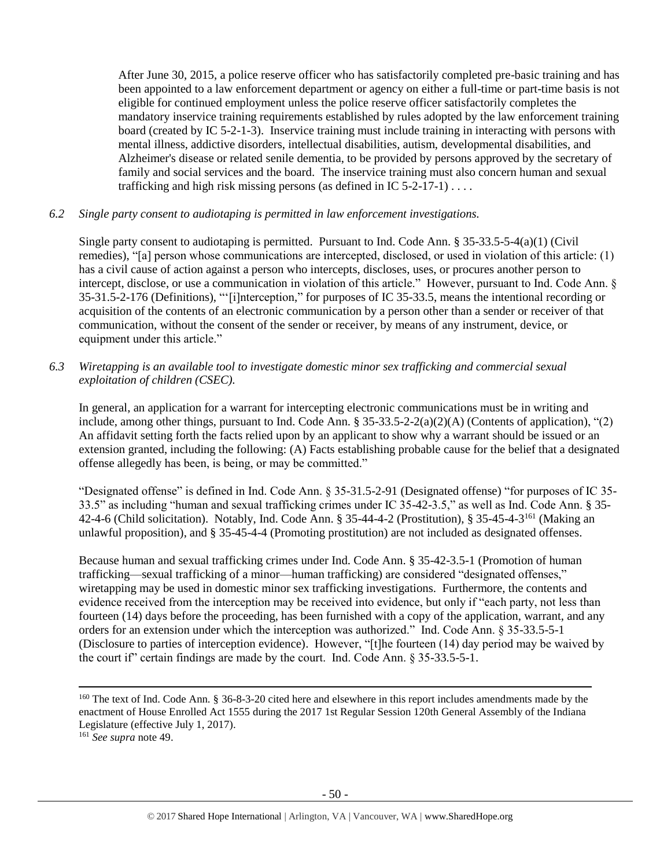After June 30, 2015, a police reserve officer who has satisfactorily completed pre-basic training and has been appointed to a law enforcement department or agency on either a full-time or part-time basis is not eligible for continued employment unless the police reserve officer satisfactorily completes the mandatory inservice training requirements established by rules adopted by the law enforcement training board (created by IC 5-2-1-3). Inservice training must include training in interacting with persons with mental illness, addictive disorders, intellectual disabilities, autism, developmental disabilities, and Alzheimer's disease or related senile dementia, to be provided by persons approved by the secretary of family and social services and the board. The inservice training must also concern human and sexual trafficking and high risk missing persons (as defined in IC 5-2-17-1) . . . .

## *6.2 Single party consent to audiotaping is permitted in law enforcement investigations.*

Single party consent to audiotaping is permitted. Pursuant to Ind. Code Ann. § 35-33.5-5-4(a)(1) (Civil remedies), "[a] person whose communications are intercepted, disclosed, or used in violation of this article: (1) has a civil cause of action against a person who intercepts, discloses, uses, or procures another person to intercept, disclose, or use a communication in violation of this article." However, pursuant to Ind. Code Ann. § 35-31.5-2-176 (Definitions), "'[i]nterception," for purposes of IC 35-33.5, means the intentional recording or acquisition of the contents of an electronic communication by a person other than a sender or receiver of that communication, without the consent of the sender or receiver, by means of any instrument, device, or equipment under this article."

*6.3 Wiretapping is an available tool to investigate domestic minor sex trafficking and commercial sexual exploitation of children (CSEC).* 

In general, an application for a warrant for intercepting electronic communications must be in writing and include, among other things, pursuant to Ind. Code Ann. § 35-33.5-2-2(a)(2)(A) (Contents of application), "(2) An affidavit setting forth the facts relied upon by an applicant to show why a warrant should be issued or an extension granted, including the following: (A) Facts establishing probable cause for the belief that a designated offense allegedly has been, is being, or may be committed."

"Designated offense" is defined in Ind. Code Ann. § 35-31.5-2-91 (Designated offense) "for purposes of IC 35- 33.5" as including "human and sexual trafficking crimes under IC 35-42-3.5," as well as Ind. Code Ann. § 35- 42-4-6 (Child solicitation). Notably, Ind. Code Ann. § 35-44-4-2 (Prostitution), § 35-45-4-3<sup>161</sup> (Making an unlawful proposition), and § 35-45-4-4 (Promoting prostitution) are not included as designated offenses.

Because human and sexual trafficking crimes under Ind. Code Ann. § 35-42-3.5-1 (Promotion of human trafficking—sexual trafficking of a minor—human trafficking) are considered "designated offenses," wiretapping may be used in domestic minor sex trafficking investigations. Furthermore, the contents and evidence received from the interception may be received into evidence, but only if "each party, not less than fourteen (14) days before the proceeding, has been furnished with a copy of the application, warrant, and any orders for an extension under which the interception was authorized." Ind. Code Ann. § 35-33.5-5-1 (Disclosure to parties of interception evidence). However, "[t]he fourteen (14) day period may be waived by the court if" certain findings are made by the court. Ind. Code Ann. § 35-33.5-5-1.

 $\overline{a}$ 

<sup>&</sup>lt;sup>160</sup> The text of Ind. Code Ann. § 36-8-3-20 cited here and elsewhere in this report includes amendments made by the enactment of House Enrolled Act 1555 during the 2017 1st Regular Session 120th General Assembly of the Indiana Legislature (effective July 1, 2017).

<sup>161</sup> *See supra* not[e 49.](#page-10-1)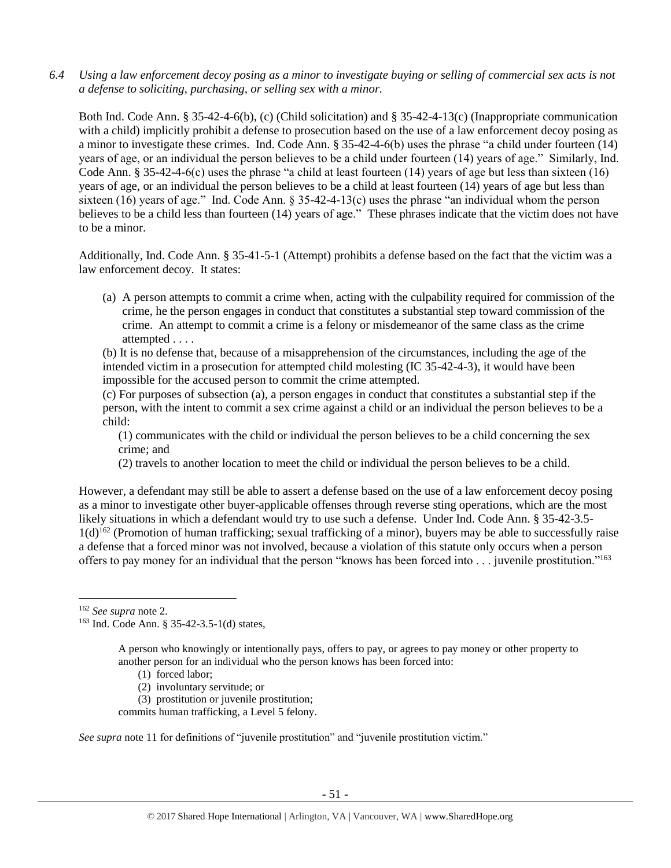*6.4 Using a law enforcement decoy posing as a minor to investigate buying or selling of commercial sex acts is not a defense to soliciting, purchasing, or selling sex with a minor.*

Both Ind. Code Ann. § 35-42-4-6(b), (c) (Child solicitation) and § 35-42-4-13(c) (Inappropriate communication with a child) implicitly prohibit a defense to prosecution based on the use of a law enforcement decoy posing as a minor to investigate these crimes. Ind. Code Ann. § 35-42-4-6(b) uses the phrase "a child under fourteen (14) years of age, or an individual the person believes to be a child under fourteen (14) years of age." Similarly, Ind. Code Ann. § 35-42-4-6(c) uses the phrase "a child at least fourteen (14) years of age but less than sixteen (16) years of age, or an individual the person believes to be a child at least fourteen (14) years of age but less than sixteen (16) years of age." Ind. Code Ann.  $\S 35-42-4-13(c)$  uses the phrase "an individual whom the person believes to be a child less than fourteen (14) years of age." These phrases indicate that the victim does not have to be a minor.

Additionally, Ind. Code Ann. § 35-41-5-1 (Attempt) prohibits a defense based on the fact that the victim was a law enforcement decoy. It states:

(a) A person attempts to commit a crime when, acting with the culpability required for commission of the crime, he the person engages in conduct that constitutes a substantial step toward commission of the crime. An attempt to commit a crime is a felony or misdemeanor of the same class as the crime attempted . . . .

(b) It is no defense that, because of a misapprehension of the circumstances, including the age of the intended victim in a prosecution for attempted child molesting (IC 35-42-4-3), it would have been impossible for the accused person to commit the crime attempted.

(c) For purposes of subsection (a), a person engages in conduct that constitutes a substantial step if the person, with the intent to commit a sex crime against a child or an individual the person believes to be a child:

(1) communicates with the child or individual the person believes to be a child concerning the sex crime; and

(2) travels to another location to meet the child or individual the person believes to be a child.

However, a defendant may still be able to assert a defense based on the use of a law enforcement decoy posing as a minor to investigate other buyer-applicable offenses through reverse sting operations, which are the most likely situations in which a defendant would try to use such a defense. Under Ind. Code Ann. § 35-42-3.5- 1(d)<sup>162</sup> (Promotion of human trafficking; sexual trafficking of a minor), buyers may be able to successfully raise a defense that a forced minor was not involved, because a violation of this statute only occurs when a person offers to pay money for an individual that the person "knows has been forced into ... juvenile prostitution."<sup>163</sup>

l

A person who knowingly or intentionally pays, offers to pay, or agrees to pay money or other property to another person for an individual who the person knows has been forced into:

- (1) forced labor;
- (2) involuntary servitude; or

(3) prostitution or juvenile prostitution;

commits human trafficking, a Level 5 felony.

*See supra* note [11](#page-3-0) for definitions of "juvenile prostitution" and "juvenile prostitution victim."

<sup>162</sup> *See supra* not[e 2.](#page-0-0)

<sup>163</sup> Ind. Code Ann. § 35-42-3.5-1(d) states,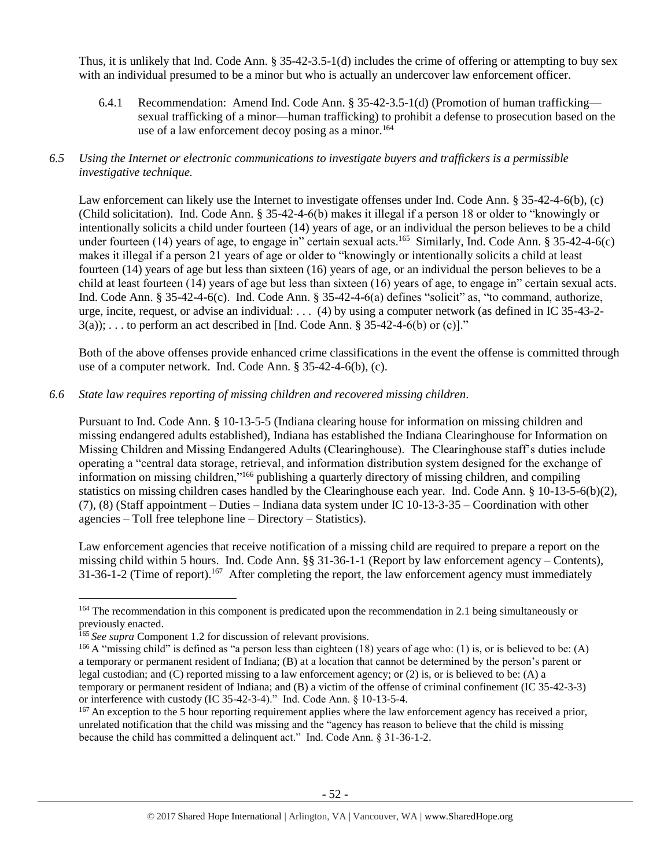Thus, it is unlikely that Ind. Code Ann. § 35-42-3.5-1(d) includes the crime of offering or attempting to buy sex with an individual presumed to be a minor but who is actually an undercover law enforcement officer.

6.4.1 Recommendation: Amend Ind. Code Ann. § 35-42-3.5-1(d) (Promotion of human trafficking sexual trafficking of a minor—human trafficking) to prohibit a defense to prosecution based on the use of a law enforcement decoy posing as a minor.<sup>164</sup>

## *6.5 Using the Internet or electronic communications to investigate buyers and traffickers is a permissible investigative technique.*

Law enforcement can likely use the Internet to investigate offenses under Ind. Code Ann. § 35-42-4-6(b), (c) (Child solicitation). Ind. Code Ann. § 35-42-4-6(b) makes it illegal if a person 18 or older to "knowingly or intentionally solicits a child under fourteen (14) years of age, or an individual the person believes to be a child under fourteen (14) years of age, to engage in" certain sexual acts.<sup>165</sup> Similarly, Ind. Code Ann. § 35-42-4-6(c) makes it illegal if a person 21 years of age or older to "knowingly or intentionally solicits a child at least fourteen (14) years of age but less than sixteen (16) years of age, or an individual the person believes to be a child at least fourteen (14) years of age but less than sixteen (16) years of age, to engage in" certain sexual acts. Ind. Code Ann. § 35-42-4-6(c). Ind. Code Ann. § 35-42-4-6(a) defines "solicit" as, "to command, authorize, urge, incite, request, or advise an individual: . . . (4) by using a computer network (as defined in IC 35-43-2-  $3(a)$ ; ... to perform an act described in [Ind. Code Ann. § 35-42-4-6(b) or (c)]."

Both of the above offenses provide enhanced crime classifications in the event the offense is committed through use of a computer network. Ind. Code Ann. § 35-42-4-6(b), (c).

## *6.6 State law requires reporting of missing children and recovered missing children.*

Pursuant to Ind. Code Ann. § 10-13-5-5 (Indiana clearing house for information on missing children and missing endangered adults established), Indiana has established the Indiana Clearinghouse for Information on Missing Children and Missing Endangered Adults (Clearinghouse). The Clearinghouse staff's duties include operating a "central data storage, retrieval, and information distribution system designed for the exchange of information on missing children,"<sup>166</sup> publishing a quarterly directory of missing children, and compiling statistics on missing children cases handled by the Clearinghouse each year. Ind. Code Ann. § 10-13-5-6(b)(2), (7), (8) (Staff appointment – Duties – Indiana data system under IC 10-13-3-35 – Coordination with other agencies – Toll free telephone line – Directory – Statistics).

Law enforcement agencies that receive notification of a missing child are required to prepare a report on the missing child within 5 hours. Ind. Code Ann. §§ 31-36-1-1 (Report by law enforcement agency – Contents), 31-36-1-2 (Time of report).<sup>167</sup> After completing the report, the law enforcement agency must immediately

l

<sup>&</sup>lt;sup>164</sup> The recommendation in this component is predicated upon the recommendation in 2.1 being simultaneously or previously enacted.

<sup>&</sup>lt;sup>165</sup> See supra Component 1.2 for discussion of relevant provisions.

 $166$  A "missing child" is defined as "a person less than eighteen (18) years of age who: (1) is, or is believed to be: (A) a temporary or permanent resident of Indiana; (B) at a location that cannot be determined by the person's parent or legal custodian; and (C) reported missing to a law enforcement agency; or (2) is, or is believed to be: (A) a temporary or permanent resident of Indiana; and (B) a victim of the offense of criminal confinement (IC 35-42-3-3) or interference with custody (IC 35-42-3-4)." Ind. Code Ann. § 10-13-5-4.

<sup>&</sup>lt;sup>167</sup> An exception to the 5 hour reporting requirement applies where the law enforcement agency has received a prior, unrelated notification that the child was missing and the "agency has reason to believe that the child is missing because the child has committed a delinquent act." Ind. Code Ann. § 31-36-1-2.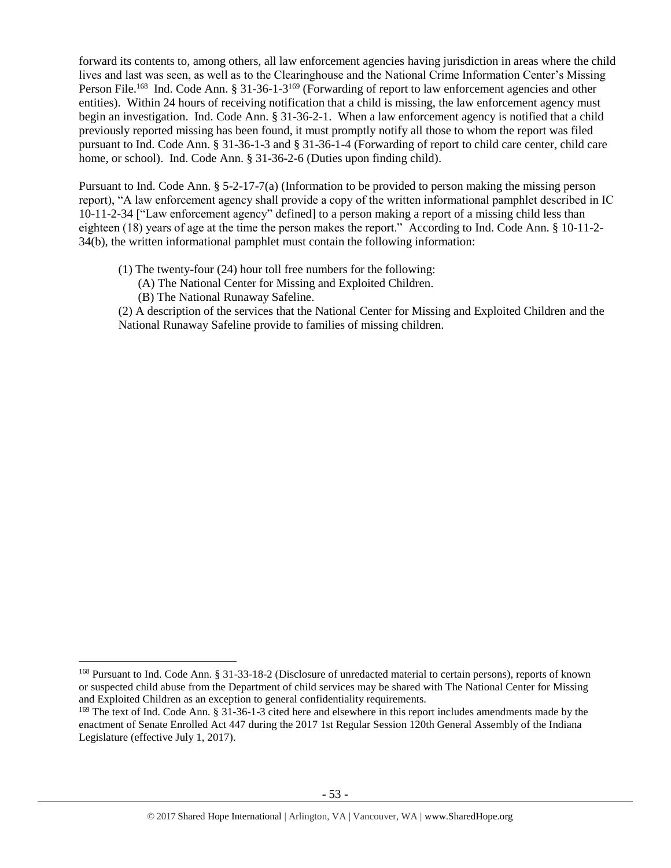forward its contents to, among others, all law enforcement agencies having jurisdiction in areas where the child lives and last was seen, as well as to the Clearinghouse and the National Crime Information Center's Missing Person File.<sup>168</sup> Ind. Code Ann. § 31-36-1-3<sup>169</sup> (Forwarding of report to law enforcement agencies and other entities). Within 24 hours of receiving notification that a child is missing, the law enforcement agency must begin an investigation. Ind. Code Ann. § 31-36-2-1. When a law enforcement agency is notified that a child previously reported missing has been found, it must promptly notify all those to whom the report was filed pursuant to Ind. Code Ann. § 31-36-1-3 and § 31-36-1-4 (Forwarding of report to child care center, child care home, or school). Ind. Code Ann. § 31-36-2-6 (Duties upon finding child).

Pursuant to Ind. Code Ann. § 5-2-17-7(a) (Information to be provided to person making the missing person report), "A law enforcement agency shall provide a copy of the written informational pamphlet described in IC 10-11-2-34 ["Law enforcement agency" defined] to a person making a report of a missing child less than eighteen (18) years of age at the time the person makes the report." According to Ind. Code Ann. § 10-11-2- 34(b), the written informational pamphlet must contain the following information:

- (1) The twenty-four (24) hour toll free numbers for the following:
	- (A) The National Center for Missing and Exploited Children.
	- (B) The National Runaway Safeline.

 $\overline{\phantom{a}}$ 

(2) A description of the services that the National Center for Missing and Exploited Children and the National Runaway Safeline provide to families of missing children.

<sup>168</sup> Pursuant to Ind. Code Ann. § 31-33-18-2 (Disclosure of unredacted material to certain persons), reports of known or suspected child abuse from the Department of child services may be shared with The National Center for Missing and Exploited Children as an exception to general confidentiality requirements.

<sup>&</sup>lt;sup>169</sup> The text of Ind. Code Ann. § 31-36-1-3 cited here and elsewhere in this report includes amendments made by the enactment of Senate Enrolled Act 447 during the 2017 1st Regular Session 120th General Assembly of the Indiana Legislature (effective July 1, 2017).